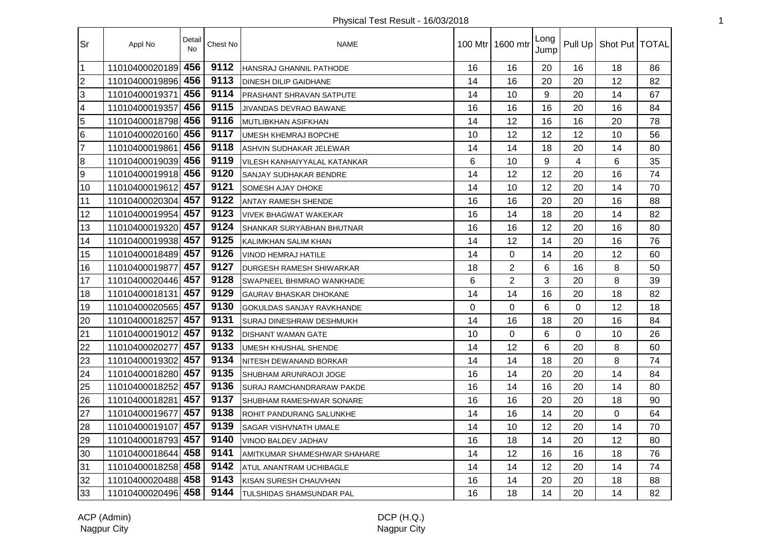| <b>Sr</b>        | Appl No            | Detail<br><b>No</b> | Chest No | <b>NAME</b>                         |          | 100 Mtr   1600 mtr | Long<br>Jump |                | Pull Up   Shot Put   TOTAL |    |
|------------------|--------------------|---------------------|----------|-------------------------------------|----------|--------------------|--------------|----------------|----------------------------|----|
| $\mathbf 1$      | 11010400020189     | 456                 | 9112     | HANSRAJ GHANNIL PATHODE             | 16       | 16                 | 20           | 16             | 18                         | 86 |
| $\overline{2}$   | 11010400019896     | 456                 | 9113     | <b>DINESH DILIP GAIDHANE</b>        | 14       | 16                 | 20           | 20             | 12                         | 82 |
| $\overline{3}$   | 11010400019371     | 456                 | 9114     | <b>IPRASHANT SHRAVAN SATPUTE</b>    | 14       | 10                 | 9            | 20             | 14                         | 67 |
| $\overline{4}$   | 11010400019357     | 456                 | 9115     | <b>JIVANDAS DEVRAO BAWANE</b>       | 16       | 16                 | 16           | 20             | 16                         | 84 |
| $\overline{5}$   | 11010400018798     | 456                 | 9116     | <b>IMUTLIBKHAN ASIFKHAN</b>         | 14       | 12                 | 16           | 16             | 20                         | 78 |
| $6\overline{6}$  | 11010400020160     | 456                 | 9117     | <b>UMESH KHEMRAJ BOPCHE</b>         | 10       | 12                 | 12           | 12             | 10                         | 56 |
| 7                | 11010400019861     | 456                 | 9118     | ASHVIN SUDHAKAR JELEWAR             | 14       | 14                 | 18           | 20             | 14                         | 80 |
| $\overline{8}$   | 11010400019039     | 456                 | 9119     | <b>VILESH KANHAIYYALAL KATANKAR</b> | 6        | 10                 | 9            | $\overline{4}$ | 6                          | 35 |
| $\boldsymbol{9}$ | 11010400019918     | 456                 | 9120     | SANJAY SUDHAKAR BENDRE              | 14       | 12                 | 12           | 20             | 16                         | 74 |
| 10               | 11010400019612     | 457                 | 9121     | <b>SOMESH AJAY DHOKE</b>            | 14       | 10                 | 12           | 20             | 14                         | 70 |
| 11               | 11010400020304     | 457                 | 9122     | <b>ANTAY RAMESH SHENDE</b>          | 16       | 16                 | 20           | 20             | 16                         | 88 |
| 12               | 11010400019954     | 457                 | 9123     | <b>VIVEK BHAGWAT WAKEKAR</b>        | 16       | 14                 | 18           | 20             | 14                         | 82 |
| 13               | 11010400019320     | 457                 | 9124     | SHANKAR SURYABHAN BHUTNAR           | 16       | 16                 | 12           | 20             | 16                         | 80 |
| 14               | 11010400019938     | 457                 | 9125     | KALIMKHAN SALIM KHAN                | 14       | 12                 | 14           | 20             | 16                         | 76 |
| 15               | 11010400018489     | 457                 | 9126     | VINOD HEMRAJ HATILE                 | 14       | $\Omega$           | 14           | 20             | 12                         | 60 |
| 16               | 11010400019877     | 457                 | 9127     | <b>DURGESH RAMESH SHIWARKAR</b>     | 18       | 2                  | 6            | 16             | 8                          | 50 |
| 17               | 11010400020446     | 457                 | 9128     | SWAPNEEL BHIMRAO WANKHADE           | 6        | $\overline{2}$     | 3            | 20             | 8                          | 39 |
| 18               | 11010400018131     | 457                 | 9129     | <b>GAURAV BHASKAR DHOKANE</b>       | 14       | 14                 | 16           | 20             | 18                         | 82 |
| 19               | 11010400020565     | 457                 | 9130     | <b>GOKULDAS SANJAY RAVKHANDE</b>    | $\Omega$ | 0                  | 6            | $\Omega$       | 12                         | 18 |
| 20               | 11010400018257     | 457                 | 9131     | <b>SURAJ DINESHRAW DESHMUKH</b>     | 14       | 16                 | 18           | 20             | 16                         | 84 |
| 21               | 11010400019012     | 457                 | 9132     | <b>DISHANT WAMAN GATE</b>           | 10       | 0                  | 6            | 0              | 10                         | 26 |
| 22               | 11010400020277     | 457                 | 9133     | <b>UMESH KHUSHAL SHENDE</b>         | 14       | 12                 | 6            | 20             | 8                          | 60 |
| 23               | 11010400019302     | 457                 | 9134     | <b>NITESH DEWANAND BORKAR</b>       | 14       | 14                 | 18           | 20             | 8                          | 74 |
| 24               | 11010400018280     | 457                 | 9135     | SHUBHAM ARUNRAOJI JOGE              | 16       | 14                 | 20           | 20             | 14                         | 84 |
| 25               | 11010400018252     | 457                 | 9136     | <b>SURAJ RAMCHANDRARAW PAKDE</b>    | 16       | 14                 | 16           | 20             | 14                         | 80 |
| 26               | 11010400018281     | 457                 | 9137     | SHUBHAM RAMESHWAR SONARE            | 16       | 16                 | 20           | 20             | 18                         | 90 |
| 27               | 11010400019677     | 457                 | 9138     | <b>ROHIT PANDURANG SALUNKHE</b>     | 14       | 16                 | 14           | 20             | $\Omega$                   | 64 |
| 28               | 11010400019107     | 457                 | 9139     | <b>SAGAR VISHVNATH UMALE</b>        | 14       | 10                 | 12           | 20             | 14                         | 70 |
| 29               | 11010400018793     | 457                 | 9140     | VINOD BALDEV JADHAV                 | 16       | 18                 | 14           | 20             | 12                         | 80 |
| 30               | 11010400018644     | 458                 | 9141     | AMITKUMAR SHAMESHWAR SHAHARE        | 14       | 12                 | 16           | 16             | 18                         | 76 |
| 31               | 11010400018258     | 458                 | 9142     | ATUL ANANTRAM UCHIBAGLE             | 14       | 14                 | 12           | 20             | 14                         | 74 |
| 32               | 11010400020488 458 |                     | 9143     | KISAN SURESH CHAUVHAN               | 16       | 14                 | 20           | 20             | 18                         | 88 |
| 33               | 11010400020496 458 |                     | 9144     | TULSHIDAS SHAMSUNDAR PAL            | 16       | 18                 | 14           | 20             | 14                         | 82 |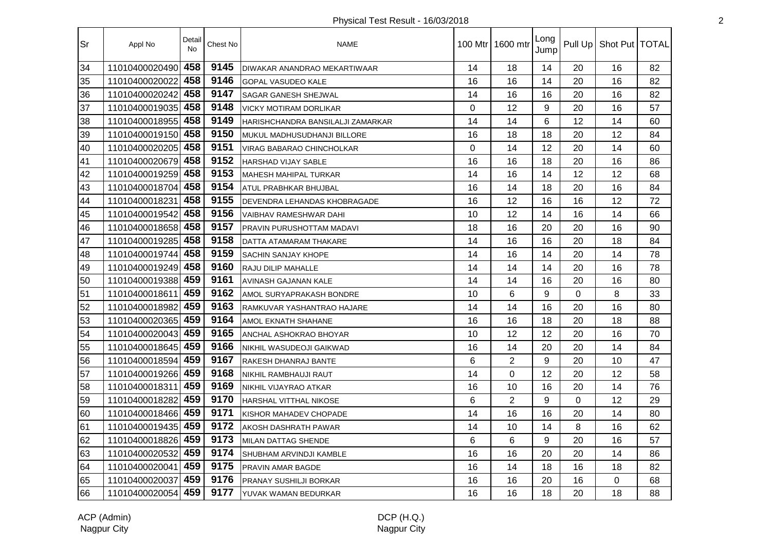| <b>Sr</b> | Appl No        | Detail<br><b>No</b> | Chest No | <b>NAME</b>                       | 100 Mtr I      | 1600 mtr       | Long<br>Jump | Pull Up  | Shot Put   TOTAL |    |
|-----------|----------------|---------------------|----------|-----------------------------------|----------------|----------------|--------------|----------|------------------|----|
| 34        | 11010400020490 | 458                 | 9145     | DIWAKAR ANANDRAO MEKARTIWAAR      | 14             | 18             | 14           | 20       | 16               | 82 |
| 35        | 11010400020022 | 458                 | 9146     | <b>GOPAL VASUDEO KALE</b>         | 16             | 16             | 14           | 20       | 16               | 82 |
| 36        | 11010400020242 | 458                 | 9147     | SAGAR GANESH SHEJWAL              | 14             | 16             | 16           | 20       | 16               | 82 |
| 37        | 11010400019035 | 458                 | 9148     | <b>VICKY MOTIRAM DORLIKAR</b>     | 0              | 12             | 9            | 20       | 16               | 57 |
| 38        | 11010400018955 | 458                 | 9149     | HARISHCHANDRA BANSILALJI ZAMARKAR | 14             | 14             | 6            | 12       | 14               | 60 |
| 39        | 11010400019150 | 458                 | 9150     | MUKUL MADHUSUDHANJI BILLORE       | 16             | 18             | 18           | 20       | 12               | 84 |
| 40        | 11010400020205 | 458                 | 9151     | VIRAG BABARAO CHINCHOLKAR         | $\overline{0}$ | 14             | 12           | 20       | 14               | 60 |
| 41        | 11010400020679 | 458                 | 9152     | HARSHAD VIJAY SABLE               | 16             | 16             | 18           | 20       | 16               | 86 |
| 42        | 11010400019259 | 458                 | 9153     | MAHESH MAHIPAL TURKAR             | 14             | 16             | 14           | 12       | 12               | 68 |
| 43        | 11010400018704 | 458                 | 9154     | ATUL PRABHKAR BHUJBAL             | 16             | 14             | 18           | 20       | 16               | 84 |
| 44        | 11010400018231 | 458                 | 9155     | DEVENDRA LEHANDAS KHOBRAGADE      | 16             | 12             | 16           | 16       | 12               | 72 |
| 45        | 11010400019542 | 458                 | 9156     | VAIBHAV RAMESHWAR DAHI            | 10             | 12             | 14           | 16       | 14               | 66 |
| 46        | 11010400018658 | 458                 | 9157     | PRAVIN PURUSHOTTAM MADAVI         | 18             | 16             | 20           | 20       | 16               | 90 |
| 47        | 11010400019285 | 458                 | 9158     | DATTA ATAMARAM THAKARE            | 14             | 16             | 16           | 20       | 18               | 84 |
| 48        | 11010400019744 | 458                 | 9159     | SACHIN SANJAY KHOPE               | 14             | 16             | 14           | 20       | 14               | 78 |
| 49        | 11010400019249 | 458                 | 9160     | RAJU DILIP MAHALLE                | 14             | 14             | 14           | 20       | 16               | 78 |
| 50        | 11010400019388 | 459                 | 9161     | AVINASH GAJANAN KALE              | 14             | 14             | 16           | 20       | 16               | 80 |
| 51        | 11010400018611 | 459                 | 9162     | AMOL SURYAPRAKASH BONDRE          | 10             | 6              | 9            | $\Omega$ | 8                | 33 |
| 52        | 11010400018982 | 459                 | 9163     | RAMKUVAR YASHANTRAO HAJARE        | 14             | 14             | 16           | 20       | 16               | 80 |
| 53        | 11010400020365 | 459                 | 9164     | AMOL EKNATH SHAHANE               | 16             | 16             | 18           | 20       | 18               | 88 |
| 54        | 11010400020043 | 459                 | 9165     | ANCHAL ASHOKRAO BHOYAR            | 10             | 12             | 12           | 20       | 16               | 70 |
| 55        | 11010400018645 | 459                 | 9166     | NIKHIL WASUDEOJI GAIKWAD          | 16             | 14             | 20           | 20       | 14               | 84 |
| 56        | 11010400018594 | 459                 | 9167     | RAKESH DHANRAJ BANTE              | 6              | $\overline{2}$ | 9            | 20       | 10               | 47 |
| 57        | 11010400019266 | 459                 | 9168     | NIKHIL RAMBHAUJI RAUT             | 14             | 0              | 12           | 20       | 12               | 58 |
| 58        | 11010400018311 | 459                 | 9169     | NIKHIL VIJAYRAO ATKAR             | 16             | 10             | 16           | 20       | 14               | 76 |
| 59        | 11010400018282 | 459                 | 9170     | HARSHAL VITTHAL NIKOSE            | 6              | $\overline{2}$ | 9            | 0        | 12               | 29 |
| 60        | 11010400018466 | 459                 | 9171     | KISHOR MAHADEV CHOPADE            | 14             | 16             | 16           | 20       | 14               | 80 |
| 61        | 11010400019435 | 459                 | 9172     | AKOSH DASHRATH PAWAR              | 14             | 10             | 14           | 8        | 16               | 62 |
| 62        | 11010400018826 | 459                 | 9173     | MILAN DATTAG SHENDE               | 6              | 6              | 9            | 20       | 16               | 57 |
| 63        | 11010400020532 | 459                 | 9174     | SHUBHAM ARVINDJI KAMBLE           | 16             | 16             | 20           | 20       | 14               | 86 |
| 64        | 11010400020041 | 459                 | 9175     | PRAVIN AMAR BAGDE                 | 16             | 14             | 18           | 16       | 18               | 82 |
| 65        | 11010400020037 | 459                 | 9176     | PRANAY SUSHILJI BORKAR            | 16             | 16             | 20           | 16       | $\Omega$         | 68 |
| 66        | 11010400020054 | 459                 | 9177     | YUVAK WAMAN BEDURKAR              | 16             | 16             | 18           | 20       | 18               | 88 |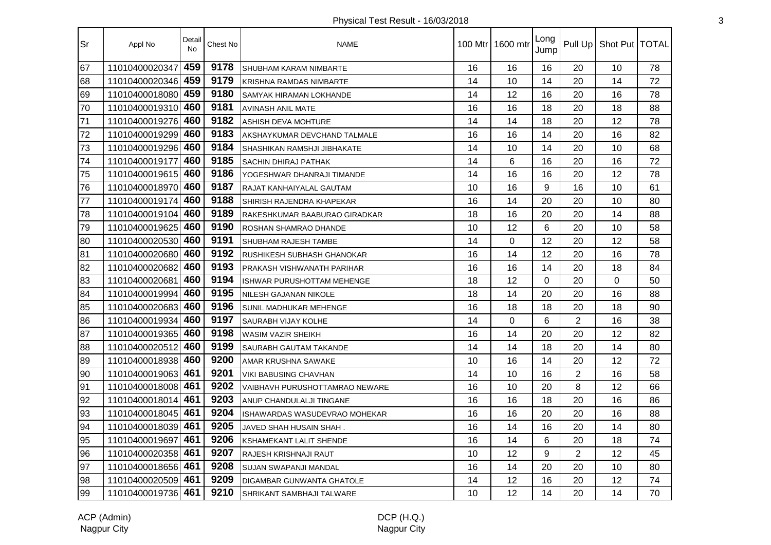| 'Sr | Appl No            | Detail<br><b>No</b> | Chest No | <b>NAME</b>                    |    | 100 Mtr   1600 mtr | Long<br>Jump |                | Pull Up   Shot Put   TOTAL |    |
|-----|--------------------|---------------------|----------|--------------------------------|----|--------------------|--------------|----------------|----------------------------|----|
| 67  | 11010400020347     | 459                 | 9178     | SHUBHAM KARAM NIMBARTE         | 16 | 16                 | 16           | 20             | 10                         | 78 |
| 68  | 11010400020346     | 459                 | 9179     | <b>KRISHNA RAMDAS NIMBARTE</b> | 14 | 10                 | 14           | 20             | 14                         | 72 |
| 69  | 11010400018080     | 459                 | 9180     | SAMYAK HIRAMAN LOKHANDE        | 14 | 12                 | 16           | 20             | 16                         | 78 |
| 70  | 11010400019310     | 460                 | 9181     | <b>AVINASH ANIL MATE</b>       | 16 | 16                 | 18           | 20             | 18                         | 88 |
| 71  | 11010400019276     | 460                 | 9182     | <b>ASHISH DEVA MOHTURE</b>     | 14 | 14                 | 18           | 20             | 12                         | 78 |
| 72  | 11010400019299     | 460                 | 9183     | AKSHAYKUMAR DEVCHAND TALMALE   | 16 | 16                 | 14           | 20             | 16                         | 82 |
| 73  | 11010400019296     | 460                 | 9184     | SHASHIKAN RAMSHJI JIBHAKATE    | 14 | 10                 | 14           | 20             | 10                         | 68 |
| 74  | 11010400019177     | 460                 | 9185     | <b>SACHIN DHIRAJ PATHAK</b>    | 14 | 6                  | 16           | 20             | 16                         | 72 |
| 75  | 11010400019615     | 460                 | 9186     | YOGESHWAR DHANRAJI TIMANDE     | 14 | 16                 | 16           | 20             | 12                         | 78 |
| 76  | 11010400018970     | 460                 | 9187     | RAJAT KANHAIYALAL GAUTAM       | 10 | 16                 | 9            | 16             | 10                         | 61 |
| 77  | 11010400019174     | 460                 | 9188     | SHIRISH RAJENDRA KHAPEKAR      | 16 | 14                 | 20           | 20             | 10                         | 80 |
| 78  | 11010400019104     | 460                 | 9189     | RAKESHKUMAR BAABURAO GIRADKAR  | 18 | 16                 | 20           | 20             | 14                         | 88 |
| 79  | 11010400019625     | 460                 | 9190     | ROSHAN SHAMRAO DHANDE          | 10 | 12                 | 6            | 20             | 10                         | 58 |
| 80  | 11010400020530     | 460                 | 9191     | SHUBHAM RAJESH TAMBE           | 14 | 0                  | 12           | 20             | 12                         | 58 |
| 81  | 11010400020680     | 460                 | 9192     | RUSHIKESH SUBHASH GHANOKAR     | 16 | 14                 | 12           | 20             | 16                         | 78 |
| 82  | 11010400020682     | 460                 | 9193     | PRAKASH VISHWANATH PARIHAR     | 16 | 16                 | 14           | 20             | 18                         | 84 |
| 83  | 11010400020681     | 460                 | 9194     | ISHWAR PURUSHOTTAM MEHENGE     | 18 | 12                 | $\Omega$     | 20             | $\mathbf 0$                | 50 |
| 84  | 11010400019994     | 460                 | 9195     | NILESH GAJANAN NIKOLE          | 18 | 14                 | 20           | 20             | 16                         | 88 |
| 85  | 11010400020683     | 460                 | 9196     | SUNIL MADHUKAR MEHENGE         | 16 | 18                 | 18           | 20             | 18                         | 90 |
| 86  | 11010400019934     | 460                 | 9197     | SAURABH VIJAY KOLHE            | 14 | $\Omega$           | 6            | 2              | 16                         | 38 |
| 87  | 11010400019365     | 460                 | 9198     | WASIM VAZIR SHEIKH             | 16 | 14                 | 20           | 20             | 12                         | 82 |
| 88  | 11010400020512     | 460                 | 9199     | SAURABH GAUTAM TAKANDE         | 14 | 14                 | 18           | 20             | 14                         | 80 |
| 89  | 11010400018938     | 460                 | 9200     | AMAR KRUSHNA SAWAKE            | 10 | 16                 | 14           | 20             | 12                         | 72 |
| 90  | 11010400019063     | 461                 | 9201     | <b>VIKI BABUSING CHAVHAN</b>   | 14 | 10                 | 16           | $\overline{2}$ | 16                         | 58 |
| 91  | 11010400018008     | 461                 | 9202     | VAIBHAVH PURUSHOTTAMRAO NEWARE | 16 | 10                 | 20           | 8              | 12                         | 66 |
| 92  | 11010400018014     | 461                 | 9203     | ANUP CHANDULALJI TINGANE       | 16 | 16                 | 18           | 20             | 16                         | 86 |
| 93  | 11010400018045     | 461                 | 9204     | ISHAWARDAS WASUDEVRAO MOHEKAR  | 16 | 16                 | 20           | 20             | 16                         | 88 |
| 94  | 11010400018039     | 461                 | 9205     | JAVED SHAH HUSAIN SHAH.        | 16 | 14                 | 16           | 20             | 14                         | 80 |
| 95  | 11010400019697     | 461                 | 9206     | <b>KSHAMEKANT LALIT SHENDE</b> | 16 | 14                 | 6            | 20             | 18                         | 74 |
| 96  | 11010400020358     | 461                 | 9207     | RAJESH KRISHNAJI RAUT          | 10 | 12                 | 9            | 2              | 12                         | 45 |
| 97  | 11010400018656     | 461                 | 9208     | <b>SUJAN SWAPANJI MANDAL</b>   | 16 | 14                 | 20           | 20             | 10                         | 80 |
| 98  | 11010400020509 461 |                     | 9209     | DIGAMBAR GUNWANTA GHATOLE      | 14 | 12                 | 16           | 20             | 12                         | 74 |
| 99  | 11010400019736 461 |                     | 9210     | SHRIKANT SAMBHAJI TALWARE      | 10 | 12                 | 14           | 20             | 14                         | 70 |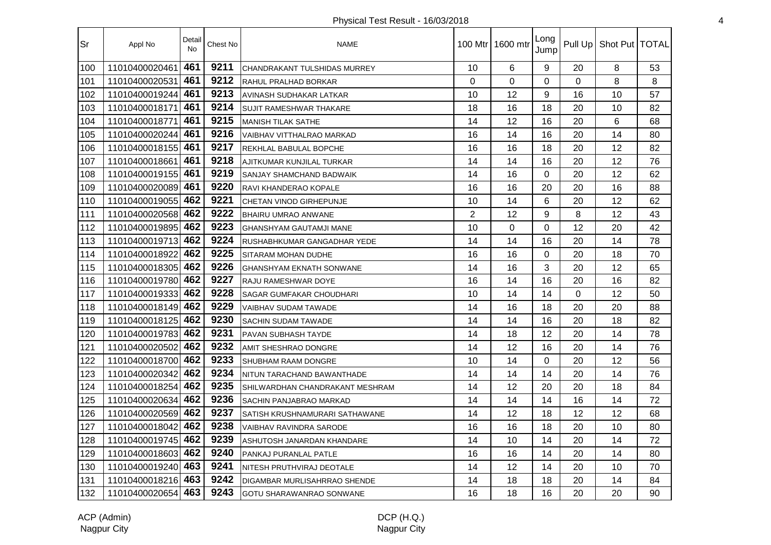| 'Sr | Appl No            | Detail<br><b>No</b> | Chest No | <b>NAME</b>                         |                | 100 Mtr   1600 mtr | Long<br>Jump |             | Pull Up   Shot Put   TOTAL |    |
|-----|--------------------|---------------------|----------|-------------------------------------|----------------|--------------------|--------------|-------------|----------------------------|----|
| 100 | 11010400020461     | 461                 | 9211     | <b>CHANDRAKANT TULSHIDAS MURREY</b> | 10             | 6                  | 9            | 20          | 8                          | 53 |
| 101 | 11010400020531     | 461                 | 9212     | <b>RAHUL PRALHAD BORKAR</b>         | $\Omega$       | 0                  | 0            | $\mathbf 0$ | 8                          | 8  |
| 102 | 11010400019244     | 461                 | 9213     | AVINASH SUDHAKAR LATKAR             | 10             | 12                 | 9            | 16          | 10                         | 57 |
| 103 | 11010400018171     | 461                 | 9214     | SUJIT RAMESHWAR THAKARE             | 18             | 16                 | 18           | 20          | 10                         | 82 |
| 104 | 11010400018771     | 461                 | 9215     | <b>MANISH TILAK SATHE</b>           | 14             | 12                 | 16           | 20          | 6                          | 68 |
| 105 | 11010400020244     | 461                 | 9216     | VAIBHAV VITTHALRAO MARKAD           | 16             | 14                 | 16           | 20          | 14                         | 80 |
| 106 | 11010400018155 461 |                     | 9217     | REKHLAL BABULAL BOPCHE              | 16             | 16                 | 18           | 20          | 12                         | 82 |
| 107 | 11010400018661     | 461                 | 9218     | AJITKUMAR KUNJILAL TURKAR           | 14             | 14                 | 16           | 20          | 12                         | 76 |
| 108 | 11010400019155 461 |                     | 9219     | SANJAY SHAMCHAND BADWAIK            | 14             | 16                 | 0            | 20          | 12                         | 62 |
| 109 | 11010400020089 461 |                     | 9220     | RAVI KHANDERAO KOPALE               | 16             | 16                 | 20           | 20          | 16                         | 88 |
| 110 | 11010400019055     | 462                 | 9221     | CHETAN VINOD GIRHEPUNJE             | 10             | 14                 | 6            | 20          | 12                         | 62 |
| 111 | 11010400020568     | 462                 | 9222     | BHAIRU UMRAO ANWANE                 | $\overline{2}$ | 12                 | 9            | 8           | 12                         | 43 |
| 112 | 11010400019895     | 462                 | 9223     | <b>GHANSHYAM GAUTAMJI MANE</b>      | 10             | 0                  | 0            | 12          | 20                         | 42 |
| 113 | 11010400019713 462 |                     | 9224     | RUSHABHKUMAR GANGADHAR YEDE         | 14             | 14                 | 16           | 20          | 14                         | 78 |
| 114 | 11010400018922     | 462                 | 9225     | SITARAM MOHAN DUDHE                 | 16             | 16                 | $\Omega$     | 20          | 18                         | 70 |
| 115 | 11010400018305 462 |                     | 9226     | <b>GHANSHYAM EKNATH SONWANE</b>     | 14             | 16                 | 3            | 20          | 12                         | 65 |
| 116 | 11010400019780 462 |                     | 9227     | RAJU RAMESHWAR DOYE                 | 16             | 14                 | 16           | 20          | 16                         | 82 |
| 117 | 11010400019333     | 462                 | 9228     | SAGAR GUMFAKAR CHOUDHARI            | 10             | 14                 | 14           | 0           | 12                         | 50 |
| 118 | 11010400018149 462 |                     | 9229     | VAIBHAV SUDAM TAWADE                | 14             | 16                 | 18           | 20          | 20                         | 88 |
| 119 | 11010400018125     | 462                 | 9230     | <b>SACHIN SUDAM TAWADE</b>          | 14             | 14                 | 16           | 20          | 18                         | 82 |
| 120 | 11010400019783     | 462                 | 9231     | PAVAN SUBHASH TAYDE                 | 14             | 18                 | 12           | 20          | 14                         | 78 |
| 121 | 11010400020502     | 462                 | 9232     | AMIT SHESHRAO DONGRE                | 14             | 12                 | 16           | 20          | 14                         | 76 |
| 122 | 11010400018700 462 |                     | 9233     | <b>SHUBHAM RAAM DONGRE</b>          | 10             | 14                 | $\Omega$     | 20          | 12                         | 56 |
| 123 | 11010400020342 462 |                     | 9234     | NITUN TARACHAND BAWANTHADE          | 14             | 14                 | 14           | 20          | 14                         | 76 |
| 124 | 11010400018254 462 |                     | 9235     | SHILWARDHAN CHANDRAKANT MESHRAM     | 14             | 12                 | 20           | 20          | 18                         | 84 |
| 125 | 11010400020634 462 |                     | 9236     | <b>SACHIN PANJABRAO MARKAD</b>      | 14             | 14                 | 14           | 16          | 14                         | 72 |
| 126 | 11010400020569     | 462                 | 9237     | SATISH KRUSHNAMURARI SATHAWANE      | 14             | 12                 | 18           | 12          | 12                         | 68 |
| 127 | 11010400018042 462 |                     | 9238     | <b>VAIBHAV RAVINDRA SARODE</b>      | 16             | 16                 | 18           | 20          | 10                         | 80 |
| 128 | 11010400019745     | 462                 | 9239     | ASHUTOSH JANARDAN KHANDARE          | 14             | 10                 | 14           | 20          | 14                         | 72 |
| 129 | 11010400018603     | 462                 | 9240     | PANKAJ PURANLAL PATLE               | 16             | 16                 | 14           | 20          | 14                         | 80 |
| 130 | 11010400019240 463 |                     | 9241     | NITESH PRUTHVIRAJ DEOTALE           | 14             | 12                 | 14           | 20          | 10                         | 70 |
| 131 | 11010400018216 463 |                     | 9242     | <b>DIGAMBAR MURLISAHRRAO SHENDE</b> | 14             | 18                 | 18           | 20          | 14                         | 84 |
| 132 | 11010400020654 463 |                     | 9243     | GOTU SHARAWANRAO SONWANE            | 16             | 18                 | 16           | 20          | 20                         | 90 |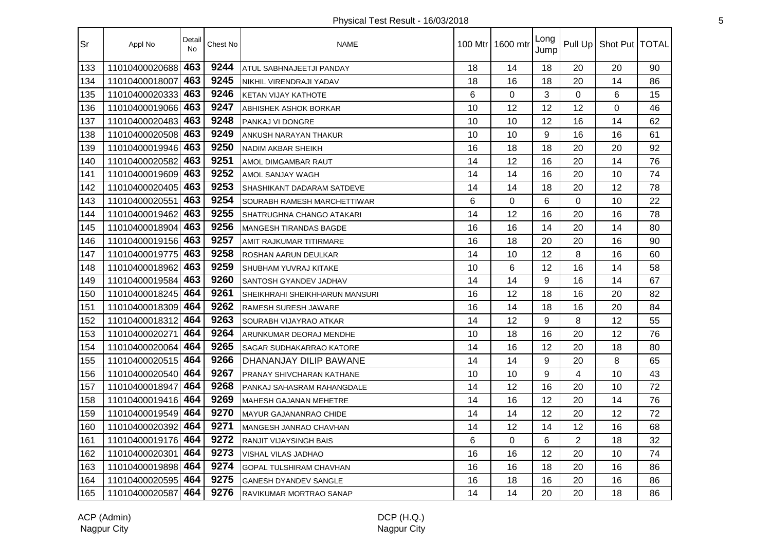| Sr  | Appl No            | Detail<br><b>No</b> | Chest No | <b>NAME</b>                    |                 | 100 Mtr 1600 mtr | Long<br>Jump |                | Pull Up   Shot Put   TOTAL |    |
|-----|--------------------|---------------------|----------|--------------------------------|-----------------|------------------|--------------|----------------|----------------------------|----|
| 133 | 11010400020688     | 463                 | 9244     | ATUL SABHNAJEETJI PANDAY       | 18              | 14               | 18           | 20             | 20                         | 90 |
| 134 | 11010400018007     | 463                 | 9245     | NIKHIL VIRENDRAJI YADAV        | 18              | 16               | 18           | 20             | 14                         | 86 |
| 135 | 11010400020333     | 463                 | 9246     | <b>KETAN VIJAY KATHOTE</b>     | $6\phantom{1}6$ | $\mathbf 0$      | 3            | 0              | 6                          | 15 |
| 136 | 11010400019066     | 463                 | 9247     | ABHISHEK ASHOK BORKAR          | 10              | 12               | 12           | 12             | 0                          | 46 |
| 137 | 11010400020483 463 |                     | 9248     | PANKAJ VI DONGRE               | 10              | 10               | 12           | 16             | 14                         | 62 |
| 138 | 11010400020508 463 |                     | 9249     | ANKUSH NARAYAN THAKUR          | 10              | 10               | 9            | 16             | 16                         | 61 |
| 139 | 11010400019946 463 |                     | 9250     | <b>NADIM AKBAR SHEIKH</b>      | 16              | 18               | 18           | 20             | 20                         | 92 |
| 140 | 11010400020582     | 463                 | 9251     | AMOL DIMGAMBAR RAUT            | 14              | 12               | 16           | 20             | 14                         | 76 |
| 141 | 11010400019609 463 |                     | 9252     | AMOL SANJAY WAGH               | 14              | 14               | 16           | 20             | 10                         | 74 |
| 142 | 11010400020405     | 463                 | 9253     | SHASHIKANT DADARAM SATDEVE     | 14              | 14               | 18           | 20             | 12                         | 78 |
| 143 | 11010400020551     | 463                 | 9254     | SOURABH RAMESH MARCHETTIWAR    | 6               | $\Omega$         | 6            | $\Omega$       | 10                         | 22 |
| 144 | 11010400019462     | 463                 | 9255     | SHATRUGHNA CHANGO ATAKARI      | 14              | 12               | 16           | 20             | 16                         | 78 |
| 145 | 11010400018904     | 463                 | 9256     | <b>MANGESH TIRANDAS BAGDE</b>  | 16              | 16               | 14           | 20             | 14                         | 80 |
| 146 | 11010400019156 463 |                     | 9257     | AMIT RAJKUMAR TITIRMARE        | 16              | 18               | 20           | 20             | 16                         | 90 |
| 147 | 11010400019775 463 |                     | 9258     | ROSHAN AARUN DEULKAR           | 14              | 10               | 12           | 8              | 16                         | 60 |
| 148 | 11010400018962     | 463                 | 9259     | SHUBHAM YUVRAJ KITAKE          | 10              | 6                | 12           | 16             | 14                         | 58 |
| 149 | 11010400019584 463 |                     | 9260     | SANTOSH GYANDEV JADHAV         | 14              | 14               | 9            | 16             | 14                         | 67 |
| 150 | 11010400018245 464 |                     | 9261     | SHEIKHRAHI SHEIKHHARUN MANSURI | 16              | 12               | 18           | 16             | 20                         | 82 |
| 151 | 11010400018309 464 |                     | 9262     | RAMESH SURESH JAWARE           | 16              | 14               | 18           | 16             | 20                         | 84 |
| 152 | 11010400018312     | 464                 | 9263     | SOURABH VIJAYRAO ATKAR         | 14              | 12               | 9            | 8              | 12                         | 55 |
| 153 | 11010400020271     | 464                 | 9264     | ARUNKUMAR DEORAJ MENDHE        | 10              | 18               | 16           | 20             | 12                         | 76 |
| 154 | 11010400020064     | 464                 | 9265     | SAGAR SUDHAKARRAO KATORE       | 14              | 16               | 12           | 20             | 18                         | 80 |
| 155 | 11010400020515 464 |                     | 9266     | DHANANJAY DILIP BAWANE         | 14              | 14               | 9            | 20             | 8                          | 65 |
| 156 | 11010400020540 464 |                     | 9267     | PRANAY SHIVCHARAN KATHANE      | 10              | 10               | 9            | $\overline{4}$ | 10                         | 43 |
| 157 | 11010400018947     | 464                 | 9268     | PANKAJ SAHASRAM RAHANGDALE     | 14              | 12               | 16           | 20             | 10                         | 72 |
| 158 | 11010400019416 464 |                     | 9269     | <b>MAHESH GAJANAN MEHETRE</b>  | 14              | 16               | 12           | 20             | 14                         | 76 |
| 159 | 11010400019549 464 |                     | 9270     | MAYUR GAJANANRAO CHIDE         | 14              | 14               | 12           | 20             | 12                         | 72 |
| 160 | 11010400020392     | 464                 | 9271     | MANGESH JANRAO CHAVHAN         | 14              | 12               | 14           | 12             | 16                         | 68 |
| 161 | 11010400019176     | 464                 | 9272     | RANJIT VIJAYSINGH BAIS         | 6               | 0                | 6            | $\overline{2}$ | 18                         | 32 |
| 162 | 11010400020301     | 464                 | 9273     | VISHAL VILAS JADHAO            | 16              | 16               | 12           | 20             | 10                         | 74 |
| 163 | 11010400019898     | 464                 | 9274     | GOPAL TULSHIRAM CHAVHAN        | 16              | 16               | 18           | 20             | 16                         | 86 |
| 164 | 11010400020595 464 |                     | 9275     | <b>GANESH DYANDEV SANGLE</b>   | 16              | 18               | 16           | 20             | 16                         | 86 |
| 165 | 11010400020587     | 464                 | 9276     | RAVIKUMAR MORTRAO SANAP        | 14              | 14               | 20           | 20             | 18                         | 86 |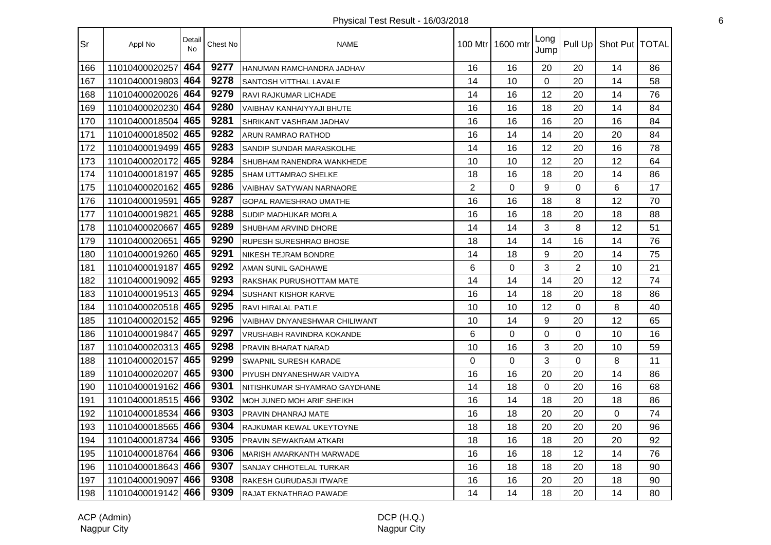| <b>Sr</b> | Appl No            | Detail<br><b>No</b> | Chest No | <b>NAME</b>                    |                | 100 Mtr 1600 mtr | Long<br>Jump   |          | Pull Up   Shot Put   TOTAL |    |
|-----------|--------------------|---------------------|----------|--------------------------------|----------------|------------------|----------------|----------|----------------------------|----|
| 166       | 11010400020257     | 464                 | 9277     | HANUMAN RAMCHANDRA JADHAV      | 16             | 16               | 20             | 20       | 14                         | 86 |
| 167       | 11010400019803     | 464                 | 9278     | SANTOSH VITTHAL LAVALE         | 14             | 10               | $\overline{0}$ | 20       | 14                         | 58 |
| 168       | 11010400020026     | 464                 | 9279     | RAVI RAJKUMAR LICHADE          | 14             | 16               | 12             | 20       | 14                         | 76 |
| 169       | 11010400020230     | 464                 | 9280     | VAIBHAV KANHAIYYAJI BHUTE      | 16             | 16               | 18             | 20       | 14                         | 84 |
| 170       | 11010400018504 465 |                     | 9281     | SHRIKANT VASHRAM JADHAV        | 16             | 16               | 16             | 20       | 16                         | 84 |
| 171       | 11010400018502 465 |                     | 9282     | ARUN RAMRAO RATHOD             | 16             | 14               | 14             | 20       | 20                         | 84 |
| 172       | 11010400019499 465 |                     | 9283     | SANDIP SUNDAR MARASKOLHE       | 14             | 16               | 12             | 20       | 16                         | 78 |
| 173       | 11010400020172 465 |                     | 9284     | SHUBHAM RANENDRA WANKHEDE      | 10             | 10               | 12             | 20       | 12                         | 64 |
| 174       | 11010400018197     | 465                 | 9285     | SHAM UTTAMRAO SHELKE           | 18             | 16               | 18             | 20       | 14                         | 86 |
| 175       | 11010400020162     | 465                 | 9286     | VAIBHAV SATYWAN NARNAORE       | $\overline{2}$ | $\Omega$         | 9              | $\Omega$ | 6                          | 17 |
| 176       | 11010400019591     | 465                 | 9287     | GOPAL RAMESHRAO UMATHE         | 16             | 16               | 18             | 8        | 12                         | 70 |
| 177       | 11010400019821     | 465                 | 9288     | SUDIP MADHUKAR MORLA           | 16             | 16               | 18             | 20       | 18                         | 88 |
| 178       | 11010400020667     | 465                 | 9289     | SHUBHAM ARVIND DHORE           | 14             | 14               | 3              | 8        | 12                         | 51 |
| 179       | 11010400020651     | 465                 | 9290     | <b>RUPESH SURESHRAO BHOSE</b>  | 18             | 14               | 14             | 16       | 14                         | 76 |
| 180       | 11010400019260 465 |                     | 9291     | NIKESH TEJRAM BONDRE           | 14             | 18               | 9              | 20       | 14                         | 75 |
| 181       | 11010400019187     | 465                 | 9292     | <b>AMAN SUNIL GADHAWE</b>      | 6              | 0                | 3              | 2        | 10                         | 21 |
| 182       | 11010400019092     | 465                 | 9293     | RAKSHAK PURUSHOTTAM MATE       | 14             | 14               | 14             | 20       | 12                         | 74 |
| 183       | 11010400019513 465 |                     | 9294     | SUSHANT KISHOR KARVE           | 16             | 14               | 18             | 20       | 18                         | 86 |
| 184       | 11010400020518 465 |                     | 9295     | RAVI HIRALAL PATLE             | 10             | 10               | 12             | 0        | 8                          | 40 |
| 185       | 11010400020152     | 465                 | 9296     | VAIBHAV DNYANESHWAR CHILIWANT  | 10             | 14               | 9              | 20       | 12                         | 65 |
| 186       | 11010400019847     | 465                 | 9297     | VRUSHABH RAVINDRA KOKANDE      | 6              | $\mathbf 0$      | $\overline{0}$ | 0        | 10                         | 16 |
| 187       | 11010400020313     | 465                 | 9298     | PRAVIN BHARAT NARAD            | 10             | 16               | 3              | 20       | 10                         | 59 |
| 188       | 11010400020157     | 465                 | 9299     | <b>SWAPNIL SURESH KARADE</b>   | $\mathbf 0$    | $\mathbf 0$      | 3              | 0        | 8                          | 11 |
| 189       | 11010400020207     | 465                 | 9300     | PIYUSH DNYANESHWAR VAIDYA      | 16             | 16               | 20             | 20       | 14                         | 86 |
| 190       | 11010400019162 466 |                     | 9301     | NITISHKUMAR SHYAMRAO GAYDHANE  | 14             | 18               | $\Omega$       | 20       | 16                         | 68 |
| 191       | 11010400018515 466 |                     | 9302     | MOH JUNED MOH ARIF SHEIKH      | 16             | 14               | 18             | 20       | 18                         | 86 |
| 192       | 11010400018534 466 |                     | 9303     | PRAVIN DHANRAJ MATE            | 16             | 18               | 20             | 20       | $\Omega$                   | 74 |
| 193       | 11010400018565     | 466                 | 9304     | RAJKUMAR KEWAL UKEYTOYNE       | 18             | 18               | 20             | 20       | 20                         | 96 |
| 194       | 11010400018734     | 466                 | 9305     | PRAVIN SEWAKRAM ATKARI         | 18             | 16               | 18             | 20       | 20                         | 92 |
| 195       | 11010400018764     | 466                 | 9306     | MARISH AMARKANTH MARWADE       | 16             | 16               | 18             | 12       | 14                         | 76 |
| 196       | 11010400018643     | 466                 | 9307     | SANJAY CHHOTELAL TURKAR        | 16             | 18               | 18             | 20       | 18                         | 90 |
| 197       | 11010400019097     | 466                 | 9308     | <b>RAKESH GURUDASJI ITWARE</b> | 16             | 16               | 20             | 20       | 18                         | 90 |
| 198       | 11010400019142 466 |                     | 9309     | RAJAT EKNATHRAO PAWADE         | 14             | 14               | 18             | 20       | 14                         | 80 |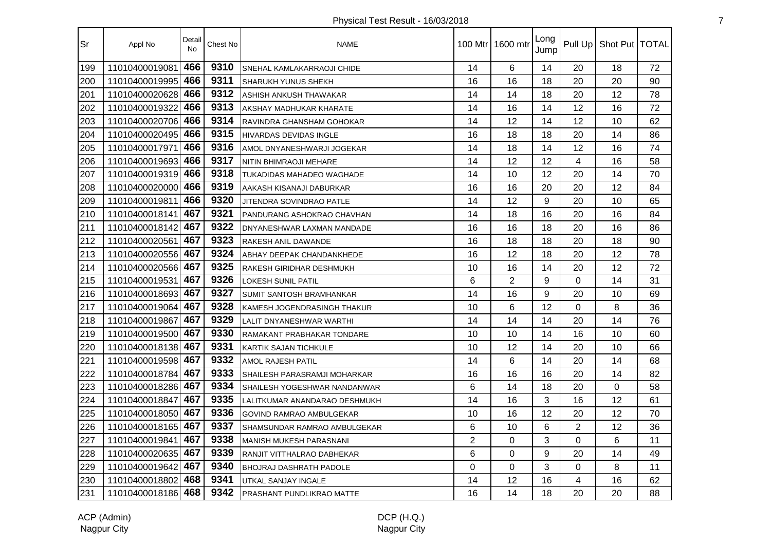| <b>Sr</b> | Appl No            | Detail<br>No | Chest No | <b>NAME</b>                      |                | 100 Mtr 1600 mtr | Long<br>Jump |                | Pull Up   Shot Put   TOTAL |    |
|-----------|--------------------|--------------|----------|----------------------------------|----------------|------------------|--------------|----------------|----------------------------|----|
| 199       | 11010400019081     | 466          | 9310     | SNEHAL KAMLAKARRAOJI CHIDE       | 14             | 6                | 14           | 20             | 18                         | 72 |
| 200       | 11010400019995     | 466          | 9311     | SHARUKH YUNUS SHEKH              | 16             | 16               | 18           | 20             | 20                         | 90 |
| 201       | 11010400020628     | 466          | 9312     | ASHISH ANKUSH THAWAKAR           | 14             | 14               | 18           | 20             | 12                         | 78 |
| 202       | 11010400019322     | 466          | 9313     | AKSHAY MADHUKAR KHARATE          | 14             | 16               | 14           | 12             | 16                         | 72 |
| 203       | 11010400020706 466 |              | 9314     | RAVINDRA GHANSHAM GOHOKAR        | 14             | 12               | 14           | 12             | 10                         | 62 |
| 204       | 11010400020495 466 |              | 9315     | HIVARDAS DEVIDAS INGLE           | 16             | 18               | 18           | 20             | 14                         | 86 |
| 205       | 11010400017971     | 466          | 9316     | AMOL DNYANESHWARJI JOGEKAR       | 14             | 18               | 14           | 12             | 16                         | 74 |
| 206       | 11010400019693 466 |              | 9317     | <b>NITIN BHIMRAOJI MEHARE</b>    | 14             | 12               | 12           | $\overline{4}$ | 16                         | 58 |
| 207       | 11010400019319 466 |              | 9318     | TUKADIDAS MAHADEO WAGHADE        | 14             | 10               | 12           | 20             | 14                         | 70 |
| 208       | 11010400020000 466 |              | 9319     | AAKASH KISANAJI DABURKAR         | 16             | 16               | 20           | 20             | 12                         | 84 |
| 209       | 11010400019811     | 466          | 9320     | JITENDRA SOVINDRAO PATLE         | 14             | 12               | 9            | 20             | 10                         | 65 |
| 210       | 11010400018141     | 467          | 9321     | PANDURANG ASHOKRAO CHAVHAN       | 14             | 18               | 16           | 20             | 16                         | 84 |
| 211       | 11010400018142     | 467          | 9322     | DNYANESHWAR LAXMAN MANDADE       | 16             | 16               | 18           | 20             | 16                         | 86 |
| 212       | 11010400020561     | 467          | 9323     | RAKESH ANIL DAWANDE              | 16             | 18               | 18           | 20             | 18                         | 90 |
| 213       | 11010400020556 467 |              | 9324     | ABHAY DEEPAK CHANDANKHEDE        | 16             | 12               | 18           | 20             | 12                         | 78 |
| 214       | 11010400020566 467 |              | 9325     | RAKESH GIRIDHAR DESHMUKH         | 10             | 16               | 14           | 20             | 12                         | 72 |
| 215       | 11010400019531     | 467          | 9326     | LOKESH SUNIL PATIL               | 6              | $\overline{2}$   | 9            | $\Omega$       | 14                         | 31 |
| 216       | 11010400018693     | 467          | 9327     | <b>SUMIT SANTOSH BRAMHANKAR</b>  | 14             | 16               | 9            | 20             | 10                         | 69 |
| 217       | 11010400019064     | 467          | 9328     | KAMESH JOGENDRASINGH THAKUR      | 10             | 6                | 12           | $\Omega$       | 8                          | 36 |
| 218       | 11010400019867     | 467          | 9329     | <b>LALIT DNYANESHWAR WARTHI</b>  | 14             | 14               | 14           | 20             | 14                         | 76 |
| 219       | 11010400019500     | 467          | 9330     | RAMAKANT PRABHAKAR TONDARE       | 10             | 10               | 14           | 16             | 10                         | 60 |
| 220       | 11010400018138 467 |              | 9331     | <b>KARTIK SAJAN TICHKULE</b>     | 10             | 12               | 14           | 20             | 10                         | 66 |
| 221       | 11010400019598 467 |              | 9332     | AMOL RAJESH PATIL                | 14             | 6                | 14           | 20             | 14                         | 68 |
| 222       | 11010400018784 467 |              | 9333     | SHAILESH PARASRAMJI MOHARKAR     | 16             | 16               | 16           | 20             | 14                         | 82 |
| 223       | 11010400018286 467 |              | 9334     | SHAILESH YOGESHWAR NANDANWAR     | 6              | 14               | 18           | 20             | 0                          | 58 |
| 224       | 11010400018847     | 467          | 9335     | LALITKUMAR ANANDARAO DESHMUKH    | 14             | 16               | 3            | 16             | 12                         | 61 |
| 225       | 11010400018050 467 |              | 9336     | GOVIND RAMRAO AMBULGEKAR         | 10             | 16               | 12           | 20             | 12                         | 70 |
| 226       | 11010400018165     | 467          | 9337     | SHAMSUNDAR RAMRAO AMBULGEKAR     | 6              | 10               | 6            | $\overline{2}$ | 12                         | 36 |
| 227       | 11010400019841     | 467          | 9338     | MANISH MUKESH PARASNANI          | $\overline{2}$ | 0                | 3            | 0              | 6                          | 11 |
| 228       | 11010400020635     | 467          | 9339     | RANJIT VITTHALRAO DABHEKAR       | 6              | $\mathbf 0$      | 9            | 20             | 14                         | 49 |
| 229       | 11010400019642     | 467          | 9340     | <b>BHOJRAJ DASHRATH PADOLE</b>   | $\Omega$       | $\Omega$         | 3            | $\Omega$       | 8                          | 11 |
| 230       | 11010400018802 468 |              | 9341     | UTKAL SANJAY INGALE              | 14             | 12               | 16           | 4              | 16                         | 62 |
| 231       | 11010400018186 468 |              | 9342     | <b>PRASHANT PUNDLIKRAO MATTE</b> | 16             | 14               | 18           | 20             | 20                         | 88 |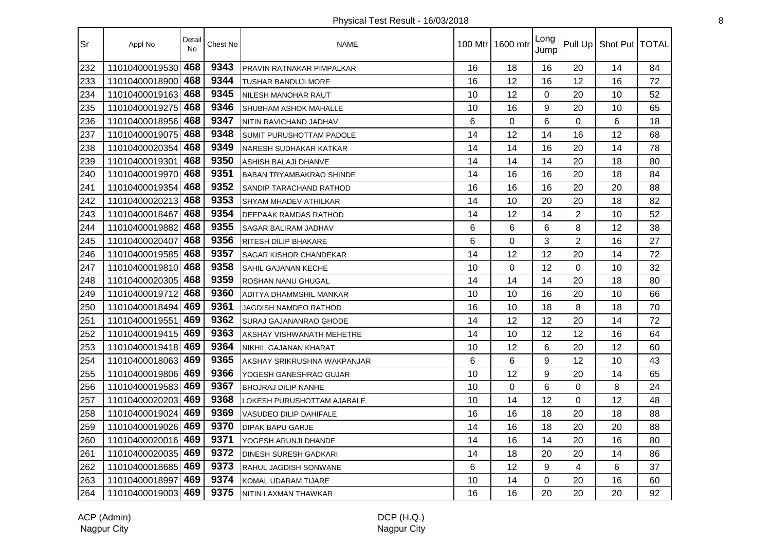| Sr  | Appl No            | Detail<br><b>No</b> | Chest No | <b>NAME</b>                     |    | 100 Mtr 1600 mtr | Long<br>Jump |                | Pull Up   Shot Put   TOTAL |    |
|-----|--------------------|---------------------|----------|---------------------------------|----|------------------|--------------|----------------|----------------------------|----|
| 232 | 11010400019530     | 468                 | 9343     | PRAVIN RATNAKAR PIMPALKAR       | 16 | 18               | 16           | 20             | 14                         | 84 |
| 233 | 11010400018900     | 468                 | 9344     | <b>TUSHAR BANDUJI MORE</b>      | 16 | 12               | 16           | 12             | 16                         | 72 |
| 234 | 11010400019163     | 468                 | 9345     | <b>NILESH MANOHAR RAUT</b>      | 10 | 12               | $\Omega$     | 20             | 10                         | 52 |
| 235 | 11010400019275     | 468                 | 9346     | SHUBHAM ASHOK MAHALLE           | 10 | 16               | 9            | 20             | 10                         | 65 |
| 236 | 11010400018956 468 |                     | 9347     | NITIN RAVICHAND JADHAV          | 6  | $\Omega$         | 6            | 0              | 6                          | 18 |
| 237 | 11010400019075 468 |                     | 9348     | <b>SUMIT PURUSHOTTAM PADOLE</b> | 14 | 12               | 14           | 16             | 12                         | 68 |
| 238 | 11010400020354 468 |                     | 9349     | NARESH SUDHAKAR KATKAR          | 14 | 14               | 16           | 20             | 14                         | 78 |
| 239 | 11010400019301     | 468                 | 9350     | ASHISH BALAJI DHANVE            | 14 | 14               | 14           | 20             | 18                         | 80 |
| 240 | 11010400019970 468 |                     | 9351     | <b>BABAN TRYAMBAKRAO SHINDE</b> | 14 | 16               | 16           | 20             | 18                         | 84 |
| 241 | 11010400019354     | 468                 | 9352     | SANDIP TARACHAND RATHOD         | 16 | 16               | 16           | 20             | 20                         | 88 |
| 242 | 11010400020213     | 468                 | 9353     | SHYAM MHADEV ATHILKAR           | 14 | 10               | 20           | 20             | 18                         | 82 |
| 243 | 11010400018467     | 468                 | 9354     | <b>DEEPAAK RAMDAS RATHOD</b>    | 14 | 12               | 14           | $\overline{2}$ | 10                         | 52 |
| 244 | 11010400019882     | 468                 | 9355     | SAGAR BALIRAM JADHAV            | 6  | 6                | 6            | 8              | 12                         | 38 |
| 245 | 11010400020407     | 468                 | 9356     | RITESH DILIP BHAKARE            | 6  | 0                | 3            | $\overline{2}$ | 16                         | 27 |
| 246 | 11010400019585     | 468                 | 9357     | <b>SAGAR KISHOR CHANDEKAR</b>   | 14 | 12               | 12           | 20             | 14                         | 72 |
| 247 | 11010400019810 468 |                     | 9358     | <b>SAHIL GAJANAN KECHE</b>      | 10 | $\mathbf 0$      | 12           | $\Omega$       | 10                         | 32 |
| 248 | 11010400020305     | 468                 | 9359     | ROSHAN NANU GHUGAL              | 14 | 14               | 14           | 20             | 18                         | 80 |
| 249 | 11010400019712     | 468                 | 9360     | ADITYA DHAMMSHIL MANKAR         | 10 | 10               | 16           | 20             | 10                         | 66 |
| 250 | 11010400018494     | 469                 | 9361     | JAGDISH NAMDEO RATHOD           | 16 | 10               | 18           | 8              | 18                         | 70 |
| 251 | 11010400019551     | 469                 | 9362     | SURAJ GAJANANRAO GHODE          | 14 | 12               | 12           | 20             | 14                         | 72 |
| 252 | 11010400019415     | 469                 | 9363     | AKSHAY VISHWANATH MEHETRE       | 14 | 10               | 12           | 12             | 16                         | 64 |
| 253 | 11010400019418 469 |                     | 9364     | NIKHIL GAJANAN KHARAT           | 10 | 12               | 6            | 20             | 12                         | 60 |
| 254 | 11010400018063 469 |                     | 9365     | AKSHAY SRIKRUSHNA WAKPANJAR     | 6  | 6                | 9            | 12             | 10                         | 43 |
| 255 | 11010400019806 469 |                     | 9366     | YOGESH GANESHRAO GUJAR          | 10 | 12               | 9            | 20             | 14                         | 65 |
| 256 | 11010400019583 469 |                     | 9367     | <b>BHOJRAJ DILIP NANHE</b>      | 10 | $\overline{0}$   | 6            | 0              | 8                          | 24 |
| 257 | 11010400020203     | 469                 | 9368     | LOKESH PURUSHOTTAM AJABALE      | 10 | 14               | 12           | 0              | 12                         | 48 |
| 258 | 11010400019024 469 |                     | 9369     | VASUDEO DILIP DAHIFALE          | 16 | 16               | 18           | 20             | 18                         | 88 |
| 259 | 11010400019026 469 |                     | 9370     | <b>DIPAK BAPU GARJE</b>         | 14 | 16               | 18           | 20             | 20                         | 88 |
| 260 | 11010400020016     | 469                 | 9371     | YOGESH ARUNJI DHANDE            | 14 | 16               | 14           | 20             | 16                         | 80 |
| 261 | 11010400020035     | 469                 | 9372     | <b>DINESH SURESH GADKARI</b>    | 14 | 18               | 20           | 20             | 14                         | 86 |
| 262 | 11010400018685 469 |                     | 9373     | RAHUL JAGDISH SONWANE           | 6  | 12               | 9            | 4              | 6                          | 37 |
| 263 | 11010400018997     | 469                 | 9374     | KOMAL UDARAM TIJARE             | 10 | 14               | 0            | 20             | 16                         | 60 |
| 264 | 11010400019003 469 |                     | 9375     | NITIN LAXMAN THAWKAR            | 16 | 16               | 20           | 20             | 20                         | 92 |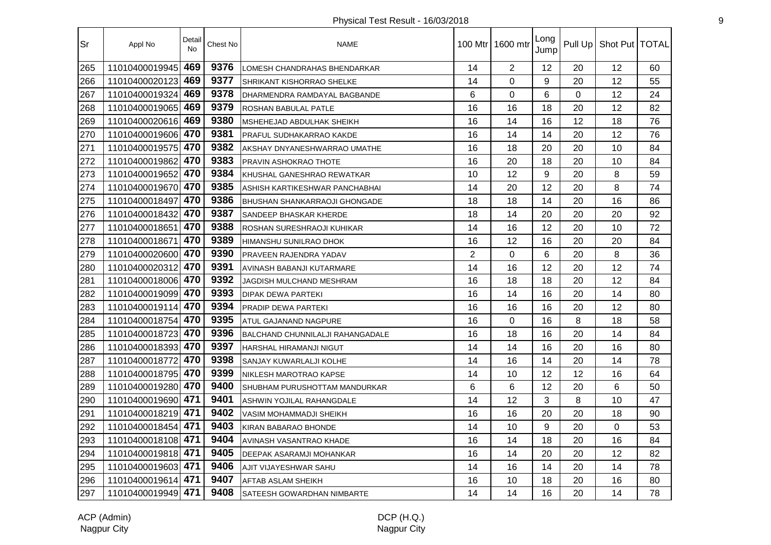| <b>Sr</b> | Appl No            | Detail<br><b>No</b> | Chest No | <b>NAME</b>                             |    | 100 Mtr 1600 mtr | Long<br>Jump |    | Pull Up   Shot Put   TOTAL |    |
|-----------|--------------------|---------------------|----------|-----------------------------------------|----|------------------|--------------|----|----------------------------|----|
| 265       | 11010400019945     | 469                 | 9376     | LOMESH CHANDRAHAS BHENDARKAR            | 14 | $\overline{2}$   | 12           | 20 | 12                         | 60 |
| 266       | 11010400020123     | 469                 | 9377     | SHRIKANT KISHORRAO SHELKE               | 14 | $\mathbf 0$      | 9            | 20 | 12                         | 55 |
| 267       | 11010400019324     | 469                 | 9378     | DHARMENDRA RAMDAYAL BAGBANDE            | 6  | 0                | 6            | 0  | 12                         | 24 |
| 268       | 11010400019065     | 469                 | 9379     | ROSHAN BABULAL PATLE                    | 16 | 16               | 18           | 20 | 12                         | 82 |
| 269       | 11010400020616 469 |                     | 9380     | MSHEHEJAD ABDULHAK SHEIKH               | 16 | 14               | 16           | 12 | 18                         | 76 |
| 270       | 11010400019606 470 |                     | 9381     | PRAFUL SUDHAKARRAO KAKDE                | 16 | 14               | 14           | 20 | 12                         | 76 |
| 271       | 11010400019575 470 |                     | 9382     | AKSHAY DNYANESHWARRAO UMATHE            | 16 | 18               | 20           | 20 | 10                         | 84 |
| 272       | 11010400019862     | 470                 | 9383     | PRAVIN ASHOKRAO THOTE                   | 16 | 20               | 18           | 20 | 10                         | 84 |
| 273       | 11010400019652     | 470                 | 9384     | KHUSHAL GANESHRAO REWATKAR              | 10 | 12               | 9            | 20 | 8                          | 59 |
| 274       | 11010400019670 470 |                     | 9385     | ASHISH KARTIKESHWAR PANCHABHAI          | 14 | 20               | 12           | 20 | 8                          | 74 |
| 275       | 11010400018497     | 470                 | 9386     | BHUSHAN SHANKARRAOJI GHONGADE           | 18 | 18               | 14           | 20 | 16                         | 86 |
| 276       | 11010400018432     | 470                 | 9387     | SANDEEP BHASKAR KHERDE                  | 18 | 14               | 20           | 20 | 20                         | 92 |
| 277       | 11010400018651     | 470                 | 9388     | ROSHAN SURESHRAOJI KUHIKAR              | 14 | 16               | 12           | 20 | 10                         | 72 |
| 278       | 11010400018671     | 470                 | 9389     | HIMANSHU SUNILRAO DHOK                  | 16 | 12               | 16           | 20 | 20                         | 84 |
| 279       | 11010400020600 470 |                     | 9390     | PRAVEEN RAJENDRA YADAV                  | 2  | $\Omega$         | 6            | 20 | 8                          | 36 |
| 280       | 11010400020312 470 |                     | 9391     | AVINASH BABANJI KUTARMARE               | 14 | 16               | 12           | 20 | 12                         | 74 |
| 281       | 11010400018006 470 |                     | 9392     | JAGDISH MULCHAND MESHRAM                | 16 | 18               | 18           | 20 | 12                         | 84 |
| 282       | 11010400019099     | 470                 | 9393     | <b>DIPAK DEWA PARTEKI</b>               | 16 | 14               | 16           | 20 | 14                         | 80 |
| 283       | 11010400019114 470 |                     | 9394     | PRADIP DEWA PARTEKI                     | 16 | 16               | 16           | 20 | 12                         | 80 |
| 284       | 11010400018754     | 470                 | 9395     | ATUL GAJANAND NAGPURE                   | 16 | 0                | 16           | 8  | 18                         | 58 |
| 285       | 11010400018723     | 470                 | 9396     | <b>BALCHAND CHUNNILALJI RAHANGADALE</b> | 16 | 18               | 16           | 20 | 14                         | 84 |
| 286       | 11010400018393     | 470                 | 9397     | HARSHAL HIRAMANJI NIGUT                 | 14 | 14               | 16           | 20 | 16                         | 80 |
| 287       | 11010400018772 470 |                     | 9398     | SANJAY KUWARLALJI KOLHE                 | 14 | 16               | 14           | 20 | 14                         | 78 |
| 288       | 11010400018795 470 |                     | 9399     | NIKLESH MAROTRAO KAPSE                  | 14 | 10               | 12           | 12 | 16                         | 64 |
| 289       | 11010400019280 470 |                     | 9400     | SHUBHAM PURUSHOTTAM MANDURKAR           | 6  | 6                | 12           | 20 | 6                          | 50 |
| 290       | 11010400019690 471 |                     | 9401     | ASHWIN YOJILAL RAHANGDALE               | 14 | 12               | 3            | 8  | 10                         | 47 |
| 291       | 11010400018219 471 |                     | 9402     | VASIM MOHAMMADJI SHEIKH                 | 16 | 16               | 20           | 20 | 18                         | 90 |
| 292       | 11010400018454 471 |                     | 9403     | KIRAN BABARAO BHONDE                    | 14 | 10               | 9            | 20 | $\Omega$                   | 53 |
| 293       | 11010400018108     | 471                 | 9404     | AVINASH VASANTRAO KHADE                 | 16 | 14               | 18           | 20 | 16                         | 84 |
| 294       | 11010400019818 471 |                     | 9405     | DEEPAK ASARAMJI MOHANKAR                | 16 | 14               | 20           | 20 | 12                         | 82 |
| 295       | 11010400019603 471 |                     | 9406     | AJIT VIJAYESHWAR SAHU                   | 14 | 16               | 14           | 20 | 14                         | 78 |
| 296       | 11010400019614 471 |                     | 9407     | <b>AFTAB ASLAM SHEIKH</b>               | 16 | 10               | 18           | 20 | 16                         | 80 |
| 297       | 11010400019949 471 |                     | 9408     | SATEESH GOWARDHAN NIMBARTE              | 14 | 14               | 16           | 20 | 14                         | 78 |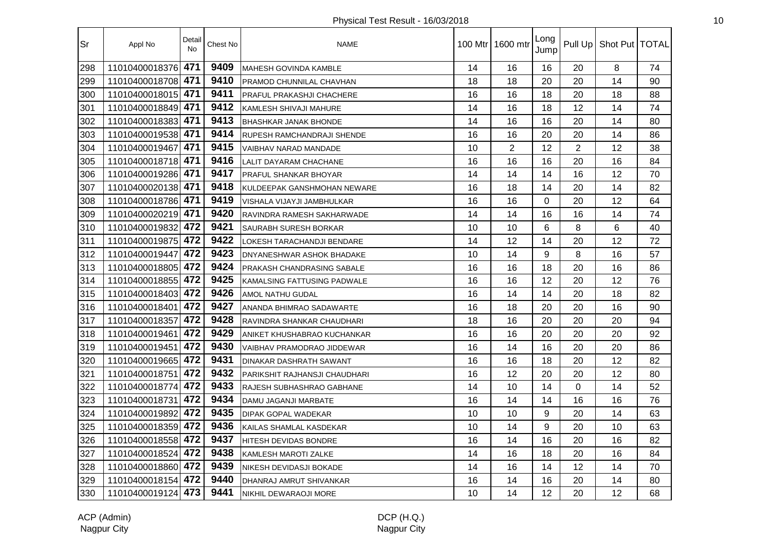| Sr  | Appl No            | Detail<br>No | Chest No | <b>NAME</b>                       |    | 100 Mtr   1600 mtr | Long<br>Jump |                | Pull Up   Shot Put   TOTAL |    |
|-----|--------------------|--------------|----------|-----------------------------------|----|--------------------|--------------|----------------|----------------------------|----|
| 298 | 11010400018376     | 471          | 9409     | <b>MAHESH GOVINDA KAMBLE</b>      | 14 | 16                 | 16           | 20             | 8                          | 74 |
| 299 | 11010400018708     | 471          | 9410     | PRAMOD CHUNNILAL CHAVHAN          | 18 | 18                 | 20           | 20             | 14                         | 90 |
| 300 | 11010400018015     | 471          | 9411     | PRAFUL PRAKASHJI CHACHERE         | 16 | 16                 | 18           | 20             | 18                         | 88 |
| 301 | 11010400018849 471 |              | 9412     | KAMLESH SHIVAJI MAHURE            | 14 | 16                 | 18           | 12             | 14                         | 74 |
| 302 | 11010400018383 471 |              | 9413     | <b>BHASHKAR JANAK BHONDE</b>      | 14 | 16                 | 16           | 20             | 14                         | 80 |
| 303 | 11010400019538 471 |              | 9414     | RUPESH RAMCHANDRAJI SHENDE        | 16 | 16                 | 20           | 20             | 14                         | 86 |
| 304 | 11010400019467     | 471          | 9415     | <b>VAIBHAV NARAD MANDADE</b>      | 10 | $\overline{2}$     | 12           | $\overline{2}$ | 12                         | 38 |
| 305 | 11010400018718 471 |              | 9416     | LALIT DAYARAM CHACHANE            | 16 | 16                 | 16           | 20             | 16                         | 84 |
| 306 | 11010400019286     | 471          | 9417     | PRAFUL SHANKAR BHOYAR             | 14 | 14                 | 14           | 16             | 12                         | 70 |
| 307 | 11010400020138 471 |              | 9418     | KULDEEPAK GANSHMOHAN NEWARE       | 16 | 18                 | 14           | 20             | 14                         | 82 |
| 308 | 11010400018786     | 471          | 9419     | VISHALA VIJAYJI JAMBHULKAR        | 16 | 16                 | $\Omega$     | 20             | 12                         | 64 |
| 309 | 11010400020219 471 |              | 9420     | RAVINDRA RAMESH SAKHARWADE        | 14 | 14                 | 16           | 16             | 14                         | 74 |
| 310 | 11010400019832     | 472          | 9421     | SAURABH SURESH BORKAR             | 10 | 10                 | 6            | 8              | 6                          | 40 |
| 311 | 11010400019875 472 |              | 9422     | <b>LOKESH TARACHANDJI BENDARE</b> | 14 | 12                 | 14           | 20             | 12                         | 72 |
| 312 | 11010400019447     | 472          | 9423     | DNYANESHWAR ASHOK BHADAKE         | 10 | 14                 | 9            | 8              | 16                         | 57 |
| 313 | 11010400018805 472 |              | 9424     | PRAKASH CHANDRASING SABALE        | 16 | 16                 | 18           | 20             | 16                         | 86 |
| 314 | 11010400018855     | 472          | 9425     | KAMALSING FATTUSING PADWALE       | 16 | 16                 | 12           | 20             | 12                         | 76 |
| 315 | 11010400018403     | 472          | 9426     | AMOL NATHU GUDAL                  | 16 | 14                 | 14           | 20             | 18                         | 82 |
| 316 | 11010400018401     | 472          | 9427     | ANANDA BHIMRAO SADAWARTE          | 16 | 18                 | 20           | 20             | 16                         | 90 |
| 317 | 11010400018357     | 472          | 9428     | RAVINDRA SHANKAR CHAUDHARI        | 18 | 16                 | 20           | 20             | 20                         | 94 |
| 318 | 11010400019461     | 472          | 9429     | ANIKET KHUSHABRAO KUCHANKAR       | 16 | 16                 | 20           | 20             | 20                         | 92 |
| 319 | 11010400019451     | 472          | 9430     | VAIBHAV PRAMODRAO JIDDEWAR        | 16 | 14                 | 16           | 20             | 20                         | 86 |
| 320 | 11010400019665 472 |              | 9431     | DINAKAR DASHRATH SAWANT           | 16 | 16                 | 18           | 20             | 12                         | 82 |
| 321 | 11010400018751     | 472          | 9432     | PARIKSHIT RAJHANSJI CHAUDHARI     | 16 | 12                 | 20           | 20             | 12                         | 80 |
| 322 | 11010400018774 472 |              | 9433     | RAJESH SUBHASHRAO GABHANE         | 14 | 10                 | 14           | $\Omega$       | 14                         | 52 |
| 323 | 11010400018731     | 472          | 9434     | DAMU JAGANJI MARBATE              | 16 | 14                 | 14           | 16             | 16                         | 76 |
| 324 | 11010400019892     | 472          | 9435     | <b>DIPAK GOPAL WADEKAR</b>        | 10 | 10                 | 9            | 20             | 14                         | 63 |
| 325 | 11010400018359 472 |              | 9436     | KAILAS SHAMLAL KASDEKAR           | 10 | 14                 | 9            | 20             | 10                         | 63 |
| 326 | 11010400018558     | 472          | 9437     | HITESH DEVIDAS BONDRE             | 16 | 14                 | 16           | 20             | 16                         | 82 |
| 327 | 11010400018524     | 472          | 9438     | KAMLESH MAROTI ZALKE              | 14 | 16                 | 18           | 20             | 16                         | 84 |
| 328 | 11010400018860 472 |              | 9439     | NIKESH DEVIDASJI BOKADE           | 14 | 16                 | 14           | 12             | 14                         | 70 |
| 329 | 11010400018154 472 |              | 9440     | DHANRAJ AMRUT SHIVANKAR           | 16 | 14                 | 16           | 20             | 14                         | 80 |
| 330 | 11010400019124 473 |              | 9441     | NIKHIL DEWARAOJI MORE             | 10 | 14                 | 12           | 20             | 12                         | 68 |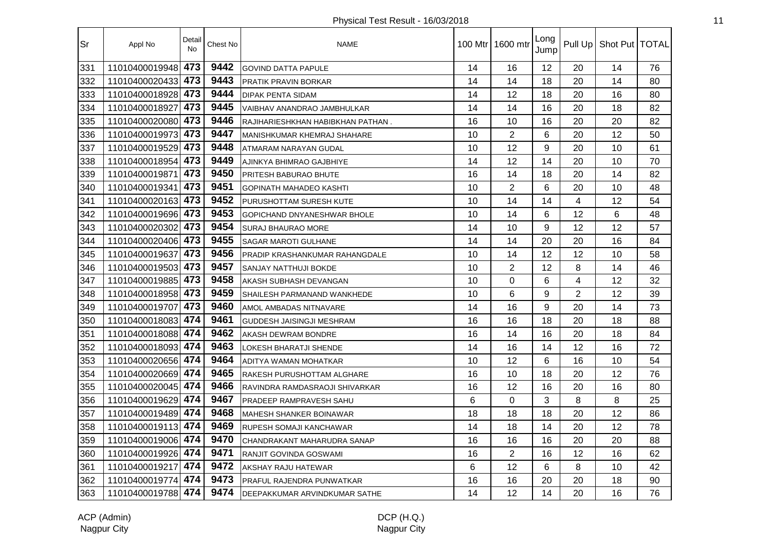| Sr  | Appl No            | Detail<br><b>No</b> | Chest No | <b>NAME</b>                       |    | 100 Mtr   1600 mtr | Long<br>Jump | Pull Up        | Shot Put   TOTAL |    |
|-----|--------------------|---------------------|----------|-----------------------------------|----|--------------------|--------------|----------------|------------------|----|
| 331 | 11010400019948     | 473                 | 9442     | <b>GOVIND DATTA PAPULE</b>        | 14 | 16                 | 12           | 20             | 14               | 76 |
| 332 | 11010400020433     | 473                 | 9443     | PRATIK PRAVIN BORKAR              | 14 | 14                 | 18           | 20             | 14               | 80 |
| 333 | 11010400018928 473 |                     | 9444     | <b>DIPAK PENTA SIDAM</b>          | 14 | 12                 | 18           | 20             | 16               | 80 |
| 334 | 11010400018927     | 473                 | 9445     | VAIBHAV ANANDRAO JAMBHULKAR       | 14 | 14                 | 16           | 20             | 18               | 82 |
| 335 | 11010400020080     | 473                 | 9446     | RAJIHARIESHKHAN HABIBKHAN PATHAN. | 16 | 10                 | 16           | 20             | 20               | 82 |
| 336 | 11010400019973 473 |                     | 9447     | MANISHKUMAR KHEMRAJ SHAHARE       | 10 | $\overline{2}$     | 6            | 20             | 12               | 50 |
| 337 | 11010400019529 473 |                     | 9448     | ATMARAM NARAYAN GUDAL             | 10 | 12                 | 9            | 20             | 10               | 61 |
| 338 | 11010400018954 473 |                     | 9449     | AJINKYA BHIMRAO GAJBHIYE          | 14 | 12                 | 14           | 20             | 10               | 70 |
| 339 | 11010400019871     | 473                 | 9450     | PRITESH BABURAO BHUTE             | 16 | 14                 | 18           | 20             | 14               | 82 |
| 340 | 11010400019341     | 473                 | 9451     | <b>GOPINATH MAHADEO KASHTI</b>    | 10 | $\overline{2}$     | 6            | 20             | 10               | 48 |
| 341 | 11010400020163 473 |                     | 9452     | PURUSHOTTAM SURESH KUTE           | 10 | 14                 | 14           | 4              | 12               | 54 |
| 342 | 11010400019696 473 |                     | 9453     | GOPICHAND DNYANESHWAR BHOLE       | 10 | 14                 | 6            | 12             | 6                | 48 |
| 343 | 11010400020302     | 473                 | 9454     | <b>SURAJ BHAURAO MORE</b>         | 14 | 10                 | 9            | 12             | 12               | 57 |
| 344 | 11010400020406 473 |                     | 9455     | <b>SAGAR MAROTI GULHANE</b>       | 14 | 14                 | 20           | 20             | 16               | 84 |
| 345 | 11010400019637     | 473                 | 9456     | PRADIP KRASHANKUMAR RAHANGDALE    | 10 | 14                 | 12           | 12             | 10               | 58 |
| 346 | 11010400019503 473 |                     | 9457     | <b>SANJAY NATTHUJI BOKDE</b>      | 10 | $\overline{2}$     | 12           | 8              | 14               | 46 |
| 347 | 11010400019885 473 |                     | 9458     | AKASH SUBHASH DEVANGAN            | 10 | 0                  | 6            | $\overline{4}$ | 12               | 32 |
| 348 | 11010400018958     | 473                 | 9459     | SHAILESH PARMANAND WANKHEDE       | 10 | 6                  | 9            | $\overline{2}$ | 12               | 39 |
| 349 | 11010400019707     | 473                 | 9460     | AMOL AMBADAS NITNAVARE            | 14 | 16                 | 9            | 20             | 14               | 73 |
| 350 | 11010400018083 474 |                     | 9461     | <b>GUDDESH JAISINGJI MESHRAM</b>  | 16 | 16                 | 18           | 20             | 18               | 88 |
| 351 | 11010400018088 474 |                     | 9462     | AKASH DEWRAM BONDRE               | 16 | 14                 | 16           | 20             | 18               | 84 |
| 352 | 11010400018093 474 |                     | 9463     | LOKESH BHARATJI SHENDE            | 14 | 16                 | 14           | 12             | 16               | 72 |
| 353 | 11010400020656 474 |                     | 9464     | ADITYA WAMAN MOHATKAR             | 10 | 12                 | 6            | 16             | 10               | 54 |
| 354 | 11010400020669 474 |                     | 9465     | RAKESH PURUSHOTTAM ALGHARE        | 16 | 10                 | 18           | 20             | 12               | 76 |
| 355 | 11010400020045 474 |                     | 9466     | RAVINDRA RAMDASRAOJI SHIVARKAR    | 16 | 12                 | 16           | 20             | 16               | 80 |
| 356 | 11010400019629 474 |                     | 9467     | PRADEEP RAMPRAVESH SAHU           | 6  | $\mathbf 0$        | 3            | 8              | 8                | 25 |
| 357 | 11010400019489 474 |                     | 9468     | MAHESH SHANKER BOINAWAR           | 18 | 18                 | 18           | 20             | 12               | 86 |
| 358 | 11010400019113 474 |                     | 9469     | <b>RUPESH SOMAJI KANCHAWAR</b>    | 14 | 18                 | 14           | 20             | 12               | 78 |
| 359 | 11010400019006 474 |                     | 9470     | CHANDRAKANT MAHARUDRA SANAP       | 16 | 16                 | 16           | 20             | 20               | 88 |
| 360 | 11010400019926 474 |                     | 9471     | RANJIT GOVINDA GOSWAMI            | 16 | $\overline{2}$     | 16           | 12             | 16               | 62 |
| 361 | 11010400019217     | 474                 | 9472     | AKSHAY RAJU HATEWAR               | 6  | 12                 | 6            | 8              | 10               | 42 |
| 362 | 11010400019774 474 |                     | 9473     | <b>PRAFUL RAJENDRA PUNWATKAR</b>  | 16 | 16                 | 20           | 20             | 18               | 90 |
| 363 | 11010400019788 474 |                     | 9474     | DEEPAKKUMAR ARVINDKUMAR SATHE     | 14 | 12                 | 14           | 20             | 16               | 76 |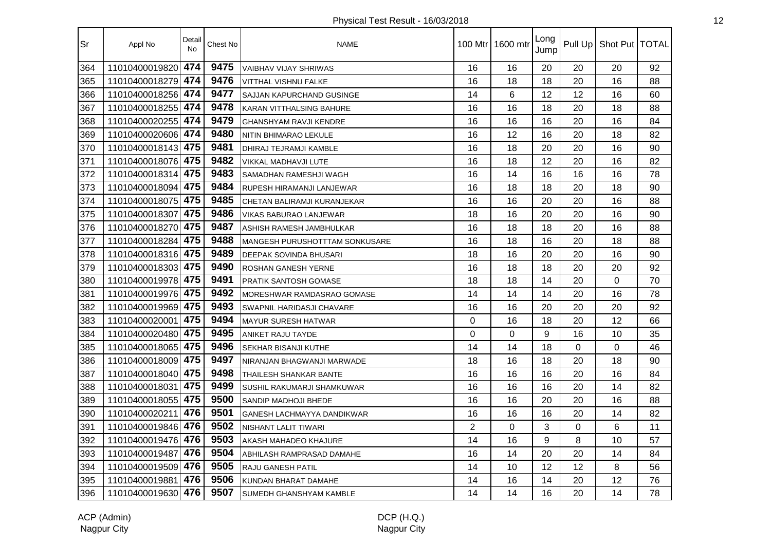| Sr  | Appl No            | Detail<br><b>No</b> | Chest No | <b>NAME</b>                           |                | 100 Mtr   1600 mtr | Long<br>Jump |    | Pull Up   Shot Put   TOTAL |    |
|-----|--------------------|---------------------|----------|---------------------------------------|----------------|--------------------|--------------|----|----------------------------|----|
| 364 | 11010400019820     | 474                 | 9475     | <b>VAIBHAV VIJAY SHRIWAS</b>          | 16             | 16                 | 20           | 20 | 20                         | 92 |
| 365 | 11010400018279     | 474                 | 9476     | <b>VITTHAL VISHNU FALKE</b>           | 16             | 18                 | 18           | 20 | 16                         | 88 |
| 366 | 11010400018256     | 474                 | 9477     | SAJJAN KAPURCHAND GUSINGE             | 14             | 6                  | 12           | 12 | 16                         | 60 |
| 367 | 11010400018255 474 |                     | 9478     | <b>KARAN VITTHALSING BAHURE</b>       | 16             | 16                 | 18           | 20 | 18                         | 88 |
| 368 | 11010400020255 474 |                     | 9479     | <b>GHANSHYAM RAVJI KENDRE</b>         | 16             | 16                 | 16           | 20 | 16                         | 84 |
| 369 | 11010400020606 474 |                     | 9480     | NITIN BHIMARAO LEKULE                 | 16             | 12                 | 16           | 20 | 18                         | 82 |
| 370 | 11010400018143 475 |                     | 9481     | DHIRAJ TEJRAMJI KAMBLE                | 16             | 18                 | 20           | 20 | 16                         | 90 |
| 371 | 11010400018076 475 |                     | 9482     | VIKKAL MADHAVJI LUTE                  | 16             | 18                 | 12           | 20 | 16                         | 82 |
| 372 | 11010400018314     | 475                 | 9483     | SAMADHAN RAMESHJI WAGH                | 16             | 14                 | 16           | 16 | 16                         | 78 |
| 373 | 11010400018094     | 475                 | 9484     | RUPESH HIRAMANJI LANJEWAR             | 16             | 18                 | 18           | 20 | 18                         | 90 |
| 374 | 11010400018075     | 475                 | 9485     | CHETAN BALIRAMJI KURANJEKAR           | 16             | 16                 | 20           | 20 | 16                         | 88 |
| 375 | 11010400018307     | 475                 | 9486     | <b>VIKAS BABURAO LANJEWAR</b>         | 18             | 16                 | 20           | 20 | 16                         | 90 |
| 376 | 11010400018270 475 |                     | 9487     | ASHISH RAMESH JAMBHULKAR              | 16             | 18                 | 18           | 20 | 16                         | 88 |
| 377 | 11010400018284 475 |                     | 9488     | <b>MANGESH PURUSHOTTTAM SONKUSARE</b> | 16             | 18                 | 16           | 20 | 18                         | 88 |
| 378 | 11010400018316 475 |                     | 9489     | <b>DEEPAK SOVINDA BHUSARI</b>         | 18             | 16                 | 20           | 20 | 16                         | 90 |
| 379 | 11010400018303 475 |                     | 9490     | <b>ROSHAN GANESH YERNE</b>            | 16             | 18                 | 18           | 20 | 20                         | 92 |
| 380 | 11010400019978     | 475                 | 9491     | <b>PRATIK SANTOSH GOMASE</b>          | 18             | 18                 | 14           | 20 | $\Omega$                   | 70 |
| 381 | 11010400019976     | 475                 | 9492     | <b>MORESHWAR RAMDASRAO GOMASE</b>     | 14             | 14                 | 14           | 20 | 16                         | 78 |
| 382 | 11010400019969     | 475                 | 9493     | <b>SWAPNIL HARIDASJI CHAVARE</b>      | 16             | 16                 | 20           | 20 | 20                         | 92 |
| 383 | 11010400020001     | 475                 | 9494     | <b>MAYUR SURESH HATWAR</b>            | $\mathbf 0$    | 16                 | 18           | 20 | 12                         | 66 |
| 384 | 11010400020480     | 475                 | 9495     | ANIKET RAJU TAYDE                     | $\mathbf 0$    | $\mathbf 0$        | 9            | 16 | 10                         | 35 |
| 385 | 11010400018065 475 |                     | 9496     | <b>SEKHAR BISANJI KUTHE</b>           | 14             | 14                 | 18           | 0  | $\overline{0}$             | 46 |
| 386 | 11010400018009 475 |                     | 9497     | NIRANJAN BHAGWANJI MARWADE            | 18             | 16                 | 18           | 20 | 18                         | 90 |
| 387 | 11010400018040 475 |                     | 9498     | <b>THAILESH SHANKAR BANTE</b>         | 16             | 16                 | 16           | 20 | 16                         | 84 |
| 388 | 11010400018031     | 475                 | 9499     | <b>SUSHIL RAKUMARJI SHAMKUWAR</b>     | 16             | 16                 | 16           | 20 | 14                         | 82 |
| 389 | 11010400018055     | 475                 | 9500     | SANDIP MADHOJI BHEDE                  | 16             | 16                 | 20           | 20 | 16                         | 88 |
| 390 | 11010400020211     | 476                 | 9501     | <b>GANESH LACHMAYYA DANDIKWAR</b>     | 16             | 16                 | 16           | 20 | 14                         | 82 |
| 391 | 11010400019846     | 476                 | 9502     | <b>NISHANT LALIT TIWARI</b>           | $\overline{2}$ | 0                  | 3            | 0  | 6                          | 11 |
| 392 | 11010400019476     | 476                 | 9503     | AKASH MAHADEO KHAJURE                 | 14             | 16                 | 9            | 8  | 10                         | 57 |
| 393 | 11010400019487     | 476                 | 9504     | ABHILASH RAMPRASAD DAMAHE             | 16             | 14                 | 20           | 20 | 14                         | 84 |
| 394 | 11010400019509 476 |                     | 9505     | RAJU GANESH PATIL                     | 14             | 10                 | 12           | 12 | 8                          | 56 |
| 395 | 11010400019881     | 476                 | 9506     | KUNDAN BHARAT DAMAHE                  | 14             | 16                 | 14           | 20 | 12                         | 76 |
| 396 | 11010400019630 476 |                     | 9507     | SUMEDH GHANSHYAM KAMBLE               | 14             | 14                 | 16           | 20 | 14                         | 78 |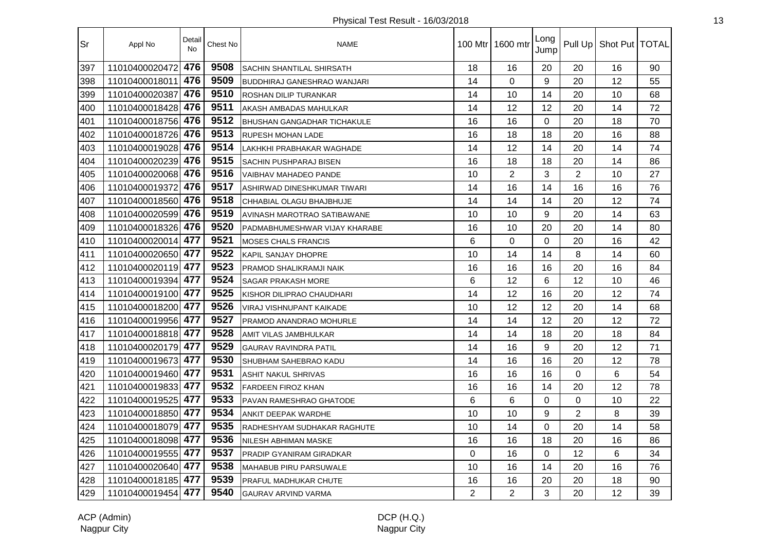| Sr  | Appl No            | Detail<br><b>No</b> | Chest No | <b>NAME</b>                        |                | 100 Mtr   1600 mtr | Long<br>Jump |                | Pull Up   Shot Put   TOTAL |    |
|-----|--------------------|---------------------|----------|------------------------------------|----------------|--------------------|--------------|----------------|----------------------------|----|
| 397 | 11010400020472     | 476                 | 9508     | <b>SACHIN SHANTILAL SHIRSATH</b>   | 18             | 16                 | 20           | 20             | 16                         | 90 |
| 398 | 11010400018011     | 476                 | 9509     | <b>BUDDHIRAJ GANESHRAO WANJARI</b> | 14             | $\mathbf 0$        | 9            | 20             | 12                         | 55 |
| 399 | 11010400020387     | 476                 | 9510     | <b>ROSHAN DILIP TURANKAR</b>       | 14             | 10                 | 14           | 20             | 10                         | 68 |
| 400 | 11010400018428     | 476                 | 9511     | AKASH AMBADAS MAHULKAR             | 14             | 12                 | 12           | 20             | 14                         | 72 |
| 401 | 11010400018756 476 |                     | 9512     | <b>BHUSHAN GANGADHAR TICHAKULE</b> | 16             | 16                 | 0            | 20             | 18                         | 70 |
| 402 | 11010400018726 476 |                     | 9513     | <b>RUPESH MOHAN LADE</b>           | 16             | 18                 | 18           | 20             | 16                         | 88 |
| 403 | 11010400019028 476 |                     | 9514     | LAKHKHI PRABHAKAR WAGHADE          | 14             | 12                 | 14           | 20             | 14                         | 74 |
| 404 | 11010400020239 476 |                     | 9515     | <b>SACHIN PUSHPARAJ BISEN</b>      | 16             | 18                 | 18           | 20             | 14                         | 86 |
| 405 | 11010400020068 476 |                     | 9516     | <b>VAIBHAV MAHADEO PANDE</b>       | 10             | $\overline{2}$     | 3            | $\overline{2}$ | 10                         | 27 |
| 406 | 11010400019372     | 476                 | 9517     | ASHIRWAD DINESHKUMAR TIWARI        | 14             | 16                 | 14           | 16             | 16                         | 76 |
| 407 | 11010400018560 476 |                     | 9518     | CHHABIAL OLAGU BHAJBHUJE           | 14             | 14                 | 14           | 20             | 12                         | 74 |
| 408 | 11010400020599 476 |                     | 9519     | AVINASH MAROTRAO SATIBAWANE        | 10             | 10                 | 9            | 20             | 14                         | 63 |
| 409 | 11010400018326 476 |                     | 9520     | PADMABHUMESHWAR VIJAY KHARABE      | 16             | 10                 | 20           | 20             | 14                         | 80 |
| 410 | 11010400020014 477 |                     | 9521     | <b>MOSES CHALS FRANCIS</b>         | 6              | 0                  | $\Omega$     | 20             | 16                         | 42 |
| 411 | 11010400020650 477 |                     | 9522     | <b>KAPIL SANJAY DHOPRE</b>         | 10             | 14                 | 14           | 8              | 14                         | 60 |
| 412 | 11010400020119 477 |                     | 9523     | PRAMOD SHALIKRAMJI NAIK            | 16             | 16                 | 16           | 20             | 16                         | 84 |
| 413 | 11010400019394 477 |                     | 9524     | <b>SAGAR PRAKASH MORE</b>          | 6              | 12                 | 6            | 12             | 10                         | 46 |
| 414 | 11010400019100 477 |                     | 9525     | KISHOR DILIPRAO CHAUDHARI          | 14             | 12                 | 16           | 20             | 12                         | 74 |
| 415 | 11010400018200 477 |                     | 9526     | VIRAJ VISHNUPANT KAIKADE           | 10             | 12                 | 12           | 20             | 14                         | 68 |
| 416 | 11010400019956 477 |                     | 9527     | PRAMOD ANANDRAO MOHURLE            | 14             | 14                 | 12           | 20             | 12                         | 72 |
| 417 | 11010400018818 477 |                     | 9528     | AMIT VILAS JAMBHULKAR              | 14             | 14                 | 18           | 20             | 18                         | 84 |
| 418 | 11010400020179     | 477                 | 9529     | <b>GAURAV RAVINDRA PATIL</b>       | 14             | 16                 | 9            | 20             | 12                         | 71 |
| 419 | 11010400019673 477 |                     | 9530     | <b>SHUBHAM SAHEBRAO KADU</b>       | 14             | 16                 | 16           | 20             | 12                         | 78 |
| 420 | 11010400019460 477 |                     | 9531     | <b>ASHIT NAKUL SHRIVAS</b>         | 16             | 16                 | 16           | 0              | 6                          | 54 |
| 421 | 11010400019833 477 |                     | 9532     | <b>FARDEEN FIROZ KHAN</b>          | 16             | 16                 | 14           | 20             | 12                         | 78 |
| 422 | 11010400019525 477 |                     | 9533     | PAVAN RAMESHRAO GHATODE            | 6              | 6                  | $\Omega$     | 0              | 10                         | 22 |
| 423 | 11010400018850 477 |                     | 9534     | ANKIT DEEPAK WARDHE                | 10             | 10                 | 9            | $\overline{2}$ | 8                          | 39 |
| 424 | 11010400018079 477 |                     | 9535     | RADHESHYAM SUDHAKAR RAGHUTE        | 10             | 14                 | $\Omega$     | 20             | 14                         | 58 |
| 425 | 11010400018098     | 477                 | 9536     | NILESH ABHIMAN MASKE               | 16             | 16                 | 18           | 20             | 16                         | 86 |
| 426 | 11010400019555     | 477                 | 9537     | <b>PRADIP GYANIRAM GIRADKAR</b>    | $\Omega$       | 16                 | 0            | 12             | 6                          | 34 |
| 427 | 11010400020640 477 |                     | 9538     | MAHABUB PIRU PARSUWALE             | 10             | 16                 | 14           | 20             | 16                         | 76 |
| 428 | 11010400018185 477 |                     | 9539     | <b>PRAFUL MADHUKAR CHUTE</b>       | 16             | 16                 | 20           | 20             | 18                         | 90 |
| 429 | 11010400019454 477 |                     | 9540     | <b>GAURAV ARVIND VARMA</b>         | $\overline{2}$ | 2                  | 3            | 20             | 12                         | 39 |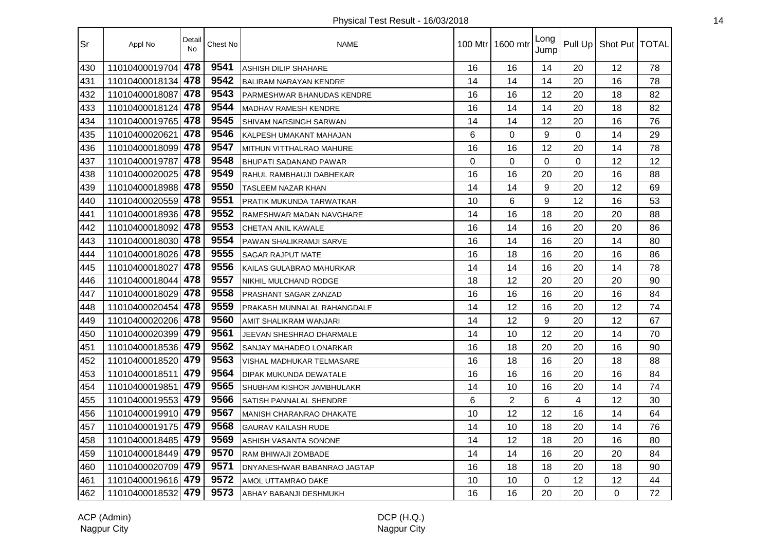| Sr  | Appl No            | Detail<br><b>No</b> | Chest No | <b>NAME</b>                    | 100 Mtr  | 1600 mtr       | Long<br>Jump |             | Pull Up   Shot Put   TOTAL |    |
|-----|--------------------|---------------------|----------|--------------------------------|----------|----------------|--------------|-------------|----------------------------|----|
| 430 | 11010400019704     | 478                 | 9541     | ASHISH DILIP SHAHARE           | 16       | 16             | 14           | 20          | 12                         | 78 |
| 431 | 11010400018134     | 478                 | 9542     | <b>BALIRAM NARAYAN KENDRE</b>  | 14       | 14             | 14           | 20          | 16                         | 78 |
| 432 | 11010400018087     | 478                 | 9543     | PARMESHWAR BHANUDAS KENDRE     | 16       | 16             | 12           | 20          | 18                         | 82 |
| 433 | 11010400018124 478 |                     | 9544     | <b>MADHAV RAMESH KENDRE</b>    | 16       | 14             | 14           | 20          | 18                         | 82 |
| 434 | 11010400019765 478 |                     | 9545     | SHIVAM NARSINGH SARWAN         | 14       | 14             | 12           | 20          | 16                         | 76 |
| 435 | 11010400020621     | 478                 | 9546     | KALPESH UMAKANT MAHAJAN        | 6        | $\overline{0}$ | 9            | $\mathbf 0$ | 14                         | 29 |
| 436 | 11010400018099     | 478                 | 9547     | MITHUN VITTHALRAO MAHURE       | 16       | 16             | 12           | 20          | 14                         | 78 |
| 437 | 11010400019787     | 478                 | 9548     | <b>BHUPATI SADANAND PAWAR</b>  | $\Omega$ | $\overline{0}$ | 0            | $\mathbf 0$ | 12                         | 12 |
| 438 | 11010400020025     | 478                 | 9549     | RAHUL RAMBHAUJI DABHEKAR       | 16       | 16             | 20           | 20          | 16                         | 88 |
| 439 | 11010400018988     | 478                 | 9550     | TASLEEM NAZAR KHAN             | 14       | 14             | 9            | 20          | 12                         | 69 |
| 440 | 11010400020559     | 478                 | 9551     | PRATIK MUKUNDA TARWATKAR       | 10       | 6              | 9            | 12          | 16                         | 53 |
| 441 | 11010400018936     | 478                 | 9552     | RAMESHWAR MADAN NAVGHARE       | 14       | 16             | 18           | 20          | 20                         | 88 |
| 442 | 11010400018092     | 478                 | 9553     | <b>CHETAN ANIL KAWALE</b>      | 16       | 14             | 16           | 20          | 20                         | 86 |
| 443 | 11010400018030 478 |                     | 9554     | <b>PAWAN SHALIKRAMJI SARVE</b> | 16       | 14             | 16           | 20          | 14                         | 80 |
| 444 | 11010400018026 478 |                     | 9555     | SAGAR RAJPUT MATE              | 16       | 18             | 16           | 20          | 16                         | 86 |
| 445 | 11010400018027     | 478                 | 9556     | KAILAS GULABRAO MAHURKAR       | 14       | 14             | 16           | 20          | 14                         | 78 |
| 446 | 11010400018044     | 478                 | 9557     | NIKHIL MULCHAND RODGE          | 18       | 12             | 20           | 20          | 20                         | 90 |
| 447 | 11010400018029     | 478                 | 9558     | PRASHANT SAGAR ZANZAD          | 16       | 16             | 16           | 20          | 16                         | 84 |
| 448 | 11010400020454     | 478                 | 9559     | PRAKASH MUNNALAL RAHANGDALE    | 14       | 12             | 16           | 20          | 12                         | 74 |
| 449 | 11010400020206     | 478                 | 9560     | AMIT SHALIKRAM WANJARI         | 14       | 12             | 9            | 20          | 12                         | 67 |
| 450 | 11010400020399     | 479                 | 9561     | JEEVAN SHESHRAO DHARMALE       | 14       | 10             | 12           | 20          | 14                         | 70 |
| 451 | 11010400018536 479 |                     | 9562     | SANJAY MAHADEO LONARKAR        | 16       | 18             | 20           | 20          | 16                         | 90 |
| 452 | 11010400018520 479 |                     | 9563     | VISHAL MADHUKAR TELMASARE      | 16       | 18             | 16           | 20          | 18                         | 88 |
| 453 | 11010400018511     | 479                 | 9564     | DIPAK MUKUNDA DEWATALE         | 16       | 16             | 16           | 20          | 16                         | 84 |
| 454 | 11010400019851     | 479                 | 9565     | SHUBHAM KISHOR JAMBHULAKR      | 14       | 10             | 16           | 20          | 14                         | 74 |
| 455 | 11010400019553     | 479                 | 9566     | SATISH PANNALAL SHENDRE        | 6        | $\overline{2}$ | 6            | 4           | 12                         | 30 |
| 456 | 11010400019910 479 |                     | 9567     | MANISH CHARANRAO DHAKATE       | 10       | 12             | 12           | 16          | 14                         | 64 |
| 457 | 11010400019175     | 479                 | 9568     | <b>GAURAV KAILASH RUDE</b>     | 14       | 10             | 18           | 20          | 14                         | 76 |
| 458 | 11010400018485     | 479                 | 9569     | ASHISH VASANTA SONONE          | 14       | 12             | 18           | 20          | 16                         | 80 |
| 459 | 11010400018449     | 479                 | 9570     | RAM BHIWAJI ZOMBADE            | 14       | 14             | 16           | 20          | 20                         | 84 |
| 460 | 11010400020709 479 |                     | 9571     | DNYANESHWAR BABANRAO JAGTAP    | 16       | 18             | 18           | 20          | 18                         | 90 |
| 461 | 11010400019616 479 |                     | 9572     | AMOL UTTAMRAO DAKE             | 10       | 10             | 0            | 12          | 12                         | 44 |
| 462 | 11010400018532     | 479                 | 9573     | ABHAY BABANJI DESHMUKH         | 16       | 16             | 20           | 20          | 0                          | 72 |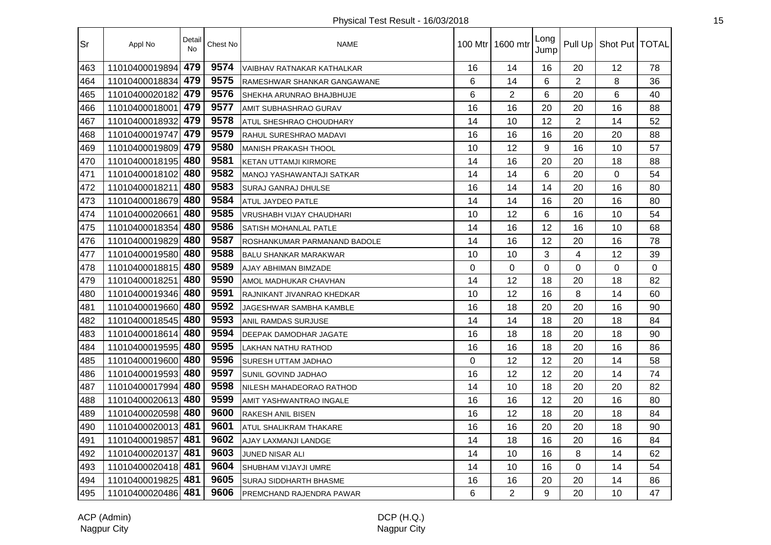| Sr  | Appl No            | Detail<br>No | Chest No | <b>NAME</b>                      | 100 Mtr I | 1600 mtr       | Long<br>Jump | Pull Up        | Shot Put   TOTAL |          |
|-----|--------------------|--------------|----------|----------------------------------|-----------|----------------|--------------|----------------|------------------|----------|
| 463 | 11010400019894     | 479          | 9574     | VAIBHAV RATNAKAR KATHALKAR       | 16        | 14             | 16           | 20             | 12               | 78       |
| 464 | 11010400018834     | 479          | 9575     | RAMESHWAR SHANKAR GANGAWANE      | 6         | 14             | 6            | $\overline{2}$ | 8                | 36       |
| 465 | 11010400020182     | 479          | 9576     | <b>SHEKHA ARUNRAO BHAJBHUJE</b>  | 6         | $\overline{2}$ | 6            | 20             | 6                | 40       |
| 466 | 11010400018001     | 479          | 9577     | <b>AMIT SUBHASHRAO GURAV</b>     | 16        | 16             | 20           | 20             | 16               | 88       |
| 467 | 11010400018932 479 |              | 9578     | <b>ATUL SHESHRAO CHOUDHARY</b>   | 14        | 10             | 12           | $\overline{2}$ | 14               | 52       |
| 468 | 11010400019747     | 479          | 9579     | <b>RAHUL SURESHRAO MADAVI</b>    | 16        | 16             | 16           | 20             | 20               | 88       |
| 469 | 11010400019809     | 479          | 9580     | <b>MANISH PRAKASH THOOL</b>      | 10        | 12             | 9            | 16             | 10               | 57       |
| 470 | 11010400018195     | 480          | 9581     | <b>KETAN UTTAMJI KIRMORE</b>     | 14        | 16             | 20           | 20             | 18               | 88       |
| 471 | 11010400018102     | 480          | 9582     | <b>MANOJ YASHAWANTAJI SATKAR</b> | 14        | 14             | 6            | 20             | 0                | 54       |
| 472 | 11010400018211     | 480          | 9583     | SURAJ GANRAJ DHULSE              | 16        | 14             | 14           | 20             | 16               | 80       |
| 473 | 11010400018679     | 480          | 9584     | ATUL JAYDEO PATLE                | 14        | 14             | 16           | 20             | 16               | 80       |
| 474 | 11010400020661     | 480          | 9585     | VRUSHABH VIJAY CHAUDHARI         | 10        | 12             | 6            | 16             | 10               | 54       |
| 475 | 11010400018354     | 480          | 9586     | <b>SATISH MOHANLAL PATLE</b>     | 14        | 16             | 12           | 16             | 10               | 68       |
| 476 | 11010400019829     | 480          | 9587     | ROSHANKUMAR PARMANAND BADOLE     | 14        | 16             | 12           | 20             | 16               | 78       |
| 477 | 11010400019580 480 |              | 9588     | <b>BALU SHANKAR MARAKWAR</b>     | 10        | 10             | 3            | 4              | 12               | 39       |
| 478 | 11010400018815 480 |              | 9589     | <b>AJAY ABHIMAN BIMZADE</b>      | $\Omega$  | 0              | $\Omega$     | $\Omega$       | $\Omega$         | $\Omega$ |
| 479 | 11010400018251     | 480          | 9590     | AMOL MADHUKAR CHAVHAN            | 14        | 12             | 18           | 20             | 18               | 82       |
| 480 | 11010400019346     | 480          | 9591     | RAJNIKANT JIVANRAO KHEDKAR       | 10        | 12             | 16           | 8              | 14               | 60       |
| 481 | 11010400019660     | 480          | 9592     | JAGESHWAR SAMBHA KAMBLE          | 16        | 18             | 20           | 20             | 16               | 90       |
| 482 | 11010400018545     | 480          | 9593     | <b>ANIL RAMDAS SURJUSE</b>       | 14        | 14             | 18           | 20             | 18               | 84       |
| 483 | 11010400018614     | 480          | 9594     | DEEPAK DAMODHAR JAGATE           | 16        | 18             | 18           | 20             | 18               | 90       |
| 484 | 11010400019595     | 480          | 9595     | <b>LAKHAN NATHU RATHOD</b>       | 16        | 16             | 18           | 20             | 16               | 86       |
| 485 | 11010400019600     | 480          | 9596     | <b>SURESH UTTAM JADHAO</b>       | $\Omega$  | 12             | 12           | 20             | 14               | 58       |
| 486 | 11010400019593     | 480          | 9597     | <b>SUNIL GOVIND JADHAO</b>       | 16        | 12             | 12           | 20             | 14               | 74       |
| 487 | 11010400017994     | 480          | 9598     | NILESH MAHADEORAO RATHOD         | 14        | 10             | 18           | 20             | 20               | 82       |
| 488 | 11010400020613     | 480          | 9599     | AMIT YASHWANTRAO INGALE          | 16        | 16             | 12           | 20             | 16               | 80       |
| 489 | 11010400020598 480 |              | 9600     | <b>RAKESH ANIL BISEN</b>         | 16        | 12             | 18           | 20             | 18               | 84       |
| 490 | 11010400020013     | 481          | 9601     | <b>ATUL SHALIKRAM THAKARE</b>    | 16        | 16             | 20           | 20             | 18               | 90       |
| 491 | 11010400019857     | 481          | 9602     | AJAY LAXMANJI LANDGE             | 14        | 18             | 16           | 20             | 16               | 84       |
| 492 | 11010400020137     | 481          | 9603     | JUNED NISAR ALI                  | 14        | 10             | 16           | 8              | 14               | 62       |
| 493 | 11010400020418 481 |              | 9604     | SHUBHAM VIJAYJI UMRE             | 14        | 10             | 16           | 0              | 14               | 54       |
| 494 | 11010400019825     | 481          | 9605     | <b>SURAJ SIDDHARTH BHASME</b>    | 16        | 16             | 20           | 20             | 14               | 86       |
| 495 | 11010400020486 481 |              | 9606     | PREMCHAND RAJENDRA PAWAR         | 6         | $\overline{2}$ | 9            | 20             | 10               | 47       |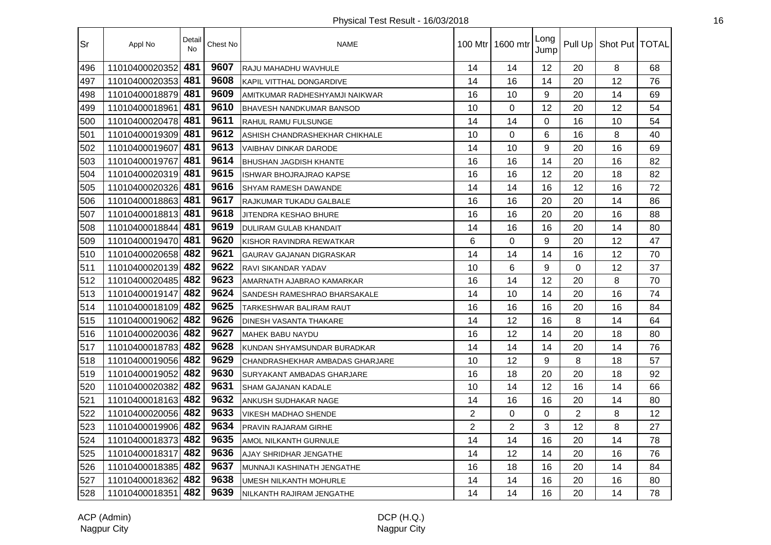| Sr  | Appl No            | Detail<br><b>No</b> | Chest No | <b>NAME</b>                       |                | 100 Mtr   1600 mtr | Long<br>Jump |                | Pull Up   Shot Put   TOTAL |    |
|-----|--------------------|---------------------|----------|-----------------------------------|----------------|--------------------|--------------|----------------|----------------------------|----|
| 496 | 11010400020352     | 481                 | 9607     | RAJU MAHADHU WAVHULE              | 14             | 14                 | 12           | 20             | 8                          | 68 |
| 497 | 11010400020353     | 481                 | 9608     | KAPIL VITTHAL DONGARDIVE          | 14             | 16                 | 14           | 20             | 12                         | 76 |
| 498 | 11010400018879     | 481                 | 9609     | AMITKUMAR RADHESHYAMJI NAIKWAR    | 16             | 10                 | 9            | 20             | 14                         | 69 |
| 499 | 11010400018961     | 481                 | 9610     | <b>BHAVESH NANDKUMAR BANSOD</b>   | 10             | 0                  | 12           | 20             | 12                         | 54 |
| 500 | 11010400020478     | 481                 | 9611     | RAHUL RAMU FULSUNGE               | 14             | 14                 | $\Omega$     | 16             | 10                         | 54 |
| 501 | 11010400019309 481 |                     | 9612     | ASHISH CHANDRASHEKHAR CHIKHALE    | 10             | $\Omega$           | 6            | 16             | 8                          | 40 |
| 502 | 11010400019607     | 481                 | 9613     | <b>VAIBHAV DINKAR DARODE</b>      | 14             | 10                 | 9            | 20             | 16                         | 69 |
| 503 | 11010400019767     | 481                 | 9614     | <b>BHUSHAN JAGDISH KHANTE</b>     | 16             | 16                 | 14           | 20             | 16                         | 82 |
| 504 | 11010400020319 481 |                     | 9615     | <b>ISHWAR BHOJRAJRAO KAPSE</b>    | 16             | 16                 | 12           | 20             | 18                         | 82 |
| 505 | 11010400020326     | 481                 | 9616     | <b>SHYAM RAMESH DAWANDE</b>       | 14             | 14                 | 16           | 12             | 16                         | 72 |
| 506 | 11010400018863     | 481                 | 9617     | RAJKUMAR TUKADU GALBALE           | 16             | 16                 | 20           | 20             | 14                         | 86 |
| 507 | 11010400018813 481 |                     | 9618     | JITENDRA KESHAO BHURE             | 16             | 16                 | 20           | 20             | 16                         | 88 |
| 508 | 11010400018844     | 481                 | 9619     | <b>DULIRAM GULAB KHANDAIT</b>     | 14             | 16                 | 16           | 20             | 14                         | 80 |
| 509 | 11010400019470 481 |                     | 9620     | KISHOR RAVINDRA REWATKAR          | 6              | 0                  | 9            | 20             | 12                         | 47 |
| 510 | 11010400020658 482 |                     | 9621     | GAURAV GAJANAN DIGRASKAR          | 14             | 14                 | 14           | 16             | 12                         | 70 |
| 511 | 11010400020139 482 |                     | 9622     | <b>RAVI SIKANDAR YADAV</b>        | 10             | 6                  | 9            | $\Omega$       | 12                         | 37 |
| 512 | 11010400020485 482 |                     | 9623     | AMARNATH AJABRAO KAMARKAR         | 16             | 14                 | 12           | 20             | 8                          | 70 |
| 513 | 11010400019147     | 482                 | 9624     | SANDESH RAMESHRAO BHARSAKALE      | 14             | 10                 | 14           | 20             | 16                         | 74 |
| 514 | 11010400018109 482 |                     | 9625     | TARKESHWAR BALIRAM RAUT           | 16             | 16                 | 16           | 20             | 16                         | 84 |
| 515 | 11010400019062     | 482                 | 9626     | <b>DINESH VASANTA THAKARE</b>     | 14             | 12                 | 16           | 8              | 14                         | 64 |
| 516 | 11010400020036     | 482                 | 9627     | <b>MAHEK BABU NAYDU</b>           | 16             | 12                 | 14           | 20             | 18                         | 80 |
| 517 | 11010400018783     | 482                 | 9628     | KUNDAN SHYAMSUNDAR BURADKAR       | 14             | 14                 | 14           | 20             | 14                         | 76 |
| 518 | 11010400019056 482 |                     | 9629     | CHANDRASHEKHAR AMBADAS GHARJARE   | 10             | 12                 | 9            | 8              | 18                         | 57 |
| 519 | 11010400019052     | 482                 | 9630     | <b>SURYAKANT AMBADAS GHARJARE</b> | 16             | 18                 | 20           | 20             | 18                         | 92 |
| 520 | 11010400020382 482 |                     | 9631     | <b>SHAM GAJANAN KADALE</b>        | 10             | 14                 | 12           | 16             | 14                         | 66 |
| 521 | 11010400018163     | 482                 | 9632     | ANKUSH SUDHAKAR NAGE              | 14             | 16                 | 16           | 20             | 14                         | 80 |
| 522 | 11010400020056 482 |                     | 9633     | <b>VIKESH MADHAO SHENDE</b>       | $\overline{2}$ | 0                  | 0            | $\overline{2}$ | 8                          | 12 |
| 523 | 11010400019906 482 |                     | 9634     | PRAVIN RAJARAM GIRHE              | $\overline{2}$ | $\overline{2}$     | 3            | 12             | 8                          | 27 |
| 524 | 11010400018373     | 482                 | 9635     | AMOL NILKANTH GURNULE             | 14             | 14                 | 16           | 20             | 14                         | 78 |
| 525 | 11010400018317     | 482                 | 9636     | AJAY SHRIDHAR JENGATHE            | 14             | 12                 | 14           | 20             | 16                         | 76 |
| 526 | 11010400018385     | 482                 | 9637     | MUNNAJI KASHINATH JENGATHE        | 16             | 18                 | 16           | 20             | 14                         | 84 |
| 527 | 11010400018362 482 |                     | 9638     | UMESH NILKANTH MOHURLE            | 14             | 14                 | 16           | 20             | 16                         | 80 |
| 528 | 11010400018351     | 482                 | 9639     | NILKANTH RAJIRAM JENGATHE         | 14             | 14                 | 16           | 20             | 14                         | 78 |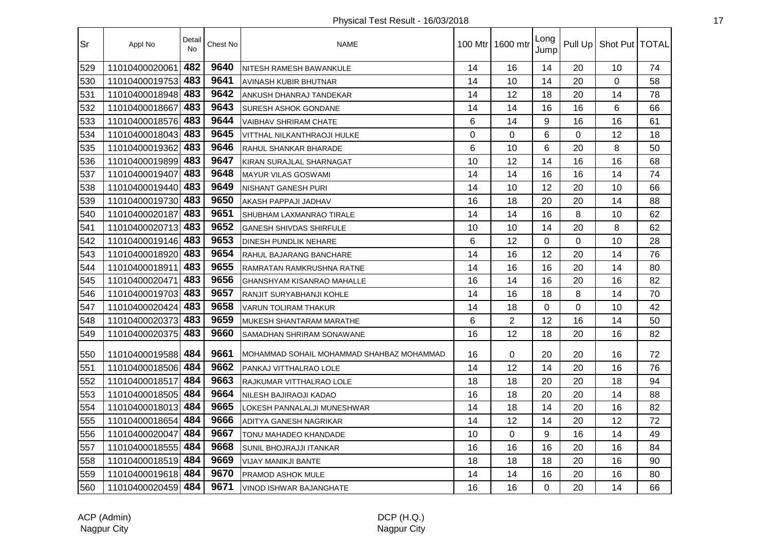| Sr  | Appl No            | Detail<br><b>No</b> | Chest No | <b>NAME</b>                               | 100 Mtr | 1600 mtr       | Long<br>Jump |             | Pull Up   Shot Put   TOTAL |    |
|-----|--------------------|---------------------|----------|-------------------------------------------|---------|----------------|--------------|-------------|----------------------------|----|
| 529 | 11010400020061     | 482                 | 9640     | NITESH RAMESH BAWANKULE                   | 14      | 16             | 14           | 20          | 10                         | 74 |
| 530 | 11010400019753     | 483                 | 9641     | <b>AVINASH KUBIR BHUTNAR</b>              | 14      | 10             | 14           | 20          | 0                          | 58 |
| 531 | 11010400018948     | 483                 | 9642     | ANKUSH DHANRAJ TANDEKAR                   | 14      | 12             | 18           | 20          | 14                         | 78 |
| 532 | 11010400018667     | 483                 | 9643     | <b>SURESH ASHOK GONDANE</b>               | 14      | 14             | 16           | 16          | 6                          | 66 |
| 533 | 11010400018576 483 |                     | 9644     | <b>VAIBHAV SHRIRAM CHATE</b>              | 6       | 14             | 9            | 16          | 16                         | 61 |
| 534 | 11010400018043 483 |                     | 9645     | VITTHAL NILKANTHRAOJI HULKE               | 0       | $\overline{0}$ | 6            | $\mathbf 0$ | 12                         | 18 |
| 535 | 11010400019362     | 483                 | 9646     | RAHUL SHANKAR BHARADE                     | 6       | 10             | 6            | 20          | 8                          | 50 |
| 536 | 11010400019899 483 |                     | 9647     | KIRAN SURAJLAL SHARNAGAT                  | 10      | 12             | 14           | 16          | 16                         | 68 |
| 537 | 11010400019407     | 483                 | 9648     | <b>MAYUR VILAS GOSWAMI</b>                | 14      | 14             | 16           | 16          | 14                         | 74 |
| 538 | 11010400019440 483 |                     | 9649     | <b>NISHANT GANESH PURI</b>                | 14      | 10             | 12           | 20          | 10                         | 66 |
| 539 | 11010400019730 483 |                     | 9650     | AKASH PAPPAJI JADHAV                      | 16      | 18             | 20           | 20          | 14                         | 88 |
| 540 | 11010400020187     | 483                 | 9651     | <b>SHUBHAM LAXMANRAO TIRALE</b>           | 14      | 14             | 16           | 8           | 10                         | 62 |
| 541 | 11010400020713 483 |                     | 9652     | <b>GANESH SHIVDAS SHIRFULE</b>            | 10      | 10             | 14           | 20          | 8                          | 62 |
| 542 | 11010400019146 483 |                     | 9653     | <b>DINESH PUNDLIK NEHARE</b>              | 6       | 12             | 0            | 0           | 10                         | 28 |
| 543 | 11010400018920 483 |                     | 9654     | RAHUL BAJARANG BANCHARE                   | 14      | 16             | 12           | 20          | 14                         | 76 |
| 544 | 11010400018911     | 483                 | 9655     | RAMRATAN RAMKRUSHNA RATNE                 | 14      | 16             | 16           | 20          | 14                         | 80 |
| 545 | 11010400020471     | 483                 | 9656     | <b>GHANSHYAM KISANRAO MAHALLE</b>         | 16      | 14             | 16           | 20          | 16                         | 82 |
| 546 | 11010400019703     | 483                 | 9657     | RANJIT SURYABHANJI KOHLE                  | 14      | 16             | 18           | 8           | 14                         | 70 |
| 547 | 11010400020424 483 |                     | 9658     | <b>VARUN TOLIRAM THAKUR</b>               | 14      | 18             | 0            | $\Omega$    | 10                         | 42 |
| 548 | 11010400020373 483 |                     | 9659     | MUKESH SHANTARAM MARATHE                  | 6       | $\overline{2}$ | 12           | 16          | 14                         | 50 |
| 549 | 11010400020375     | 483                 | 9660     | <b>SAMADHAN SHRIRAM SONAWANE</b>          | 16      | 12             | 18           | 20          | 16                         | 82 |
| 550 | 11010400019588     | 484                 | 9661     | MOHAMMAD SOHAIL MOHAMMAD SHAHBAZ MOHAMMAD | 16      | 0              | 20           | 20          | 16                         | 72 |
| 551 | 11010400018506     | 484                 | 9662     | PANKAJ VITTHALRAO LOLE                    | 14      | 12             | 14           | 20          | 16                         | 76 |
| 552 | 11010400018517     | 484                 | 9663     | RAJKUMAR VITTHALRAO LOLE                  | 18      | 18             | 20           | 20          | 18                         | 94 |
| 553 | 11010400018505     | 484                 | 9664     | NILESH BAJIRAOJI KADAO                    | 16      | 18             | 20           | 20          | 14                         | 88 |
| 554 | 11010400018013 484 |                     | 9665     | LOKESH PANNALALJI MUNESHWAR               | 14      | 18             | 14           | 20          | 16                         | 82 |
| 555 | 11010400018654     | 484                 | 9666     | ADITYA GANESH NAGRIKAR                    | 14      | 12             | 14           | 20          | 12                         | 72 |
| 556 | 11010400020047     | 484                 | 9667     | TONU MAHADEO KHANDADE                     | 10      | $\mathbf 0$    | 9            | 16          | 14                         | 49 |
| 557 | 11010400018555     | 484                 | 9668     | SUNIL BHOJRAJJI ITANKAR                   | 16      | 16             | 16           | 20          | 16                         | 84 |
| 558 | 11010400018519     | 484                 | 9669     | VIJAY MANIKJI BANTE                       | 18      | 18             | 18           | 20          | 16                         | 90 |
| 559 | 11010400019618 484 |                     | 9670     | PRAMOD ASHOK MULE                         | 14      | 14             | 16           | 20          | 16                         | 80 |
| 560 | 11010400020459 484 |                     | 9671     | VINOD ISHWAR BAJANGHATE                   | 16      | 16             | $\Omega$     | 20          | 14                         | 66 |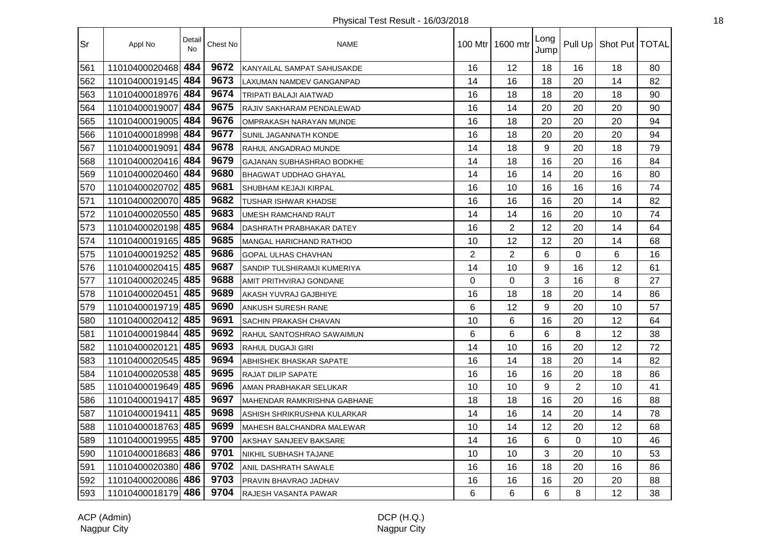| Sr  | Appl No            | Detail<br>No | Chest No | <b>NAME</b>                      |                | 100 Mtr   1600 mtr | Long<br>Jump |                | Pull Up   Shot Put   TOTAL |    |
|-----|--------------------|--------------|----------|----------------------------------|----------------|--------------------|--------------|----------------|----------------------------|----|
| 561 | 11010400020468     | 484          | 9672     | KANYAILAL SAMPAT SAHUSAKDE       | 16             | 12                 | 18           | 16             | 18                         | 80 |
| 562 | 11010400019145     | 484          | 9673     | <b>LAXUMAN NAMDEV GANGANPAD</b>  | 14             | 16                 | 18           | 20             | 14                         | 82 |
| 563 | 11010400018976     | 484          | 9674     | TRIPATI BALAJI AIATWAD           | 16             | 18                 | 18           | 20             | 18                         | 90 |
| 564 | 11010400019007     | 484          | 9675     | RAJIV SAKHARAM PENDALEWAD        | 16             | 14                 | 20           | 20             | 20                         | 90 |
| 565 | 11010400019005     | 484          | 9676     | OMPRAKASH NARAYAN MUNDE          | 16             | 18                 | 20           | 20             | 20                         | 94 |
| 566 | 11010400018998 484 |              | 9677     | SUNIL JAGANNATH KONDE            | 16             | 18                 | 20           | 20             | 20                         | 94 |
| 567 | 11010400019091     | 484          | 9678     | RAHUL ANGADRAO MUNDE             | 14             | 18                 | 9            | 20             | 18                         | 79 |
| 568 | 11010400020416 484 |              | 9679     | <b>GAJANAN SUBHASHRAO BODKHE</b> | 14             | 18                 | 16           | 20             | 16                         | 84 |
| 569 | 11010400020460 484 |              | 9680     | <b>BHAGWAT UDDHAO GHAYAL</b>     | 14             | 16                 | 14           | 20             | 16                         | 80 |
| 570 | 11010400020702     | 485          | 9681     | <b>SHUBHAM KEJAJI KIRPAL</b>     | 16             | 10                 | 16           | 16             | 16                         | 74 |
| 571 | 11010400020070     | 485          | 9682     | TUSHAR ISHWAR KHADSE             | 16             | 16                 | 16           | 20             | 14                         | 82 |
| 572 | 11010400020550     | 485          | 9683     | <b>UMESH RAMCHAND RAUT</b>       | 14             | 14                 | 16           | 20             | 10                         | 74 |
| 573 | 11010400020198     | 485          | 9684     | DASHRATH PRABHAKAR DATEY         | 16             | $\overline{2}$     | 12           | 20             | 14                         | 64 |
| 574 | 11010400019165 485 |              | 9685     | <b>MANGAL HARICHAND RATHOD</b>   | 10             | 12                 | 12           | 20             | 14                         | 68 |
| 575 | 11010400019252 485 |              | 9686     | <b>GOPAL ULHAS CHAVHAN</b>       | $\overline{2}$ | $\overline{2}$     | 6            | 0              | 6                          | 16 |
| 576 | 11010400020415 485 |              | 9687     | SANDIP TULSHIRAMJI KUMERIYA      | 14             | 10                 | 9            | 16             | 12                         | 61 |
| 577 | 11010400020245 485 |              | 9688     | AMIT PRITHVIRAJ GONDANE          | $\mathbf 0$    | 0                  | 3            | 16             | 8                          | 27 |
| 578 | 11010400020451     | 485          | 9689     | AKASH YUVRAJ GAJBHIYE            | 16             | 18                 | 18           | 20             | 14                         | 86 |
| 579 | 11010400019719 485 |              | 9690     | <b>ANKUSH SURESH RANE</b>        | 6              | 12                 | 9            | 20             | 10                         | 57 |
| 580 | 11010400020412     | 485          | 9691     | <b>SACHIN PRAKASH CHAVAN</b>     | 10             | 6                  | 16           | 20             | 12                         | 64 |
| 581 | 11010400019844     | 485          | 9692     | RAHUL SANTOSHRAO SAWAIMUN        | 6              | 6                  | 6            | 8              | 12                         | 38 |
| 582 | 11010400020121     | 485          | 9693     | <b>RAHUL DUGAJI GIRI</b>         | 14             | 10                 | 16           | 20             | 12                         | 72 |
| 583 | 11010400020545 485 |              | 9694     | ABHISHEK BHASKAR SAPATE          | 16             | 14                 | 18           | 20             | 14                         | 82 |
| 584 | 11010400020538 485 |              | 9695     | <b>RAJAT DILIP SAPATE</b>        | 16             | 16                 | 16           | 20             | 18                         | 86 |
| 585 | 11010400019649 485 |              | 9696     | AMAN PRABHAKAR SELUKAR           | 10             | 10                 | 9            | $\overline{2}$ | 10                         | 41 |
| 586 | 11010400019417     | 485          | 9697     | IMAHENDAR RAMKRISHNA GABHANE     | 18             | 18                 | 16           | 20             | 16                         | 88 |
| 587 | 11010400019411     | 485          | 9698     | ASHISH SHRIKRUSHNA KULARKAR      | 14             | 16                 | 14           | 20             | 14                         | 78 |
| 588 | 11010400018763     | 485          | 9699     | <b>MAHESH BALCHANDRA MALEWAR</b> | 10             | 14                 | 12           | 20             | 12                         | 68 |
| 589 | 11010400019955     | 485          | 9700     | AKSHAY SANJEEV BAKSARE           | 14             | 16                 | 6            | 0              | 10                         | 46 |
| 590 | 11010400018683     | 486          | 9701     | <b>NIKHIL SUBHASH TAJANE</b>     | 10             | 10                 | 3            | 20             | 10                         | 53 |
| 591 | 11010400020380     | 486          | 9702     | ANIL DASHRATH SAWALE             | 16             | 16                 | 18           | 20             | 16                         | 86 |
| 592 | 11010400020086 486 |              | 9703     | <b>PRAVIN BHAVRAO JADHAV</b>     | 16             | 16                 | 16           | 20             | 20                         | 88 |
| 593 | 11010400018179 486 |              | 9704     | RAJESH VASANTA PAWAR             | 6              | 6                  | 6            | 8              | 12                         | 38 |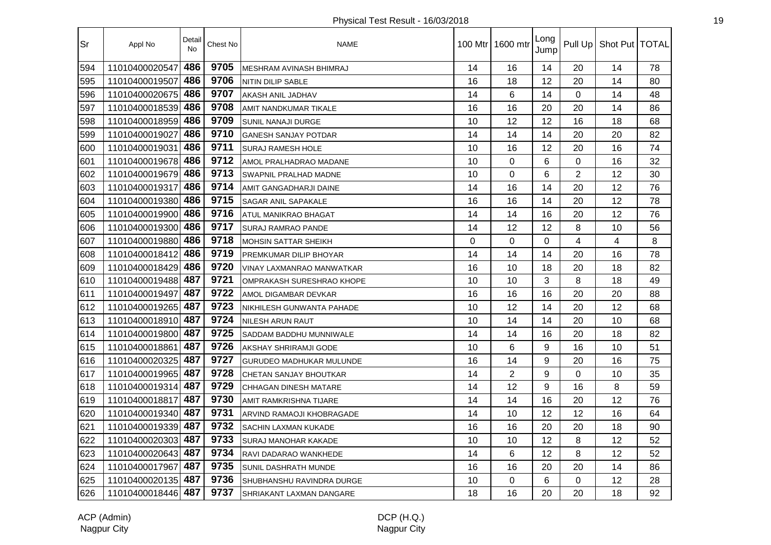| Sr  | Appl No            | Detail<br><b>No</b> | Chest No | <b>NAME</b>                     |          | 100 Mtr 1600 mtr | Long<br>Jump |                | Pull Up   Shot Put   TOTAL |    |
|-----|--------------------|---------------------|----------|---------------------------------|----------|------------------|--------------|----------------|----------------------------|----|
| 594 | 11010400020547     | 486                 | 9705     | MESHRAM AVINASH BHIMRAJ         | 14       | 16               | 14           | 20             | 14                         | 78 |
| 595 | 11010400019507     | 486                 | 9706     | NITIN DILIP SABLE               | 16       | 18               | 12           | 20             | 14                         | 80 |
| 596 | 11010400020675     | 486                 | 9707     | AKASH ANIL JADHAV               | 14       | 6                | 14           | 0              | 14                         | 48 |
| 597 | 11010400018539     | 486                 | 9708     | AMIT NANDKUMAR TIKALE           | 16       | 16               | 20           | 20             | 14                         | 86 |
| 598 | 11010400018959     | 486                 | 9709     | SUNIL NANAJI DURGE              | 10       | 12               | 12           | 16             | 18                         | 68 |
| 599 | 11010400019027     | 486                 | 9710     | GANESH SANJAY POTDAR            | 14       | 14               | 14           | 20             | 20                         | 82 |
| 600 | 11010400019031     | 486                 | 9711     | <b>SURAJ RAMESH HOLE</b>        | 10       | 16               | 12           | 20             | 16                         | 74 |
| 601 | 11010400019678 486 |                     | 9712     | AMOL PRALHADRAO MADANE          | 10       | $\mathbf 0$      | 6            | 0              | 16                         | 32 |
| 602 | 11010400019679 486 |                     | 9713     | SWAPNIL PRALHAD MADNE           | 10       | $\Omega$         | 6            | $\overline{2}$ | 12                         | 30 |
| 603 | 11010400019317     | 486                 | 9714     | AMIT GANGADHARJI DAINE          | 14       | 16               | 14           | 20             | 12                         | 76 |
| 604 | 11010400019380     | 486                 | 9715     | SAGAR ANIL SAPAKALE             | 16       | 16               | 14           | 20             | 12                         | 78 |
| 605 | 11010400019900     | 486                 | 9716     | ATUL MANIKRAO BHAGAT            | 14       | 14               | 16           | 20             | 12                         | 76 |
| 606 | 11010400019300     | 486                 | 9717     | SURAJ RAMRAO PANDE              | 14       | 12               | 12           | 8              | 10                         | 56 |
| 607 | 11010400019880 486 |                     | 9718     | <b>MOHSIN SATTAR SHEIKH</b>     | $\Omega$ | 0                | $\Omega$     | 4              | 4                          | 8  |
| 608 | 11010400018412 486 |                     | 9719     | PREMKUMAR DILIP BHOYAR          | 14       | 14               | 14           | 20             | 16                         | 78 |
| 609 | 11010400018429 486 |                     | 9720     | VINAY LAXMANRAO MANWATKAR       | 16       | 10               | 18           | 20             | 18                         | 82 |
| 610 | 11010400019488 487 |                     | 9721     | OMPRAKASH SURESHRAO KHOPE       | 10       | 10               | 3            | 8              | 18                         | 49 |
| 611 | 11010400019497     | 487                 | 9722     | AMOL DIGAMBAR DEVKAR            | 16       | 16               | 16           | 20             | 20                         | 88 |
| 612 | 11010400019265     | 487                 | 9723     | NIKHILESH GUNWANTA PAHADE       | 10       | 12               | 14           | 20             | 12                         | 68 |
| 613 | 11010400018910     | 487                 | 9724     | <b>NILESH ARUN RAUT</b>         | 10       | 14               | 14           | 20             | 10                         | 68 |
| 614 | 11010400019800     | 487                 | 9725     | SADDAM BADDHU MUNNIWALE         | 14       | 14               | 16           | 20             | 18                         | 82 |
| 615 | 11010400018861     | 487                 | 9726     | AKSHAY SHRIRAMJI GODE           | 10       | 6                | 9            | 16             | 10                         | 51 |
| 616 | 11010400020325 487 |                     | 9727     | <b>GURUDEO MADHUKAR MULUNDE</b> | 16       | 14               | 9            | 20             | 16                         | 75 |
| 617 | 11010400019965 487 |                     | 9728     | CHETAN SANJAY BHOUTKAR          | 14       | $\overline{2}$   | 9            | 0              | 10                         | 35 |
| 618 | 11010400019314 487 |                     | 9729     | <b>CHHAGAN DINESH MATARE</b>    | 14       | 12               | 9            | 16             | 8                          | 59 |
| 619 | 11010400018817     | 487                 | 9730     | AMIT RAMKRISHNA TIJARE          | 14       | 14               | 16           | 20             | 12                         | 76 |
| 620 | 11010400019340 487 |                     | 9731     | ARVIND RAMAOJI KHOBRAGADE       | 14       | 10               | 12           | 12             | 16                         | 64 |
| 621 | 11010400019339 487 |                     | 9732     | SACHIN LAXMAN KUKADE            | 16       | 16               | 20           | 20             | 18                         | 90 |
| 622 | 11010400020303     | 487                 | 9733     | SURAJ MANOHAR KAKADE            | 10       | 10               | 12           | 8              | 12                         | 52 |
| 623 | 11010400020643 487 |                     | 9734     | RAVI DADARAO WANKHEDE           | 14       | 6                | 12           | 8              | 12                         | 52 |
| 624 | 11010400017967     | 487                 | 9735     | SUNIL DASHRATH MUNDE            | 16       | 16               | 20           | 20             | 14                         | 86 |
| 625 | 11010400020135 487 |                     | 9736     | SHUBHANSHU RAVINDRA DURGE       | 10       | 0                | 6            | $\Omega$       | 12                         | 28 |
| 626 | 11010400018446 487 |                     | 9737     | SHRIAKANT LAXMAN DANGARE        | 18       | 16               | 20           | 20             | 18                         | 92 |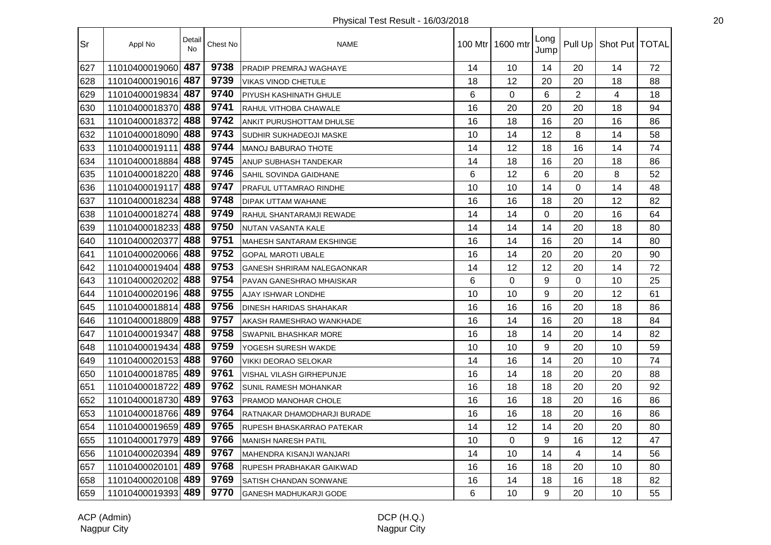| Sr  | Appl No            | Detail<br><b>No</b> | Chest No | <b>NAME</b>                       |                | 100 Mtr 1600 mtr | Long<br>Jump |                | Pull Up   Shot Put   TOTAL |    |
|-----|--------------------|---------------------|----------|-----------------------------------|----------------|------------------|--------------|----------------|----------------------------|----|
| 627 | 11010400019060     | 487                 | 9738     | PRADIP PREMRAJ WAGHAYE            | 14             | 10               | 14           | 20             | 14                         | 72 |
| 628 | 11010400019016     | 487                 | 9739     | VIKAS VINOD CHETULE               | 18             | 12               | 20           | 20             | 18                         | 88 |
| 629 | 11010400019834     | 487                 | 9740     | PIYUSH KASHINATH GHULE            | 6              | $\mathbf 0$      | 6            | $\overline{2}$ | $\overline{\mathbf{4}}$    | 18 |
| 630 | 11010400018370     | 488                 | 9741     | RAHUL VITHOBA CHAWALE             | 16             | 20               | 20           | 20             | 18                         | 94 |
| 631 | 11010400018372     | 488                 | 9742     | ANKIT PURUSHOTTAM DHULSE          | 16             | 18               | 16           | 20             | 16                         | 86 |
| 632 | 11010400018090 488 |                     | 9743     | <b>SUDHIR SUKHADEOJI MASKE</b>    | 10             | 14               | 12           | 8              | 14                         | 58 |
| 633 | 11010400019111     | 488                 | 9744     | <b>MANOJ BABURAO THOTE</b>        | 14             | 12               | 18           | 16             | 14                         | 74 |
| 634 | 11010400018884     | 488                 | 9745     | ANUP SUBHASH TANDEKAR             | 14             | 18               | 16           | 20             | 18                         | 86 |
| 635 | 11010400018220 488 |                     | 9746     | SAHIL SOVINDA GAIDHANE            | 6              | 12               | 6            | 20             | 8                          | 52 |
| 636 | 11010400019117     | 488                 | 9747     | PRAFUL UTTAMRAO RINDHE            | 10             | 10               | 14           | $\Omega$       | 14                         | 48 |
| 637 | 11010400018234     | 488                 | 9748     | DIPAK UTTAM WAHANE                | 16             | 16               | 18           | 20             | 12                         | 82 |
| 638 | 11010400018274     | 488                 | 9749     | RAHUL SHANTARAMJI REWADE          | 14             | 14               | $\Omega$     | 20             | 16                         | 64 |
| 639 | 11010400018233     | 488                 | 9750     | NUTAN VASANTA KALE                | 14             | 14               | 14           | 20             | 18                         | 80 |
| 640 | 11010400020377     | 488                 | 9751     | MAHESH SANTARAM EKSHINGE          | 16             | 14               | 16           | 20             | 14                         | 80 |
| 641 | 11010400020066 488 |                     | 9752     | <b>GOPAL MAROTI UBALE</b>         | 16             | 14               | 20           | 20             | 20                         | 90 |
| 642 | 11010400019404 488 |                     | 9753     | <b>GANESH SHRIRAM NALEGAONKAR</b> | 14             | 12               | 12           | 20             | 14                         | 72 |
| 643 | 11010400020202 488 |                     | 9754     | PAVAN GANESHRAO MHAISKAR          | $6\phantom{1}$ | $\mathbf 0$      | 9            | 0              | 10                         | 25 |
| 644 | 11010400020196     | 488                 | 9755     | AJAY ISHWAR LONDHE                | 10             | 10               | 9            | 20             | 12                         | 61 |
| 645 | 11010400018814     | 488                 | 9756     | <b>DINESH HARIDAS SHAHAKAR</b>    | 16             | 16               | 16           | 20             | 18                         | 86 |
| 646 | 11010400018809     | 488                 | 9757     | AKASH RAMESHRAO WANKHADE          | 16             | 14               | 16           | 20             | 18                         | 84 |
| 647 | 11010400019347     | 488                 | 9758     | <b>SWAPNIL BHASHKAR MORE</b>      | 16             | 18               | 14           | 20             | 14                         | 82 |
| 648 | 11010400019434     | 488                 | 9759     | YOGESH SURESH WAKDE               | 10             | 10               | 9            | 20             | 10                         | 59 |
| 649 | 11010400020153 488 |                     | 9760     | <b>VIKKI DEORAO SELOKAR</b>       | 14             | 16               | 14           | 20             | 10                         | 74 |
| 650 | 11010400018785 489 |                     | 9761     | VISHAL VILASH GIRHEPUNJE          | 16             | 14               | 18           | 20             | 20                         | 88 |
| 651 | 11010400018722     | 489                 | 9762     | <b>SUNIL RAMESH MOHANKAR</b>      | 16             | 18               | 18           | 20             | 20                         | 92 |
| 652 | 11010400018730 489 |                     | 9763     | <b>PRAMOD MANOHAR CHOLE</b>       | 16             | 16               | 18           | 20             | 16                         | 86 |
| 653 | 11010400018766 489 |                     | 9764     | RATNAKAR DHAMODHARJI BURADE       | 16             | 16               | 18           | 20             | 16                         | 86 |
| 654 | 11010400019659 489 |                     | 9765     | RUPESH BHASKARRAO PATEKAR         | 14             | 12               | 14           | 20             | 20                         | 80 |
| 655 | 11010400017979     | 489                 | 9766     | <b>MANISH NARESH PATIL</b>        | 10             | 0                | 9            | 16             | 12                         | 47 |
| 656 | 11010400020394     | 489                 | 9767     | MAHENDRA KISANJI WANJARI          | 14             | 10               | 14           | 4              | 14                         | 56 |
| 657 | 11010400020101     | 489                 | 9768     | RUPESH PRABHAKAR GAIKWAD          | 16             | 16               | 18           | 20             | 10                         | 80 |
| 658 | 11010400020108 489 |                     | 9769     | <b>SATISH CHANDAN SONWANE</b>     | 16             | 14               | 18           | 16             | 18                         | 82 |
| 659 | 11010400019393 489 |                     | 9770     | GANESH MADHUKARJI GODE            | 6              | 10               | 9            | 20             | 10                         | 55 |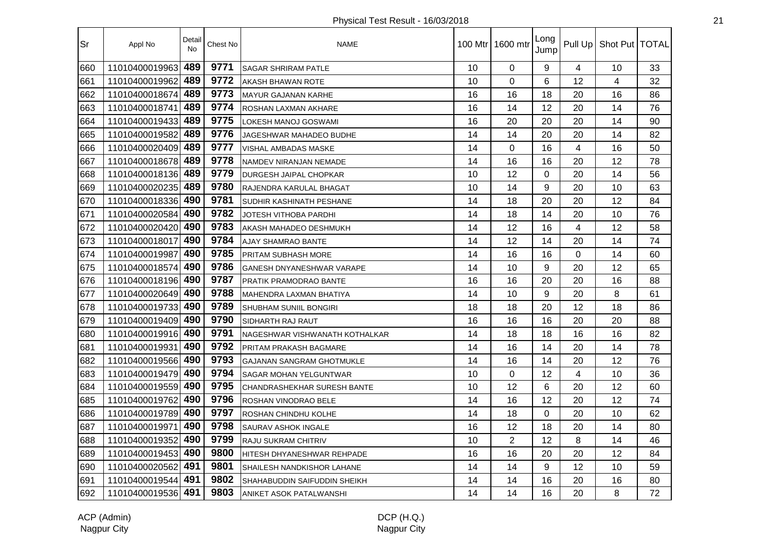| Sr  | Appl No            | Detail<br><b>No</b> | Chest No | <b>NAME</b>                        |    | 100 Mtr 1600 mtr | Long<br>Jump   |                | Pull Up   Shot Put   TOTAL |    |
|-----|--------------------|---------------------|----------|------------------------------------|----|------------------|----------------|----------------|----------------------------|----|
| 660 | 11010400019963     | 489                 | 9771     | <b>SAGAR SHRIRAM PATLE</b>         | 10 | 0                | 9              | 4              | 10                         | 33 |
| 661 | 11010400019962     | 489                 | 9772     | AKASH BHAWAN ROTE                  | 10 | $\mathbf 0$      | 6              | 12             | $\overline{\mathbf{4}}$    | 32 |
| 662 | 11010400018674     | 489                 | 9773     | MAYUR GAJANAN KARHE                | 16 | 16               | 18             | 20             | 16                         | 86 |
| 663 | 11010400018741     | 489                 | 9774     | ROSHAN LAXMAN AKHARE               | 16 | 14               | 12             | 20             | 14                         | 76 |
| 664 | 11010400019433     | 489                 | 9775     | <b>LOKESH MANOJ GOSWAMI</b>        | 16 | 20               | 20             | 20             | 14                         | 90 |
| 665 | 11010400019582     | 489                 | 9776     | JAGESHWAR MAHADEO BUDHE            | 14 | 14               | 20             | 20             | 14                         | 82 |
| 666 | 11010400020409 489 |                     | 9777     | <b>VISHAL AMBADAS MASKE</b>        | 14 | $\overline{0}$   | 16             | $\overline{4}$ | 16                         | 50 |
| 667 | 11010400018678     | 489                 | 9778     | NAMDEV NIRANJAN NEMADE             | 14 | 16               | 16             | 20             | 12                         | 78 |
| 668 | 11010400018136 489 |                     | 9779     | DURGESH JAIPAL CHOPKAR             | 10 | 12               | $\overline{0}$ | 20             | 14                         | 56 |
| 669 | 11010400020235     | 489                 | 9780     | RAJENDRA KARULAL BHAGAT            | 10 | 14               | 9              | 20             | 10                         | 63 |
| 670 | 11010400018336     | 490                 | 9781     | <b>SUDHIR KASHINATH PESHANE</b>    | 14 | 18               | 20             | 20             | 12                         | 84 |
| 671 | 11010400020584     | 490                 | 9782     | <b>JOTESH VITHOBA PARDHI</b>       | 14 | 18               | 14             | 20             | 10                         | 76 |
| 672 | 11010400020420     | 490                 | 9783     | AKASH MAHADEO DESHMUKH             | 14 | 12               | 16             | 4              | 12                         | 58 |
| 673 | 11010400018017     | 490                 | 9784     | <b>AJAY SHAMRAO BANTE</b>          | 14 | 12               | 14             | 20             | 14                         | 74 |
| 674 | 11010400019987     | 490                 | 9785     | PRITAM SUBHASH MORE                | 14 | 16               | 16             | 0              | 14                         | 60 |
| 675 | 11010400018574     | 490                 | 9786     | <b>GANESH DNYANESHWAR VARAPE</b>   | 14 | 10               | 9              | 20             | 12                         | 65 |
| 676 | 11010400018196     | 490                 | 9787     | <b>PRATIK PRAMODRAO BANTE</b>      | 16 | 16               | 20             | 20             | 16                         | 88 |
| 677 | 11010400020649 490 |                     | 9788     | MAHENDRA LAXMAN BHATIYA            | 14 | 10               | 9              | 20             | 8                          | 61 |
| 678 | 11010400019733     | 490                 | 9789     | <b>SHUBHAM SUNIIL BONGIRI</b>      | 18 | 18               | 20             | 12             | 18                         | 86 |
| 679 | 11010400019409     | 490                 | 9790     | <b>SIDHARTH RAJ RAUT</b>           | 16 | 16               | 16             | 20             | 20                         | 88 |
| 680 | 11010400019916     | 490                 | 9791     | NAGESHWAR VISHWANATH KOTHALKAR     | 14 | 18               | 18             | 16             | 16                         | 82 |
| 681 | 11010400019931     | 490                 | 9792     | <b>PRITAM PRAKASH BAGMARE</b>      | 14 | 16               | 14             | 20             | 14                         | 78 |
| 682 | 11010400019566 490 |                     | 9793     | <b>GAJANAN SANGRAM GHOTMUKLE</b>   | 14 | 16               | 14             | 20             | 12                         | 76 |
| 683 | 11010400019479 490 |                     | 9794     | <b>SAGAR MOHAN YELGUNTWAR</b>      | 10 | $\Omega$         | 12             | 4              | 10                         | 36 |
| 684 | 11010400019559 490 |                     | 9795     | <b>CHANDRASHEKHAR SURESH BANTE</b> | 10 | 12               | 6              | 20             | 12                         | 60 |
| 685 | 11010400019762 490 |                     | 9796     | ROSHAN VINODRAO BELE               | 14 | 16               | 12             | 20             | 12                         | 74 |
| 686 | 11010400019789     | 490                 | 9797     | ROSHAN CHINDHU KOLHE               | 14 | 18               | $\Omega$       | 20             | 10                         | 62 |
| 687 | 11010400019971     | 490                 | 9798     | <b>SAURAV ASHOK INGALE</b>         | 16 | 12               | 18             | 20             | 14                         | 80 |
| 688 | 11010400019352     | 490                 | 9799     | <b>RAJU SUKRAM CHITRIV</b>         | 10 | $\overline{2}$   | 12             | 8              | 14                         | 46 |
| 689 | 11010400019453     | 490                 | 9800     | HITESH DHYANESHWAR REHPADE         | 16 | 16               | 20             | 20             | 12                         | 84 |
| 690 | 11010400020562     | 491                 | 9801     | <b>SHAILESH NANDKISHOR LAHANE</b>  | 14 | 14               | 9              | 12             | 10                         | 59 |
| 691 | 11010400019544 491 |                     | 9802     | SHAHABUDDIN SAIFUDDIN SHEIKH       | 14 | 14               | 16             | 20             | 16                         | 80 |
| 692 | 11010400019536 491 |                     | 9803     | ANIKET ASOK PATALWANSHI            | 14 | 14               | 16             | 20             | 8                          | 72 |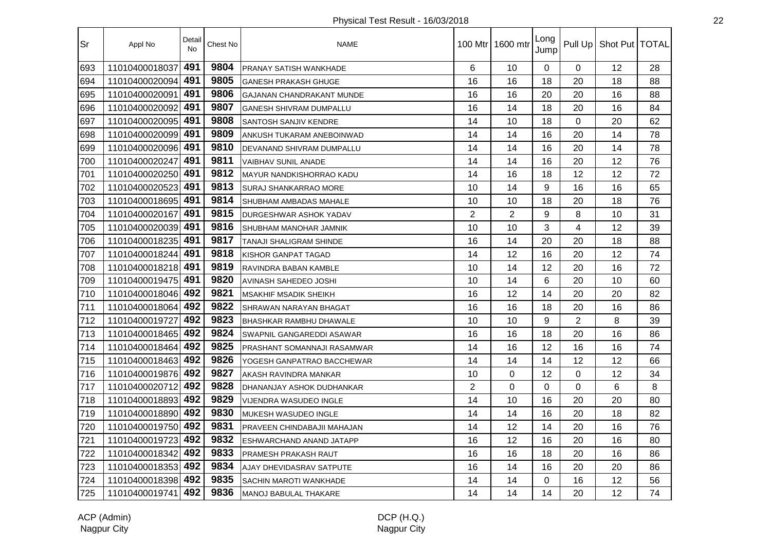| Sr  | Appl No            | Detail<br><b>No</b> | Chest No | <b>NAME</b>                      |                | 100 Mtr   1600 mtr | Long<br>Jump |                | Pull Up   Shot Put   TOTAL |    |
|-----|--------------------|---------------------|----------|----------------------------------|----------------|--------------------|--------------|----------------|----------------------------|----|
| 693 | 11010400018037     | 491                 | 9804     | PRANAY SATISH WANKHADE           | 6              | 10                 | $\Omega$     | 0              | 12                         | 28 |
| 694 | 11010400020094     | 491                 | 9805     | <b>GANESH PRAKASH GHUGE</b>      | 16             | 16                 | 18           | 20             | 18                         | 88 |
| 695 | 11010400020091     | 491                 | 9806     | <b>GAJANAN CHANDRAKANT MUNDE</b> | 16             | 16                 | 20           | 20             | 16                         | 88 |
| 696 | 11010400020092     | 491                 | 9807     | <b>GANESH SHIVRAM DUMPALLU</b>   | 16             | 14                 | 18           | 20             | 16                         | 84 |
| 697 | 11010400020095 491 |                     | 9808     | <b>SANTOSH SANJIV KENDRE</b>     | 14             | 10                 | 18           | 0              | 20                         | 62 |
| 698 | 11010400020099 491 |                     | 9809     | ANKUSH TUKARAM ANEBOINWAD        | 14             | 14                 | 16           | 20             | 14                         | 78 |
| 699 | 11010400020096 491 |                     | 9810     | DEVANAND SHIVRAM DUMPALLU        | 14             | 14                 | 16           | 20             | 14                         | 78 |
| 700 | 11010400020247     | 491                 | 9811     | <b>VAIBHAV SUNIL ANADE</b>       | 14             | 14                 | 16           | 20             | 12                         | 76 |
| 701 | 11010400020250 491 |                     | 9812     | MAYUR NANDKISHORRAO KADU         | 14             | 16                 | 18           | 12             | 12                         | 72 |
| 702 | 11010400020523     | 491                 | 9813     | <b>SURAJ SHANKARRAO MORE</b>     | 10             | 14                 | 9            | 16             | 16                         | 65 |
| 703 | 11010400018695     | 491                 | 9814     | SHUBHAM AMBADAS MAHALE           | 10             | 10                 | 18           | 20             | 18                         | 76 |
| 704 | 11010400020167     | 491                 | 9815     | DURGESHWAR ASHOK YADAV           | $\overline{2}$ | $\overline{2}$     | 9            | 8              | 10                         | 31 |
| 705 | 11010400020039     | 491                 | 9816     | SHUBHAM MANOHAR JAMNIK           | 10             | 10                 | 3            | 4              | 12                         | 39 |
| 706 | 11010400018235 491 |                     | 9817     | <b>TANAJI SHALIGRAM SHINDE</b>   | 16             | 14                 | 20           | 20             | 18                         | 88 |
| 707 | 11010400018244     | 491                 | 9818     | <b>KISHOR GANPAT TAGAD</b>       | 14             | 12                 | 16           | 20             | 12                         | 74 |
| 708 | 11010400018218 491 |                     | 9819     | RAVINDRA BABAN KAMBLE            | 10             | 14                 | 12           | 20             | 16                         | 72 |
| 709 | 11010400019475 491 |                     | 9820     | <b>AVINASH SAHEDEO JOSHI</b>     | 10             | 14                 | 6            | 20             | 10                         | 60 |
| 710 | 11010400018046 492 |                     | 9821     | <b>MSAKHIF MSADIK SHEIKH</b>     | 16             | 12                 | 14           | 20             | 20                         | 82 |
| 711 | 11010400018064     | 492                 | 9822     | SHRAWAN NARAYAN BHAGAT           | 16             | 16                 | 18           | 20             | 16                         | 86 |
| 712 | 11010400019727     | 492                 | 9823     | <b>BHASHKAR RAMBHU DHAWALE</b>   | 10             | 10                 | 9            | $\overline{2}$ | 8                          | 39 |
| 713 | 11010400018465     | 492                 | 9824     | SWAPNIL GANGAREDDI ASAWAR        | 16             | 16                 | 18           | 20             | 16                         | 86 |
| 714 | 11010400018464     | 492                 | 9825     | PRASHANT SOMANNAJI RASAMWAR      | 14             | 16                 | 12           | 16             | 16                         | 74 |
| 715 | 11010400018463 492 |                     | 9826     | YOGESH GANPATRAO BACCHEWAR       | 14             | 14                 | 14           | 12             | 12                         | 66 |
| 716 | 11010400019876 492 |                     | 9827     | AKASH RAVINDRA MANKAR            | 10             | $\Omega$           | 12           | 0              | 12                         | 34 |
| 717 | 11010400020712 492 |                     | 9828     | DHANANJAY ASHOK DUDHANKAR        | $\overline{2}$ | 0                  | $\Omega$     | 0              | 6                          | 8  |
| 718 | 11010400018893 492 |                     | 9829     | VIJENDRA WASUDEO INGLE           | 14             | 10                 | 16           | 20             | 20                         | 80 |
| 719 | 11010400018890 492 |                     | 9830     | MUKESH WASUDEO INGLE             | 14             | 14                 | 16           | 20             | 18                         | 82 |
| 720 | 11010400019750 492 |                     | 9831     | PRAVEEN CHINDABAJII MAHAJAN      | 14             | 12                 | 14           | 20             | 16                         | 76 |
| 721 | 11010400019723     | 492                 | 9832     | ESHWARCHAND ANAND JATAPP         | 16             | 12                 | 16           | 20             | 16                         | 80 |
| 722 | 11010400018342     | 492                 | 9833     | PRAMESH PRAKASH RAUT             | 16             | 16                 | 18           | 20             | 16                         | 86 |
| 723 | 11010400018353     | 492                 | 9834     | AJAY DHEVIDASRAV SATPUTE         | 16             | 14                 | 16           | 20             | 20                         | 86 |
| 724 | 11010400018398 492 |                     | 9835     | <b>SACHIN MAROTI WANKHADE</b>    | 14             | 14                 | 0            | 16             | 12                         | 56 |
| 725 | 11010400019741 492 |                     | 9836     | <b>MANOJ BABULAL THAKARE</b>     | 14             | 14                 | 14           | 20             | 12                         | 74 |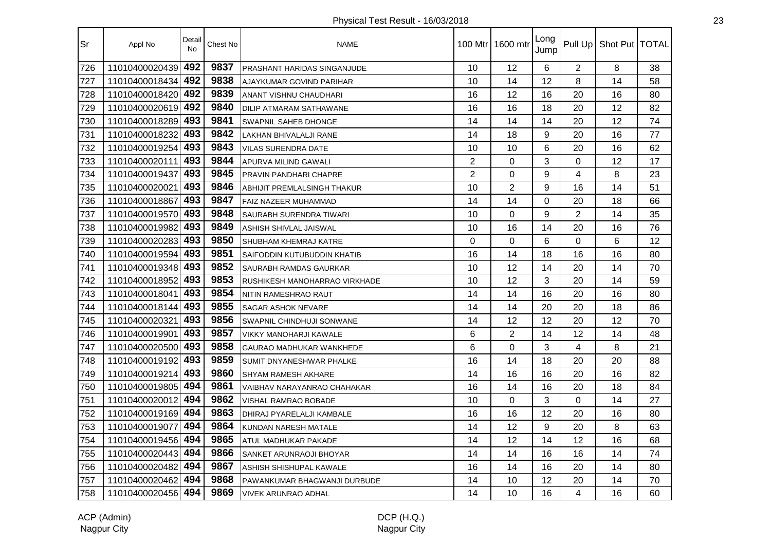| Sr  | Appl No            | Detail<br><b>No</b> | Chest No | <b>NAME</b>                     |                | 100 Mtr   1600 mtr | Long<br>Jump |                | Pull Up   Shot Put   TOTAL |    |
|-----|--------------------|---------------------|----------|---------------------------------|----------------|--------------------|--------------|----------------|----------------------------|----|
| 726 | 11010400020439     | 492                 | 9837     | PRASHANT HARIDAS SINGANJUDE     | 10             | 12                 | 6            | $\overline{2}$ | 8                          | 38 |
| 727 | 11010400018434     | 492                 | 9838     | AJAYKUMAR GOVIND PARIHAR        | 10             | 14                 | 12           | 8              | 14                         | 58 |
| 728 | 11010400018420     | 492                 | 9839     | <b>ANANT VISHNU CHAUDHARI</b>   | 16             | 12                 | 16           | 20             | 16                         | 80 |
| 729 | 11010400020619 492 |                     | 9840     | DILIP ATMARAM SATHAWANE         | 16             | 16                 | 18           | 20             | 12                         | 82 |
| 730 | 11010400018289 493 |                     | 9841     | <b>SWAPNIL SAHEB DHONGE</b>     | 14             | 14                 | 14           | 20             | 12                         | 74 |
| 731 | 11010400018232     | 493                 | 9842     | LAKHAN BHIVALALJI RANE          | 14             | 18                 | 9            | 20             | 16                         | 77 |
| 732 | 11010400019254 493 |                     | 9843     | <b>VILAS SURENDRA DATE</b>      | 10             | 10                 | 6            | 20             | 16                         | 62 |
| 733 | 11010400020111     | 493                 | 9844     | APURVA MILIND GAWALI            | $\overline{2}$ | 0                  | 3            | $\Omega$       | 12                         | 17 |
| 734 | 11010400019437     | 493                 | 9845     | PRAVIN PANDHARI CHAPRE          | $\overline{2}$ | 0                  | 9            | 4              | 8                          | 23 |
| 735 | 11010400020021     | 493                 | 9846     | ABHIJIT PREMLALSINGH THAKUR     | 10             | $\overline{2}$     | 9            | 16             | 14                         | 51 |
| 736 | 11010400018867     | 493                 | 9847     | FAIZ NAZEER MUHAMMAD            | 14             | 14                 | 0            | 20             | 18                         | 66 |
| 737 | 11010400019570     | 493                 | 9848     | SAURABH SURENDRA TIWARI         | 10             | 0                  | 9            | $\overline{2}$ | 14                         | 35 |
| 738 | 11010400019982     | 493                 | 9849     | ASHISH SHIVLAL JAISWAL          | 10             | 16                 | 14           | 20             | 16                         | 76 |
| 739 | 11010400020283 493 |                     | 9850     | <b>SHUBHAM KHEMRAJ KATRE</b>    | $\Omega$       | $\Omega$           | 6            | $\Omega$       | 6                          | 12 |
| 740 | 11010400019594     | 493                 | 9851     | SAIFODDIN KUTUBUDDIN KHATIB     | 16             | 14                 | 18           | 16             | 16                         | 80 |
| 741 | 11010400019348 493 |                     | 9852     | <b>SAURABH RAMDAS GAURKAR</b>   | 10             | 12                 | 14           | 20             | 14                         | 70 |
| 742 | 11010400018952     | 493                 | 9853     | RUSHIKESH MANOHARRAO VIRKHADE   | 10             | 12                 | 3            | 20             | 14                         | 59 |
| 743 | 11010400018041     | 493                 | 9854     | NITIN RAMESHRAO RAUT            | 14             | 14                 | 16           | 20             | 16                         | 80 |
| 744 | 11010400018144     | 493                 | 9855     | <b>SAGAR ASHOK NEVARE</b>       | 14             | 14                 | 20           | 20             | 18                         | 86 |
| 745 | 11010400020321     | 493                 | 9856     | SWAPNIL CHINDHUJI SONWANE       | 14             | 12                 | 12           | 20             | 12                         | 70 |
| 746 | 11010400019901     | 493                 | 9857     | <b>VIKKY MANOHARJI KAWALE</b>   | 6              | $\overline{2}$     | 14           | 12             | 14                         | 48 |
| 747 | 11010400020500 493 |                     | 9858     | <b>GAURAO MADHUKAR WANKHEDE</b> | 6              | 0                  | 3            | 4              | 8                          | 21 |
| 748 | 11010400019192 493 |                     | 9859     | <b>SUMIT DNYANESHWAR PHALKE</b> | 16             | 14                 | 18           | 20             | 20                         | 88 |
| 749 | 11010400019214     | 493                 | 9860     | <b>SHYAM RAMESH AKHARE</b>      | 14             | 16                 | 16           | 20             | 16                         | 82 |
| 750 | 11010400019805     | 494                 | 9861     | VAIBHAV NARAYANRAO CHAHAKAR     | 16             | 14                 | 16           | 20             | 18                         | 84 |
| 751 | 11010400020012     | 494                 | 9862     | VISHAL RAMRAO BOBADE            | 10             | 0                  | 3            | $\mathbf 0$    | 14                         | 27 |
| 752 | 11010400019169 494 |                     | 9863     | DHIRAJ PYARELALJI KAMBALE       | 16             | 16                 | 12           | 20             | 16                         | 80 |
| 753 | 11010400019077     | 494                 | 9864     | KUNDAN NARESH MATALE            | 14             | 12                 | 9            | 20             | 8                          | 63 |
| 754 | 11010400019456     | 494                 | 9865     | ATUL MADHUKAR PAKADE            | 14             | 12                 | 14           | 12             | 16                         | 68 |
| 755 | 11010400020443     | 494                 | 9866     | SANKET ARUNRAOJI BHOYAR         | 14             | 14                 | 16           | 16             | 14                         | 74 |
| 756 | 11010400020482     | 494                 | 9867     | ASHISH SHISHUPAL KAWALE         | 16             | 14                 | 16           | 20             | 14                         | 80 |
| 757 | 11010400020462 494 |                     | 9868     | PAWANKUMAR BHAGWANJI DURBUDE    | 14             | 10                 | 12           | 20             | 14                         | 70 |
| 758 | 11010400020456 494 |                     | 9869     | <b>VIVEK ARUNRAO ADHAL</b>      | 14             | 10                 | 16           | 4              | 16                         | 60 |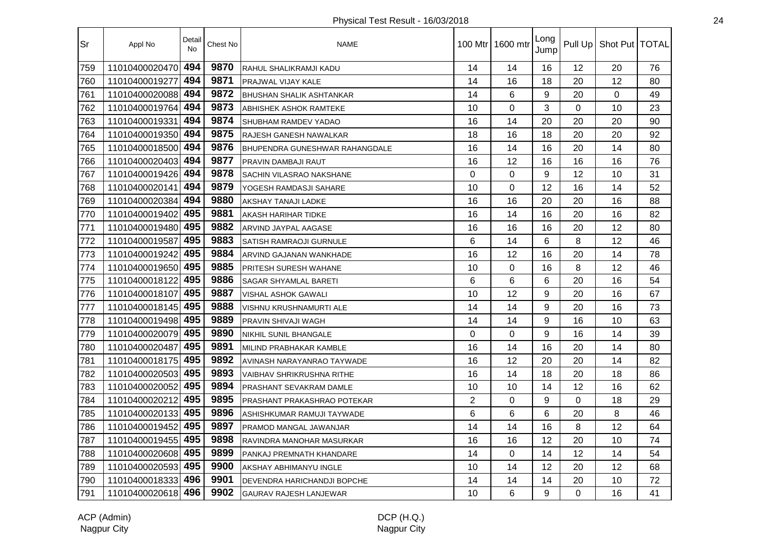| Sr  | Appl No            | Detail<br>No | Chest No | <b>NAME</b>                           |                | 100 Mtr 1600 mtr | Long<br>Jump |          | Pull Up   Shot Put   TOTAL |    |
|-----|--------------------|--------------|----------|---------------------------------------|----------------|------------------|--------------|----------|----------------------------|----|
| 759 | 11010400020470     | 494          | 9870     | RAHUL SHALIKRAMJI KADU                | 14             | 14               | 16           | 12       | 20                         | 76 |
| 760 | 11010400019277     | 494          | 9871     | PRAJWAL VIJAY KALE                    | 14             | 16               | 18           | 20       | 12                         | 80 |
| 761 | 11010400020088     | 494          | 9872     | <b>BHUSHAN SHALIK ASHTANKAR</b>       | 14             | 6                | 9            | 20       | 0                          | 49 |
| 762 | 11010400019764     | 494          | 9873     | ABHISHEK ASHOK RAMTEKE                | 10             | 0                | 3            | 0        | 10                         | 23 |
| 763 | 11010400019331     | 494          | 9874     | SHUBHAM RAMDEV YADAO                  | 16             | 14               | 20           | 20       | 20                         | 90 |
| 764 | 11010400019350 494 |              | 9875     | RAJESH GANESH NAWALKAR                | 18             | 16               | 18           | 20       | 20                         | 92 |
| 765 | 11010400018500 494 |              | 9876     | <b>BHUPENDRA GUNESHWAR RAHANGDALE</b> | 16             | 14               | 16           | 20       | 14                         | 80 |
| 766 | 11010400020403 494 |              | 9877     | PRAVIN DAMBAJI RAUT                   | 16             | 12               | 16           | 16       | 16                         | 76 |
| 767 | 11010400019426     | 494          | 9878     | SACHIN VILASRAO NAKSHANE              | $\Omega$       | 0                | 9            | 12       | 10                         | 31 |
| 768 | 11010400020141     | 494          | 9879     | YOGESH RAMDASJI SAHARE                | 10             | 0                | 12           | 16       | 14                         | 52 |
| 769 | 11010400020384     | 494          | 9880     | AKSHAY TANAJI LADKE                   | 16             | 16               | 20           | 20       | 16                         | 88 |
| 770 | 11010400019402     | 495          | 9881     | AKASH HARIHAR TIDKE                   | 16             | 14               | 16           | 20       | 16                         | 82 |
| 771 | 11010400019480 495 |              | 9882     | ARVIND JAYPAL AAGASE                  | 16             | 16               | 16           | 20       | 12                         | 80 |
| 772 | 11010400019587     | 495          | 9883     | SATISH RAMRAOJI GURNULE               | 6              | 14               | 6            | 8        | 12                         | 46 |
| 773 | 11010400019242     | 495          | 9884     | ARVIND GAJANAN WANKHADE               | 16             | 12               | 16           | 20       | 14                         | 78 |
| 774 | 11010400019650 495 |              | 9885     | PRITESH SURESH WAHANE                 | 10             | $\mathbf 0$      | 16           | 8        | 12                         | 46 |
| 775 | 11010400018122     | 495          | 9886     | SAGAR SHYAMLAL BARETI                 | 6              | 6                | 6            | 20       | 16                         | 54 |
| 776 | 11010400018107     | 495          | 9887     | <b>VISHAL ASHOK GAWALI</b>            | 10             | 12               | 9            | 20       | 16                         | 67 |
| 777 | 11010400018145     | 495          | 9888     | VISHNU KRUSHNAMURTI ALE               | 14             | 14               | 9            | 20       | 16                         | 73 |
| 778 | 11010400019498     | 495          | 9889     | PRAVIN SHIVAJI WAGH                   | 14             | 14               | 9            | 16       | 10                         | 63 |
| 779 | 11010400020079     | 495          | 9890     | <b>NIKHIL SUNIL BHANGALE</b>          | $\mathbf 0$    | $\mathbf 0$      | 9            | 16       | 14                         | 39 |
| 780 | 11010400020487     | 495          | 9891     | MILIND PRABHAKAR KAMBLE               | 16             | 14               | 16           | 20       | 14                         | 80 |
| 781 | 11010400018175 495 |              | 9892     | AVINASH NARAYANRAO TAYWADE            | 16             | 12               | 20           | 20       | 14                         | 82 |
| 782 | 11010400020503 495 |              | 9893     | <b>VAIBHAV SHRIKRUSHNA RITHE</b>      | 16             | 14               | 18           | 20       | 18                         | 86 |
| 783 | 11010400020052 495 |              | 9894     | PRASHANT SEVAKRAM DAMLE               | 10             | 10               | 14           | 12       | 16                         | 62 |
| 784 | 11010400020212 495 |              | 9895     | PRASHANT PRAKASHRAO POTEKAR           | $\overline{2}$ | $\mathbf 0$      | 9            | 0        | 18                         | 29 |
| 785 | 11010400020133 495 |              | 9896     | ASHISHKUMAR RAMUJI TAYWADE            | 6              | 6                | 6            | 20       | 8                          | 46 |
| 786 | 11010400019452     | 495          | 9897     | PRAMOD MANGAL JAWANJAR                | 14             | 14               | 16           | 8        | 12                         | 64 |
| 787 | 11010400019455     | 495          | 9898     | RAVINDRA MANOHAR MASURKAR             | 16             | 16               | 12           | 20       | 10                         | 74 |
| 788 | 11010400020608     | 495          | 9899     | PANKAJ PREMNATH KHANDARE              | 14             | $\mathbf 0$      | 14           | 12       | 14                         | 54 |
| 789 | 11010400020593 495 |              | 9900     | AKSHAY ABHIMANYU INGLE                | 10             | 14               | 12           | 20       | 12                         | 68 |
| 790 | 11010400018333 496 |              | 9901     | DEVENDRA HARICHANDJI BOPCHE           | 14             | 14               | 14           | 20       | 10                         | 72 |
| 791 | 11010400020618 496 |              | 9902     | GAURAV RAJESH LANJEWAR                | 10             | 6                | 9            | $\Omega$ | 16                         | 41 |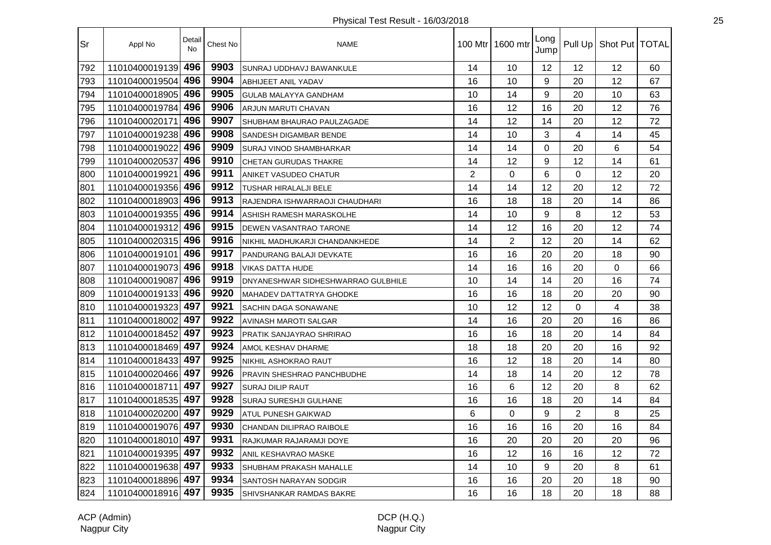| Sr  | Appl No            | Detail<br>No | Chest No | <b>NAME</b>                        |                | 100 Mtr   1600 mtr | Long<br>Jump |                | Pull Up   Shot Put   TOTAL |    |
|-----|--------------------|--------------|----------|------------------------------------|----------------|--------------------|--------------|----------------|----------------------------|----|
| 792 | 11010400019139     | 496          | 9903     | SUNRAJ UDDHAVJ BAWANKULE           | 14             | 10                 | 12           | 12             | 12                         | 60 |
| 793 | 11010400019504     | 496          | 9904     | <b>ABHIJEET ANIL YADAV</b>         | 16             | 10                 | 9            | 20             | 12                         | 67 |
| 794 | 11010400018905     | 496          | 9905     | GULAB MALAYYA GANDHAM              | 10             | 14                 | 9            | 20             | 10                         | 63 |
| 795 | 11010400019784     | 496          | 9906     | ARJUN MARUTI CHAVAN                | 16             | 12                 | 16           | 20             | 12                         | 76 |
| 796 | 11010400020171     | 496          | 9907     | SHUBHAM BHAURAO PAULZAGADE         | 14             | 12                 | 14           | 20             | 12                         | 72 |
| 797 | 11010400019238 496 |              | 9908     | SANDESH DIGAMBAR BENDE             | 14             | 10                 | 3            | $\overline{4}$ | 14                         | 45 |
| 798 | 11010400019022     | 496          | 9909     | <b>SURAJ VINOD SHAMBHARKAR</b>     | 14             | 14                 | $\mathbf 0$  | 20             | 6                          | 54 |
| 799 | 11010400020537     | 496          | 9910     | CHETAN GURUDAS THAKRE              | 14             | 12                 | 9            | 12             | 14                         | 61 |
| 800 | 11010400019921     | 496          | 9911     | ANIKET VASUDEO CHATUR              | $\overline{2}$ | 0                  | 6            | $\Omega$       | 12                         | 20 |
| 801 | 11010400019356     | 496          | 9912     | <b>TUSHAR HIRALALJI BELE</b>       | 14             | 14                 | 12           | 20             | 12                         | 72 |
| 802 | 11010400018903     | 496          | 9913     | RAJENDRA ISHWARRAOJI CHAUDHARI     | 16             | 18                 | 18           | 20             | 14                         | 86 |
| 803 | 11010400019355     | 496          | 9914     | ASHISH RAMESH MARASKOLHE           | 14             | 10                 | 9            | 8              | 12                         | 53 |
| 804 | 11010400019312     | 496          | 9915     | DEWEN VASANTRAO TARONE             | 14             | 12                 | 16           | 20             | 12                         | 74 |
| 805 | 11010400020315 496 |              | 9916     | NIKHIL MADHUKARJI CHANDANKHEDE     | 14             | $\overline{2}$     | 12           | 20             | 14                         | 62 |
| 806 | 11010400019101     | 496          | 9917     | PANDURANG BALAJI DEVKATE           | 16             | 16                 | 20           | 20             | 18                         | 90 |
| 807 | 11010400019073 496 |              | 9918     | <b>VIKAS DATTA HUDE</b>            | 14             | 16                 | 16           | 20             | $\overline{0}$             | 66 |
| 808 | 11010400019087     | 496          | 9919     | DNYANESHWAR SIDHESHWARRAO GULBHILE | 10             | 14                 | 14           | 20             | 16                         | 74 |
| 809 | 11010400019133     | 496          | 9920     | <b>MAHADEV DATTATRYA GHODKE</b>    | 16             | 16                 | 18           | 20             | 20                         | 90 |
| 810 | 11010400019323     | 497          | 9921     | SACHIN DAGA SONAWANE               | 10             | 12                 | 12           | 0              | $\overline{4}$             | 38 |
| 811 | 11010400018002     | 497          | 9922     | AVINASH MAROTI SALGAR              | 14             | 16                 | 20           | 20             | 16                         | 86 |
| 812 | 11010400018452     | 497          | 9923     | PRATIK SANJAYRAO SHRIRAO           | 16             | 16                 | 18           | 20             | 14                         | 84 |
| 813 | 11010400018469 497 |              | 9924     | AMOL KESHAV DHARME                 | 18             | 18                 | 20           | 20             | 16                         | 92 |
| 814 | 11010400018433 497 |              | 9925     | NIKHIL ASHOKRAO RAUT               | 16             | 12                 | 18           | 20             | 14                         | 80 |
| 815 | 11010400020466 497 |              | 9926     | PRAVIN SHESHRAO PANCHBUDHE         | 14             | 18                 | 14           | 20             | 12                         | 78 |
| 816 | 11010400018711     | 497          | 9927     | <b>SURAJ DILIP RAUT</b>            | 16             | 6                  | 12           | 20             | 8                          | 62 |
| 817 | 11010400018535     | 497          | 9928     | SURAJ SURESHJI GULHANE             | 16             | 16                 | 18           | 20             | 14                         | 84 |
| 818 | 11010400020200 497 |              | 9929     | ATUL PUNESH GAIKWAD                | 6              | 0                  | 9            | $\overline{2}$ | 8                          | 25 |
| 819 | 11010400019076 497 |              | 9930     | CHANDAN DILIPRAO RAIBOLE           | 16             | 16                 | 16           | 20             | 16                         | 84 |
| 820 | 11010400018010     | 497          | 9931     | RAJKUMAR RAJARAMJI DOYE            | 16             | 20                 | 20           | 20             | 20                         | 96 |
| 821 | 11010400019395     | 497          | 9932     | ANIL KESHAVRAO MASKE               | 16             | 12                 | 16           | 16             | 12                         | 72 |
| 822 | 11010400019638 497 |              | 9933     | SHUBHAM PRAKASH MAHALLE            | 14             | 10                 | 9            | 20             | 8                          | 61 |
| 823 | 11010400018896 497 |              | 9934     | <b>SANTOSH NARAYAN SODGIR</b>      | 16             | 16                 | 20           | 20             | 18                         | 90 |
| 824 | 11010400018916 497 |              | 9935     | SHIVSHANKAR RAMDAS BAKRE           | 16             | 16                 | 18           | 20             | 18                         | 88 |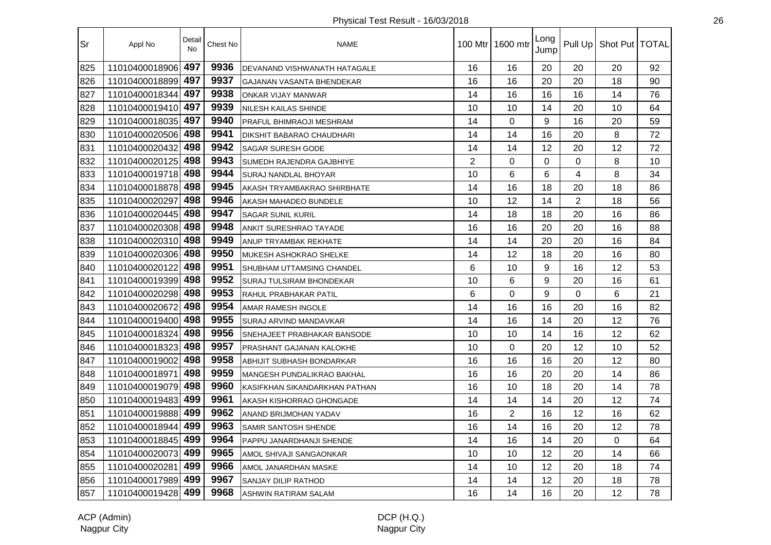| Sr  | Appl No            | Detail<br><b>No</b> | Chest No | <b>NAME</b>                        |                | 100 Mtr 1600 mtr | Long<br>Jump |                | Pull Up   Shot Put   TOTAL |    |
|-----|--------------------|---------------------|----------|------------------------------------|----------------|------------------|--------------|----------------|----------------------------|----|
| 825 | 11010400018906     | 497                 | 9936     | DEVANAND VISHWANATH HATAGALE       | 16             | 16               | 20           | 20             | 20                         | 92 |
| 826 | 11010400018899     | 497                 | 9937     | GAJANAN VASANTA BHENDEKAR          | 16             | 16               | 20           | 20             | 18                         | 90 |
| 827 | 11010400018344     | 497                 | 9938     | ONKAR VIJAY MANWAR                 | 14             | 16               | 16           | 16             | 14                         | 76 |
| 828 | 11010400019410     | 497                 | 9939     | NILESH KAILAS SHINDE               | 10             | 10               | 14           | 20             | 10                         | 64 |
| 829 | 11010400018035 497 |                     | 9940     | PRAFUL BHIMRAOJI MESHRAM           | 14             | $\Omega$         | 9            | 16             | 20                         | 59 |
| 830 | 11010400020506 498 |                     | 9941     | <b>DIKSHIT BABARAO CHAUDHARI</b>   | 14             | 14               | 16           | 20             | 8                          | 72 |
| 831 | 11010400020432     | 498                 | 9942     | <b>SAGAR SURESH GODE</b>           | 14             | 14               | 12           | 20             | 12                         | 72 |
| 832 | 11010400020125 498 |                     | 9943     | SUMEDH RAJENDRA GAJBHIYE           | $\overline{2}$ | $\Omega$         | $\Omega$     | 0              | 8                          | 10 |
| 833 | 11010400019718 498 |                     | 9944     | SURAJ NANDLAL BHOYAR               | 10             | 6                | 6            | 4              | 8                          | 34 |
| 834 | 11010400018878 498 |                     | 9945     | AKASH TRYAMBAKRAO SHIRBHATE        | 14             | 16               | 18           | 20             | 18                         | 86 |
| 835 | 11010400020297     | 498                 | 9946     | AKASH MAHADEO BUNDELE              | 10             | 12               | 14           | $\overline{2}$ | 18                         | 56 |
| 836 | 11010400020445 498 |                     | 9947     | <b>SAGAR SUNIL KURIL</b>           | 14             | 18               | 18           | 20             | 16                         | 86 |
| 837 | 11010400020308     | 498                 | 9948     | ANKIT SURESHRAO TAYADE             | 16             | 16               | 20           | 20             | 16                         | 88 |
| 838 | 11010400020310 498 |                     | 9949     | ANUP TRYAMBAK REKHATE              | 14             | 14               | 20           | 20             | 16                         | 84 |
| 839 | 11010400020306 498 |                     | 9950     | MUKESH ASHOKRAO SHELKE             | 14             | 12               | 18           | 20             | 16                         | 80 |
| 840 | 11010400020122     | 498                 | 9951     | SHUBHAM UTTAMSING CHANDEL          | 6              | 10               | 9            | 16             | 12                         | 53 |
| 841 | 11010400019399     | 498                 | 9952     | <b>SURAJ TULSIRAM BHONDEKAR</b>    | 10             | 6                | 9            | 20             | 16                         | 61 |
| 842 | 11010400020298     | 498                 | 9953     | RAHUL PRABHAKAR PATIL              | 6              | 0                | 9            | 0              | 6                          | 21 |
| 843 | 11010400020672     | 498                 | 9954     | AMAR RAMESH INGOLE                 | 14             | 16               | 16           | 20             | 16                         | 82 |
| 844 | 11010400019400     | 498                 | 9955     | SURAJ ARVIND MANDAVKAR             | 14             | 16               | 14           | 20             | 12                         | 76 |
| 845 | 11010400018324     | 498                 | 9956     | <b>SNEHAJEET PRABHAKAR BANSODE</b> | 10             | 10               | 14           | 16             | 12                         | 62 |
| 846 | 11010400018323     | 498                 | 9957     | <b>PRASHANT GAJANAN KALOKHE</b>    | 10             | $\Omega$         | 20           | 12             | 10                         | 52 |
| 847 | 11010400019002 498 |                     | 9958     | ABHIJIT SUBHASH BONDARKAR          | 16             | 16               | 16           | 20             | 12                         | 80 |
| 848 | 11010400018971     | 498                 | 9959     | MANGESH PUNDALIKRAO BAKHAL         | 16             | 16               | 20           | 20             | 14                         | 86 |
| 849 | 11010400019079 498 |                     | 9960     | KASIFKHAN SIKANDARKHAN PATHAN      | 16             | 10               | 18           | 20             | 14                         | 78 |
| 850 | 11010400019483     | 499                 | 9961     | AKASH KISHORRAO GHONGADE           | 14             | 14               | 14           | 20             | 12                         | 74 |
| 851 | 11010400019888 499 |                     | 9962     | ANAND BRIJMOHAN YADAV              | 16             | $\overline{2}$   | 16           | 12             | 16                         | 62 |
| 852 | 11010400018944     | 499                 | 9963     | SAMIR SANTOSH SHENDE               | 16             | 14               | 16           | 20             | 12                         | 78 |
| 853 | 11010400018845     | 499                 | 9964     | PAPPU JANARDHANJI SHENDE           | 14             | 16               | 14           | 20             | 0                          | 64 |
| 854 | 11010400020073     | 499                 | 9965     | AMOL SHIVAJI SANGAONKAR            | 10             | 10               | 12           | 20             | 14                         | 66 |
| 855 | 11010400020281     | 499                 | 9966     | AMOL JANARDHAN MASKE               | 14             | 10               | 12           | 20             | 18                         | 74 |
| 856 | 11010400017989 499 |                     | 9967     | SANJAY DILIP RATHOD                | 14             | 14               | 12           | 20             | 18                         | 78 |
| 857 | 11010400019428 499 |                     | 9968     | <b>ASHWIN RATIRAM SALAM</b>        | 16             | 14               | 16           | 20             | 12                         | 78 |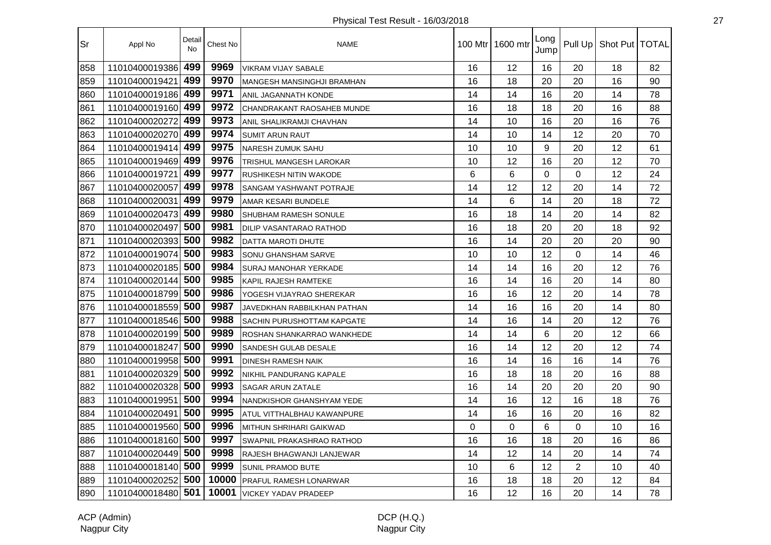| Sr  | Appl No            | Detail<br>No | Chest No | <b>NAME</b>                       | 100 Mtr I | 1600 mtr | Long<br>Jump | Pull Up        | Shot Put   TOTAL |    |
|-----|--------------------|--------------|----------|-----------------------------------|-----------|----------|--------------|----------------|------------------|----|
| 858 | 11010400019386     | 499          | 9969     | VIKRAM VIJAY SABALE               | 16        | 12       | 16           | 20             | 18               | 82 |
| 859 | 11010400019421     | 499          | 9970     | <b>MANGESH MANSINGHJI BRAMHAN</b> | 16        | 18       | 20           | 20             | 16               | 90 |
| 860 | 11010400019186     | 499          | 9971     | ANIL JAGANNATH KONDE              | 14        | 14       | 16           | 20             | 14               | 78 |
| 861 | 11010400019160 499 |              | 9972     | <b>CHANDRAKANT RAOSAHEB MUNDE</b> | 16        | 18       | 18           | 20             | 16               | 88 |
| 862 | 11010400020272     | 499          | 9973     | ANIL SHALIKRAMJI CHAVHAN          | 14        | 10       | 16           | 20             | 16               | 76 |
| 863 | 11010400020270 499 |              | 9974     | <b>SUMIT ARUN RAUT</b>            | 14        | 10       | 14           | 12             | 20               | 70 |
| 864 | 11010400019414     | 499          | 9975     | <b>NARESH ZUMUK SAHU</b>          | 10        | 10       | 9            | 20             | 12               | 61 |
| 865 | 11010400019469     | 499          | 9976     | TRISHUL MANGESH LAROKAR           | 10        | 12       | 16           | 20             | 12               | 70 |
| 866 | 11010400019721     | 499          | 9977     | <b>RUSHIKESH NITIN WAKODE</b>     | 6         | 6        | $\Omega$     | $\Omega$       | 12               | 24 |
| 867 | 11010400020057     | 499          | 9978     | SANGAM YASHWANT POTRAJE           | 14        | 12       | 12           | 20             | 14               | 72 |
| 868 | 11010400020031     | 499          | 9979     | AMAR KESARI BUNDELE               | 14        | 6        | 14           | 20             | 18               | 72 |
| 869 | 11010400020473     | 499          | 9980     | <b>SHUBHAM RAMESH SONULE</b>      | 16        | 18       | 14           | 20             | 14               | 82 |
| 870 | 11010400020497     | 500          | 9981     | <b>DILIP VASANTARAO RATHOD</b>    | 16        | 18       | 20           | 20             | 18               | 92 |
| 871 | 11010400020393     | 500          | 9982     | DATTA MAROTI DHUTE                | 16        | 14       | 20           | 20             | 20               | 90 |
| 872 | 11010400019074     | 500          | 9983     | <b>SONU GHANSHAM SARVE</b>        | 10        | 10       | 12           | $\Omega$       | 14               | 46 |
| 873 | 11010400020185 500 |              | 9984     | <b>SURAJ MANOHAR YERKADE</b>      | 14        | 14       | 16           | 20             | 12               | 76 |
| 874 | 11010400020144     | 500          | 9985     | <b>KAPIL RAJESH RAMTEKE</b>       | 16        | 14       | 16           | 20             | 14               | 80 |
| 875 | 11010400018799     | 500          | 9986     | YOGESH VIJAYRAO SHEREKAR          | 16        | 16       | 12           | 20             | 14               | 78 |
| 876 | 11010400018559     | 500          | 9987     | JAVEDKHAN RABBILKHAN PATHAN       | 14        | 16       | 16           | 20             | 14               | 80 |
| 877 | 11010400018546     | 500          | 9988     | <b>SACHIN PURUSHOTTAM KAPGATE</b> | 14        | 16       | 14           | 20             | 12               | 76 |
| 878 | 11010400020199     | 500          | 9989     | ROSHAN SHANKARRAO WANKHEDE        | 14        | 14       | 6            | 20             | 12               | 66 |
| 879 | 11010400018247     | 500          | 9990     | SANDESH GULAB DESALE              | 16        | 14       | 12           | 20             | 12               | 74 |
| 880 | 11010400019958 500 |              | 9991     | <b>DINESH RAMESH NAIK</b>         | 16        | 14       | 16           | 16             | 14               | 76 |
| 881 | 11010400020329     | 500          | 9992     | NIKHIL PANDURANG KAPALE           | 16        | 18       | 18           | 20             | 16               | 88 |
| 882 | 11010400020328 500 |              | 9993     | <b>SAGAR ARUN ZATALE</b>          | 16        | 14       | 20           | 20             | 20               | 90 |
| 883 | 11010400019951     | 500          | 9994     | NANDKISHOR GHANSHYAM YEDE         | 14        | 16       | 12           | 16             | 18               | 76 |
| 884 | 11010400020491     | 500          | 9995     | ATUL VITTHALBHAU KAWANPURE        | 14        | 16       | 16           | 20             | 16               | 82 |
| 885 | 11010400019560     | 500          | 9996     | <b>MITHUN SHRIHARI GAIKWAD</b>    | $\Omega$  | 0        | 6            | $\Omega$       | 10               | 16 |
| 886 | 11010400018160     | 500          | 9997     | SWAPNIL PRAKASHRAO RATHOD         | 16        | 16       | 18           | 20             | 16               | 86 |
| 887 | 11010400020449     | 500          | 9998     | RAJESH BHAGWANJI LANJEWAR         | 14        | 12       | 14           | 20             | 14               | 74 |
| 888 | 11010400018140     | 500          | 9999     | SUNIL PRAMOD BUTE                 | 10        | 6        | 12           | $\overline{2}$ | 10               | 40 |
| 889 | 11010400020252     | 500          | 10000    | <b>PRAFUL RAMESH LONARWAR</b>     | 16        | 18       | 18           | 20             | 12               | 84 |
| 890 | 11010400018480 501 |              | 10001    | <b>VICKEY YADAV PRADEEP</b>       | 16        | 12       | 16           | 20             | 14               | 78 |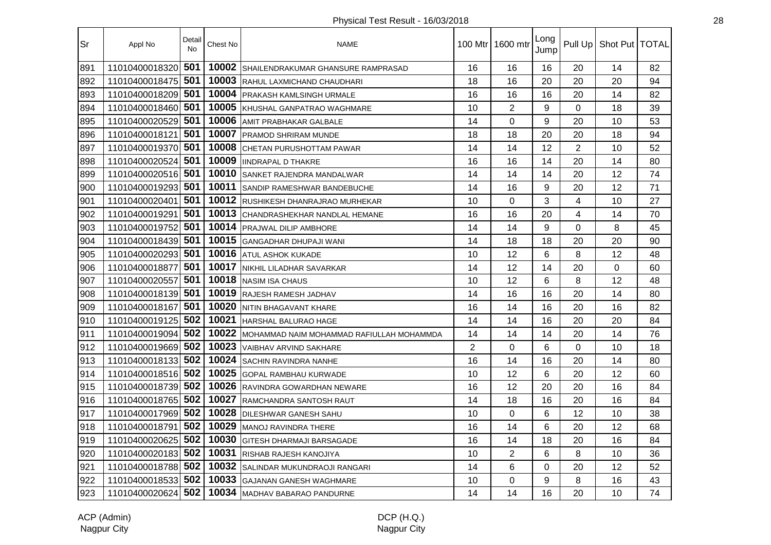| Sr  | Appl No            | Detail<br><b>No</b> | Chest No | <b>NAME</b>                                |                | 100 Mtr 1600 mtr | Long<br>Jump |                | Pull Up   Shot Put   TOTAL |    |
|-----|--------------------|---------------------|----------|--------------------------------------------|----------------|------------------|--------------|----------------|----------------------------|----|
| 891 | 11010400018320     | 501                 | 10002    | SHAILENDRAKUMAR GHANSURE RAMPRASAD         | 16             | 16               | 16           | 20             | 14                         | 82 |
| 892 | 11010400018475     | 501                 | 10003    | RAHUL LAXMICHAND CHAUDHARI                 | 18             | 16               | 20           | 20             | 20                         | 94 |
| 893 | 11010400018209 501 |                     | 10004    | PRAKASH KAMLSINGH URMALE                   | 16             | 16               | 16           | 20             | 14                         | 82 |
| 894 | 11010400018460     | 501                 | 10005    | KHUSHAL GANPATRAO WAGHMARE                 | 10             | $\overline{2}$   | 9            | 0              | 18                         | 39 |
| 895 | 11010400020529 501 |                     | 10006    | <b>AMIT PRABHAKAR GALBALE</b>              | 14             | $\Omega$         | 9            | 20             | 10                         | 53 |
| 896 | 11010400018121     | 501                 | 10007    | <b>PRAMOD SHRIRAM MUNDE</b>                | 18             | 18               | 20           | 20             | 18                         | 94 |
| 897 | 11010400019370 501 |                     | 10008    | CHETAN PURUSHOTTAM PAWAR                   | 14             | 14               | 12           | $\overline{2}$ | 10                         | 52 |
| 898 | 11010400020524 501 |                     | 10009    | <b>IINDRAPAL D THAKRE</b>                  | 16             | 16               | 14           | 20             | 14                         | 80 |
| 899 | 11010400020516 501 |                     | 10010    | SANKET RAJENDRA MANDALWAR                  | 14             | 14               | 14           | 20             | 12                         | 74 |
| 900 | 11010400019293 501 |                     | 10011    | SANDIP RAMESHWAR BANDEBUCHE                | 14             | 16               | 9            | 20             | 12                         | 71 |
| 901 | 11010400020401     | 501                 | 10012    | RUSHIKESH DHANRAJRAO MURHEKAR              | 10             | $\mathbf 0$      | 3            | 4              | 10                         | 27 |
| 902 | 11010400019291     | 501                 | 10013    | CHANDRASHEKHAR NANDLAL HEMANE              | 16             | 16               | 20           | $\overline{4}$ | 14                         | 70 |
| 903 | 11010400019752     | 501                 | 10014    | <b>PRAJWAL DILIP AMBHORE</b>               | 14             | 14               | 9            | 0              | 8                          | 45 |
| 904 | 11010400018439 501 |                     | 10015    | <b>GANGADHAR DHUPAJI WANI</b>              | 14             | 18               | 18           | 20             | 20                         | 90 |
| 905 | 11010400020293 501 |                     | 10016    | <b>ATUL ASHOK KUKADE</b>                   | 10             | 12               | 6            | 8              | 12                         | 48 |
| 906 | 11010400018877     | 501                 | 10017    | NIKHIL LILADHAR SAVARKAR                   | 14             | 12               | 14           | 20             | 0                          | 60 |
| 907 | 11010400020557     | 501                 | 10018    | NASIM ISA CHAUS                            | 10             | 12               | 6            | 8              | 12                         | 48 |
| 908 | 11010400018139 501 |                     | 10019    | <b>RAJESH RAMESH JADHAV</b>                | 14             | 16               | 16           | 20             | 14                         | 80 |
| 909 | 11010400018167     | 501                 | 10020    | NITIN BHAGAVANT KHARE                      | 16             | 14               | 16           | 20             | 16                         | 82 |
| 910 | 11010400019125 502 |                     | 10021    | <b>HARSHAL BALURAO HAGE</b>                | 14             | 14               | 16           | 20             | 20                         | 84 |
| 911 | 11010400019094 502 |                     | 10022    | IMOHAMMAD NAIM MOHAMMAD RAFIULLAH MOHAMMDA | 14             | 14               | 14           | 20             | 14                         | 76 |
| 912 | 11010400019669 502 |                     | 10023    | <b>VAIBHAV ARVIND SAKHARE</b>              | $\overline{2}$ | $\Omega$         | 6            | $\Omega$       | 10                         | 18 |
| 913 | 11010400018133 502 |                     | 10024    | <b>ISACHIN RAVINDRA NANHE</b>              | 16             | 14               | 16           | 20             | 14                         | 80 |
| 914 | 11010400018516 502 |                     | 10025    | <b>GOPAL RAMBHAU KURWADE</b>               | 10             | 12               | 6            | 20             | 12                         | 60 |
| 915 | 11010400018739 502 |                     | 10026    | RAVINDRA GOWARDHAN NEWARE                  | 16             | 12               | 20           | 20             | 16                         | 84 |
| 916 | 11010400018765 502 |                     | 10027    | RAMCHANDRA SANTOSH RAUT                    | 14             | 18               | 16           | 20             | 16                         | 84 |
| 917 | 11010400017969 502 |                     | 10028    | <b>DILESHWAR GANESH SAHU</b>               | 10             | 0                | 6            | 12             | 10                         | 38 |
| 918 | 11010400018791     | 502                 | 10029    | MANOJ RAVINDRA THERE                       | 16             | 14               | 6            | 20             | 12                         | 68 |
| 919 | 11010400020625     | 502                 | 10030    | <b>GITESH DHARMAJI BARSAGADE</b>           | 16             | 14               | 18           | 20             | 16                         | 84 |
| 920 | 11010400020183 502 |                     | 10031    | <b>RISHAB RAJESH KANOJIYA</b>              | 10             | $\overline{2}$   | 6            | 8              | 10                         | 36 |
| 921 | 11010400018788 502 |                     | 10032    | <b>SALINDAR MUKUNDRAOJI RANGARI</b>        | 14             | 6                | 0            | 20             | 12                         | 52 |
| 922 | 11010400018533 502 |                     | 10033    | <b>GAJANAN GANESH WAGHMARE</b>             | 10             | 0                | 9            | 8              | 16                         | 43 |
| 923 | 11010400020624 502 |                     |          | 10034 MADHAV BABARAO PANDURNE              | 14             | 14               | 16           | 20             | 10                         | 74 |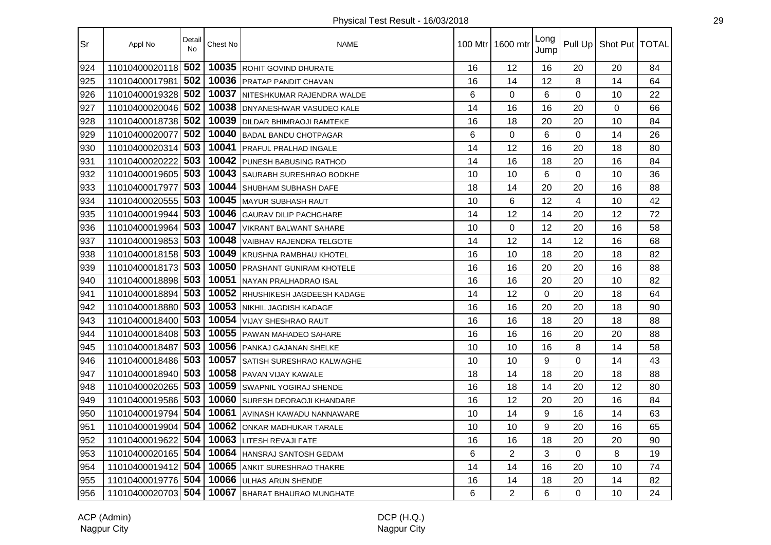| Sr  | Appl No            | Detail<br>No | Chest No | <b>NAME</b>                       | 100 Mtr I | 1600 mtr       | Long<br>Jump | Pull Up     | Shot Put   TOTAL |    |
|-----|--------------------|--------------|----------|-----------------------------------|-----------|----------------|--------------|-------------|------------------|----|
| 924 | 11010400020118     | 502          | 10035    | <b>ROHIT GOVIND DHURATE</b>       | 16        | 12             | 16           | 20          | 20               | 84 |
| 925 | 11010400017981     | 502          | 10036    | <b>PRATAP PANDIT CHAVAN</b>       | 16        | 14             | 12           | 8           | 14               | 64 |
| 926 | 11010400019328     | 502          | 10037    | NITESHKUMAR RAJENDRA WALDE        | 6         | 0              | 6            | 0           | 10               | 22 |
| 927 | 11010400020046     | 502          | 10038    | <b>IDNYANESHWAR VASUDEO KALE</b>  | 14        | 16             | 16           | 20          | 0                | 66 |
| 928 | 11010400018738 502 |              | 10039    | <b>DILDAR BHIMRAOJI RAMTEKE</b>   | 16        | 18             | 20           | 20          | 10               | 84 |
| 929 | 11010400020077     | 502          | 10040    | <b>BADAL BANDU CHOTPAGAR</b>      | 6         | 0              | 6            | $\mathbf 0$ | 14               | 26 |
| 930 | 11010400020314     | 503          | 10041    | PRAFUL PRALHAD INGALE             | 14        | 12             | 16           | 20          | 18               | 80 |
| 931 | 11010400020222     | 503          | 10042    | <b>PUNESH BABUSING RATHOD</b>     | 14        | 16             | 18           | 20          | 16               | 84 |
| 932 | 11010400019605     | 503          | 10043    | <b>SAURABH SURESHRAO BODKHE</b>   | 10        | 10             | 6            | $\Omega$    | 10               | 36 |
| 933 | 11010400017977     | 503          | 10044    | <b>SHUBHAM SUBHASH DAFE</b>       | 18        | 14             | 20           | 20          | 16               | 88 |
| 934 | 11010400020555     | 503          | 10045    | MAYUR SUBHASH RAUT                | 10        | 6              | 12           | 4           | 10               | 42 |
| 935 | 11010400019944     | 503          | 10046    | <b>GAURAV DILIP PACHGHARE</b>     | 14        | 12             | 14           | 20          | 12               | 72 |
| 936 | 11010400019964     | 503          | 10047    | <b>VIKRANT BALWANT SAHARE</b>     | 10        | 0              | 12           | 20          | 16               | 58 |
| 937 | 11010400019853     | 503          | 10048    | <b>VAIBHAV RAJENDRA TELGOTE</b>   | 14        | 12             | 14           | 12          | 16               | 68 |
| 938 | 11010400018158 503 |              | 10049    | KRUSHNA RAMBHAU KHOTEL            | 16        | 10             | 18           | 20          | 18               | 82 |
| 939 | 11010400018173 503 |              |          | 10050 PRASHANT GUNIRAM KHOTELE    | 16        | 16             | 20           | 20          | 16               | 88 |
| 940 | 11010400018898     | 503          | 10051    | NAYAN PRALHADRAO ISAL             | 16        | 16             | 20           | 20          | 10               | 82 |
| 941 | 11010400018894     | 503          | 10052    | <b>RHUSHIKESH JAGDEESH KADAGE</b> | 14        | 12             | $\Omega$     | 20          | 18               | 64 |
| 942 | 11010400018880     | 503          | 10053    | <b>INIKHIL JAGDISH KADAGE</b>     | 16        | 16             | 20           | 20          | 18               | 90 |
| 943 | 11010400018400     | 503          | 10054    | <b>VIJAY SHESHRAO RAUT</b>        | 16        | 16             | 18           | 20          | 18               | 88 |
| 944 | 11010400018408     | 503          | 10055    | PAWAN MAHADEO SAHARE              | 16        | 16             | 16           | 20          | 20               | 88 |
| 945 | 11010400018487     | 503          | 10056    | PANKAJ GAJANAN SHELKE             | 10        | 10             | 16           | 8           | 14               | 58 |
| 946 | 11010400018486 503 |              | 10057    | SATISH SURESHRAO KALWAGHE         | 10        | 10             | 9            | $\mathbf 0$ | 14               | 43 |
| 947 | 11010400018940 503 |              | 10058    | <b>PAVAN VIJAY KAWALE</b>         | 18        | 14             | 18           | 20          | 18               | 88 |
| 948 | 11010400020265 503 |              | 10059    | <b>SWAPNIL YOGIRAJ SHENDE</b>     | 16        | 18             | 14           | 20          | 12               | 80 |
| 949 | 11010400019586     | 503          | 10060    | <b>SURESH DEORAOJI KHANDARE</b>   | 16        | 12             | 20           | 20          | 16               | 84 |
| 950 | 11010400019794     | 504          | 10061    | AVINASH KAWADU NANNAWARE          | 10        | 14             | 9            | 16          | 14               | 63 |
| 951 | 11010400019904     | 504          | 10062    | <b>ONKAR MADHUKAR TARALE</b>      | 10        | 10             | 9            | 20          | 16               | 65 |
| 952 | 11010400019622     | 504          | 10063    | <b>LITESH REVAJI FATE</b>         | 16        | 16             | 18           | 20          | 20               | 90 |
| 953 | 11010400020165     | 504          | 10064    | <b>HANSRAJ SANTOSH GEDAM</b>      | 6         | $\overline{2}$ | 3            | 0           | 8                | 19 |
| 954 | 11010400019412     | 504          | 10065    | <b>ANKIT SURESHRAO THAKRE</b>     | 14        | 14             | 16           | 20          | 10               | 74 |
| 955 | 11010400019776 504 |              | 10066    | <b>ULHAS ARUN SHENDE</b>          | 16        | 14             | 18           | 20          | 14               | 82 |
| 956 | 11010400020703     | 504          | 10067    | BHARAT BHAURAO MUNGHATE           | 6         | $\overline{2}$ | 6            | $\Omega$    | 10               | 24 |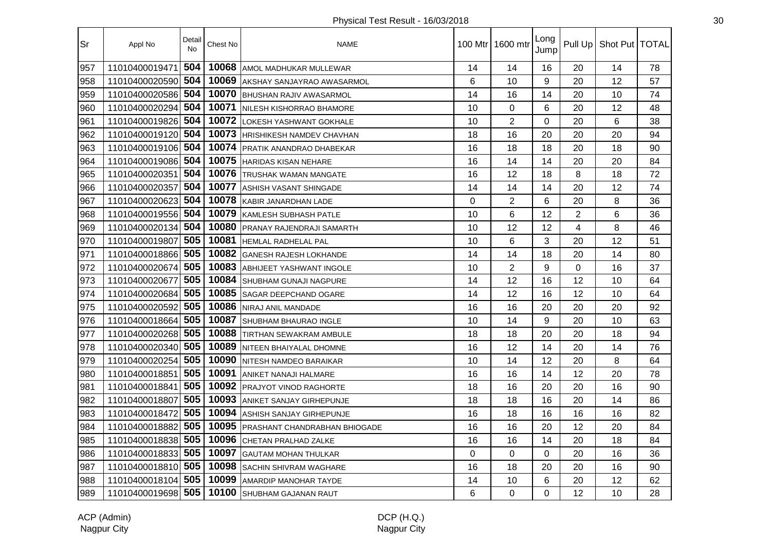| Sr  | Appl No            | Detail<br><b>No</b> | Chest No | <b>NAME</b>                          |    | 100 Mtr   1600 mtr | Long<br>Jump |                | Pull Up   Shot Put   TOTAL |    |
|-----|--------------------|---------------------|----------|--------------------------------------|----|--------------------|--------------|----------------|----------------------------|----|
| 957 | 11010400019471     | 504                 | 10068    | AMOL MADHUKAR MULLEWAR               | 14 | 14                 | 16           | 20             | 14                         | 78 |
| 958 | 11010400020590     | 504                 | 10069    | AKSHAY SANJAYRAO AWASARMOL           | 6  | 10                 | 9            | 20             | 12                         | 57 |
| 959 | 11010400020586     | 504                 | 10070    | <b>BHUSHAN RAJIV AWASARMOL</b>       | 14 | 16                 | 14           | 20             | 10                         | 74 |
| 960 | 11010400020294     | 504                 | 10071    | NILESH KISHORRAO BHAMORE             | 10 | 0                  | 6            | 20             | 12                         | 48 |
| 961 | 11010400019826 504 |                     | 10072    | LOKESH YASHWANT GOKHALE              | 10 | $\overline{2}$     | $\Omega$     | 20             | 6                          | 38 |
| 962 | 11010400019120 504 |                     | 10073    | <b>HRISHIKESH NAMDEV CHAVHAN</b>     | 18 | 16                 | 20           | 20             | 20                         | 94 |
| 963 | 11010400019106 504 |                     | 10074    | <b>PRATIK ANANDRAO DHABEKAR</b>      | 16 | 18                 | 18           | 20             | 18                         | 90 |
| 964 | 11010400019086 504 |                     | 10075    | HARIDAS KISAN NEHARE                 | 16 | 14                 | 14           | 20             | 20                         | 84 |
| 965 | 11010400020351     | 504                 | 10076    | <b>TRUSHAK WAMAN MANGATE</b>         | 16 | 12                 | 18           | 8              | 18                         | 72 |
| 966 | 11010400020357     | 504                 | 10077    | ASHISH VASANT SHINGADE               | 14 | 14                 | 14           | 20             | 12                         | 74 |
| 967 | 11010400020623     | 504                 | 10078    | KABIR JANARDHAN LADE                 | 0  | $\overline{2}$     | 6            | 20             | 8                          | 36 |
| 968 | 11010400019556     | 504                 | 10079    | <b>KAMLESH SUBHASH PATLE</b>         | 10 | 6                  | 12           | $\overline{2}$ | 6                          | 36 |
| 969 | 11010400020134     | 504                 | 10080    | <b>PRANAY RAJENDRAJI SAMARTH</b>     | 10 | 12                 | 12           | 4              | 8                          | 46 |
| 970 | 11010400019807     | 505                 | 10081    | <b>HEMLAL RADHELAL PAL</b>           | 10 | 6                  | 3            | 20             | 12                         | 51 |
| 971 | 11010400018866 505 |                     | 10082    | <b>GANESH RAJESH LOKHANDE</b>        | 14 | 14                 | 18           | 20             | 14                         | 80 |
| 972 | 11010400020674     | 505                 | 10083    | <b>ABHIJEET YASHWANT INGOLE</b>      | 10 | $\overline{2}$     | 9            | $\Omega$       | 16                         | 37 |
| 973 | 11010400020677     | 505                 | 10084    | <b>SHUBHAM GUNAJI NAGPURE</b>        | 14 | 12                 | 16           | 12             | 10                         | 64 |
| 974 | 11010400020684     | 505                 | 10085    | <b>ISAGAR DEEPCHAND OGARE</b>        | 14 | 12                 | 16           | 12             | 10                         | 64 |
| 975 | 11010400020592     | 505                 | 10086    | NIRAJ ANIL MANDADE                   | 16 | 16                 | 20           | 20             | 20                         | 92 |
| 976 | 11010400018664     | 505                 | 10087    | <b>I</b> SHUBHAM BHAURAO INGLE       | 10 | 14                 | 9            | 20             | 10                         | 63 |
| 977 | 11010400020268     | 505                 | 10088    | <b>TIRTHAN SEWAKRAM AMBULE</b>       | 18 | 18                 | 20           | 20             | 18                         | 94 |
| 978 | 11010400020340     | 505                 | 10089    | NITEEN BHAIYALAL DHOMNE              | 16 | 12                 | 14           | 20             | 14                         | 76 |
| 979 | 11010400020254     | 505                 | 10090    | <b>NITESH NAMDEO BARAIKAR</b>        | 10 | 14                 | 12           | 20             | 8                          | 64 |
| 980 | 11010400018851     | 505                 | 10091    | ANIKET NANAJI HALMARE                | 16 | 16                 | 14           | 12             | 20                         | 78 |
| 981 | 11010400018841     | 505                 | 10092    | <b>PRAJYOT VINOD RAGHORTE</b>        | 18 | 16                 | 20           | 20             | 16                         | 90 |
| 982 | 11010400018807     | 505                 | 10093    | <b>ANIKET SANJAY GIRHEPUNJE</b>      | 18 | 18                 | 16           | 20             | 14                         | 86 |
| 983 | 11010400018472     | 505                 | 10094    | ASHISH SANJAY GIRHEPUNJE             | 16 | 18                 | 16           | 16             | 16                         | 82 |
| 984 | 11010400018882     | 505                 | 10095    | <b>PRASHANT CHANDRABHAN BHIOGADE</b> | 16 | 16                 | 20           | 12             | 20                         | 84 |
| 985 | 11010400018838     | 505                 | 10096    | CHETAN PRALHAD ZALKE                 | 16 | 16                 | 14           | 20             | 18                         | 84 |
| 986 | 11010400018833     | 505                 | 10097    | <b>GAUTAM MOHAN THULKAR</b>          | 0  | $\mathbf 0$        | 0            | 20             | 16                         | 36 |
| 987 | 11010400018810     | 505                 | 10098    | <b>SACHIN SHIVRAM WAGHARE</b>        | 16 | 18                 | 20           | 20             | 16                         | 90 |
| 988 | 11010400018104     | 505                 | 10099    | <b>AMARDIP MANOHAR TAYDE</b>         | 14 | 10                 | 6            | 20             | 12                         | 62 |
| 989 | 11010400019698 505 |                     | 10100    | SHUBHAM GAJANAN RAUT                 | 6  | 0                  | $\Omega$     | 12             | 10                         | 28 |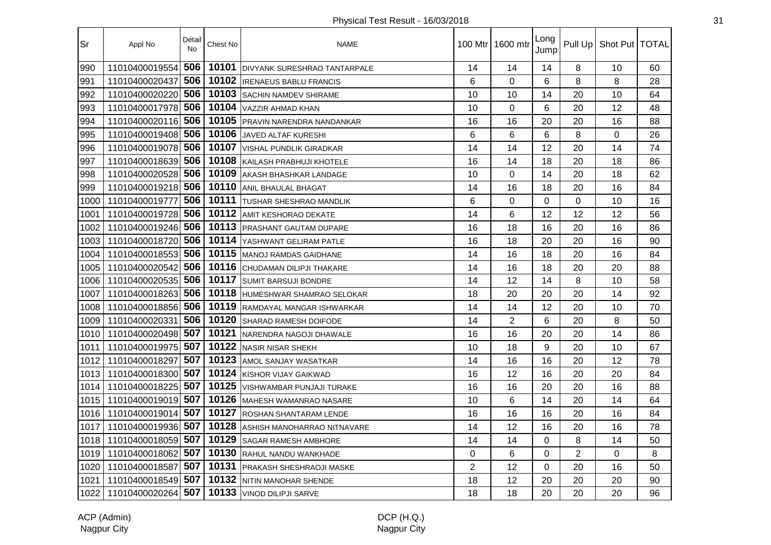| Sr   | Appl No            | Detail<br><b>No</b> | Chest No | <b>NAME</b>                         |    | 100 Mtr 1600 mtr | Long<br>Jump |                | Pull Up   Shot Put   TOTAL |    |
|------|--------------------|---------------------|----------|-------------------------------------|----|------------------|--------------|----------------|----------------------------|----|
| 990  | 11010400019554     | 506                 | 10101    | <b>DIVYANK SURESHRAO TANTARPALE</b> | 14 | 14               | 14           | 8              | 10                         | 60 |
| 991  | 11010400020437     | 506                 | 10102    | <b>IRENAEUS BABLU FRANCIS</b>       | 6  | $\mathbf 0$      | 6            | 8              | 8                          | 28 |
| 992  | 11010400020220     | 506                 | 10103    | <b>SACHIN NAMDEV SHIRAME</b>        | 10 | 10               | 14           | 20             | 10                         | 64 |
| 993  | 11010400017978     | 506                 | 10104    | <b>VAZZIR AHMAD KHAN</b>            | 10 | $\mathbf 0$      | 6            | 20             | 12                         | 48 |
| 994  | 11010400020116 506 |                     | 10105    | <b>PRAVIN NARENDRA NANDANKAR</b>    | 16 | 16               | 20           | 20             | 16                         | 88 |
| 995  | 11010400019408 506 |                     | 10106    | JAVED ALTAF KURESHI                 | 6  | 6                | 6            | 8              | $\Omega$                   | 26 |
| 996  | 11010400019078 506 |                     | 10107    | <b>VISHAL PUNDLIK GIRADKAR</b>      | 14 | 14               | 12           | 20             | 14                         | 74 |
| 997  | 11010400018639 506 |                     | 10108    | KAILASH PRABHUJI KHOTELE            | 16 | 14               | 18           | 20             | 18                         | 86 |
| 998  | 11010400020528 506 |                     | 10109    | AKASH BHASHKAR LANDAGE              | 10 | $\Omega$         | 14           | 20             | 18                         | 62 |
| 999  | 11010400019218 506 |                     | 10110    | <b>ANIL BHAULAL BHAGAT</b>          | 14 | 16               | 18           | 20             | 16                         | 84 |
| 1000 | 11010400019777     | 506                 | 10111    | <b>TUSHAR SHESHRAO MANDLIK</b>      | 6  | $\Omega$         | $\Omega$     | $\Omega$       | 10                         | 16 |
| 1001 | 11010400019728 506 |                     | 10112    | <b>AMIT KESHORAO DEKATE</b>         | 14 | 6                | 12           | 12             | 12                         | 56 |
| 1002 | 11010400019246 506 |                     | 10113    | PRASHANT GAUTAM DUPARE              | 16 | 18               | 16           | 20             | 16                         | 86 |
| 1003 | 11010400018720 506 |                     | 10114    | <b>IYASHWANT GELIRAM PATLE</b>      | 16 | 18               | 20           | 20             | 16                         | 90 |
| 1004 | 11010400018553 506 |                     | 10115    | <b>MANOJ RAMDAS GAIDHANE</b>        | 14 | 16               | 18           | 20             | 16                         | 84 |
| 1005 | 11010400020542     | 506                 | 10116    | <b>CHUDAMAN DILIPJI THAKARE</b>     | 14 | 16               | 18           | 20             | 20                         | 88 |
| 1006 | 11010400020535     | 506                 | 10117    | <b>SUMIT BARSUJI BONDRE</b>         | 14 | 12               | 14           | 8              | 10                         | 58 |
| 1007 | 11010400018263     | 506                 | 10118    | HUMESHWAR SHAMRAO SELOKAR           | 18 | 20               | 20           | 20             | 14                         | 92 |
| 1008 | 11010400018856     | 506                 | 10119    | <b>IRAMDAYAL MANGAR ISHWARKAR</b>   | 14 | 14               | 12           | 20             | 10                         | 70 |
| 1009 | 11010400020331     | 506                 | 10120    | <b>SHARAD RAMESH DOIFODE</b>        | 14 | $\overline{2}$   | 6            | 20             | 8                          | 50 |
| 1010 | 11010400020498     | 507                 | 10121    | NARENDRA NAGOJI DHAWALE             | 16 | 16               | 20           | 20             | 14                         | 86 |
| 1011 | 11010400019975     | 507                 | 10122    | NASIR NISAR SHEKH                   | 10 | 18               | 9            | 20             | 10                         | 67 |
| 1012 | 11010400018297     | 507                 | 10123    | AMOL SANJAY WASATKAR                | 14 | 16               | 16           | 20             | 12                         | 78 |
| 1013 | 11010400018300 507 |                     | 10124    | KISHOR VIJAY GAIKWAD                | 16 | 12               | 16           | 20             | 20                         | 84 |
| 1014 | 11010400018225 507 |                     | 10125    | <b>VISHWAMBAR PUNJAJI TURAKE</b>    | 16 | 16               | 20           | 20             | 16                         | 88 |
| 1015 | 11010400019019 507 |                     | 10126    | MAHESH WAMANRAO NASARE              | 10 | 6                | 14           | 20             | 14                         | 64 |
| 1016 | 11010400019014 507 |                     | 10127    | <b>ROSHAN SHANTARAM LENDE</b>       | 16 | 16               | 16           | 20             | 16                         | 84 |
| 1017 | 11010400019936 507 |                     | 10128    | ASHISH MANOHARRAO NITNAVARE         | 14 | 12               | 16           | 20             | 16                         | 78 |
| 1018 | 11010400018059     | 507                 | 10129    | <b>SAGAR RAMESH AMBHORE</b>         | 14 | 14               | $\Omega$     | 8              | 14                         | 50 |
| 1019 | 11010400018062     | 507                 | 10130    | RAHUL NANDU WANKHADE                | 0  | 6                | $\Omega$     | $\overline{2}$ | 0                          | 8  |
| 1020 | 11010400018587     | 507                 | 10131    | <b>PRAKASH SHESHRAOJI MASKE</b>     | 2  | 12               | $\Omega$     | 20             | 16                         | 50 |
| 1021 | 11010400018549 507 |                     | 10132    | <b>NITIN MANOHAR SHENDE</b>         | 18 | 12               | 20           | 20             | 20                         | 90 |
| 1022 | 11010400020264     | 507                 | 10133    | <b>VINOD DILIPJI SARVE</b>          | 18 | 18               | 20           | 20             | 20                         | 96 |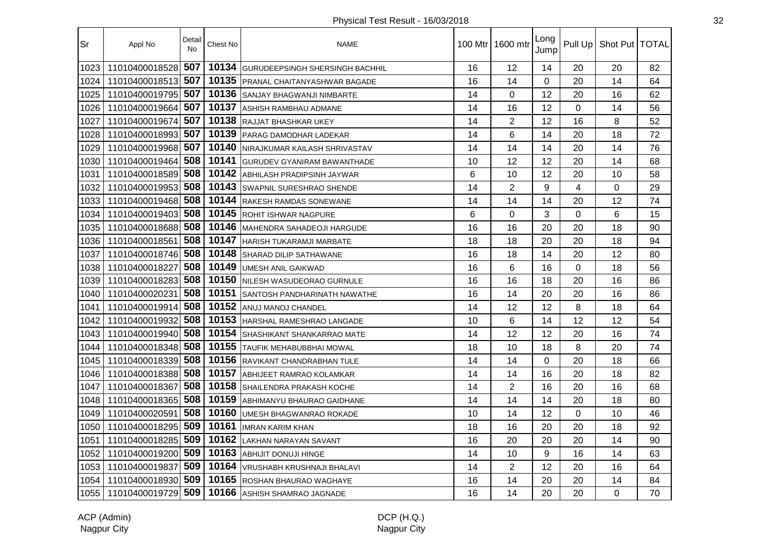| Sr   | Appl No            | Detail<br><b>No</b> | Chest No | <b>NAME</b>                          | 100 Mtr I | 1600 mtr       | Long<br>Jump | Pull Up     | Shot Put   TOTAL |    |
|------|--------------------|---------------------|----------|--------------------------------------|-----------|----------------|--------------|-------------|------------------|----|
| 1023 | 11010400018528     | 507                 | 10134    | GURUDEEPSINGH SHERSINGH BACHHIL      | 16        | 12             | 14           | 20          | 20               | 82 |
| 1024 | 11010400018513     | 507                 | 10135    | <b>IPRANAL CHAITANYASHWAR BAGADE</b> | 16        | 14             | 0            | 20          | 14               | 64 |
| 1025 | 11010400019795     | 507                 | 10136    | <b>SANJAY BHAGWANJI NIMBARTE</b>     | 14        | 0              | 12           | 20          | 16               | 62 |
| 1026 | 11010400019664     | 507                 | 10137    | ASHISH RAMBHAU ADMANE                | 14        | 16             | 12           | $\mathbf 0$ | 14               | 56 |
| 1027 | 11010400019674     | 507                 | 10138    | RAJJAT BHASHKAR UKEY                 | 14        | $\overline{2}$ | 12           | 16          | 8                | 52 |
| 1028 | 11010400018993     | 507                 | 10139    | <b>PARAG DAMODHAR LADEKAR</b>        | 14        | 6              | 14           | 20          | 18               | 72 |
| 1029 | 11010400019968 507 |                     | 10140    | NIRAJKUMAR KAILASH SHRIVASTAV        | 14        | 14             | 14           | 20          | 14               | 76 |
| 1030 | 11010400019464     | 508                 | 10141    | <b>GURUDEV GYANIRAM BAWANTHADE</b>   | 10        | 12             | 12           | 20          | 14               | 68 |
| 1031 | 11010400018589     | 508                 | 10142    | ABHILASH PRADIPSINH JAYWAR           | 6         | 10             | 12           | 20          | 10               | 58 |
| 1032 | 11010400019953     | 508                 | 10143    | SWAPNIL SURESHRAO SHENDE             | 14        | $\overline{2}$ | 9            | 4           | 0                | 29 |
| 1033 | 11010400019468     | 508                 | 10144    | RAKESH RAMDAS SONEWANE               | 14        | 14             | 14           | 20          | 12               | 74 |
| 1034 | 11010400019403     | 508                 | 10145    | ROHIT ISHWAR NAGPURE                 | 6         | $\Omega$       | 3            | $\Omega$    | 6                | 15 |
| 1035 | 11010400018688     | 508                 | 10146    | <b>IMAHENDRA SAHADEOJI HARGUDE</b>   | 16        | 16             | 20           | 20          | 18               | 90 |
| 1036 | 11010400018561     | 508                 | 10147    | <b>I</b> HARISH TUKARAMJI MARBATE    | 18        | 18             | 20           | 20          | 18               | 94 |
| 1037 | 11010400018746     | 508                 | 10148    | <b>SHARAD DILIP SATHAWANE</b>        | 16        | 18             | 14           | 20          | 12               | 80 |
| 1038 | 11010400018227     | 508                 | 10149    | <b>UMESH ANIL GAIKWAD</b>            | 16        | 6              | 16           | $\Omega$    | 18               | 56 |
| 1039 | 11010400018283     | 508                 | 10150    | NILESH WASUDEORAO GURNULE            | 16        | 16             | 18           | 20          | 16               | 86 |
| 1040 | 11010400020231     | 508                 | 10151    | SANTOSH PANDHARINATH NAWATHE         | 16        | 14             | 20           | 20          | 16               | 86 |
| 1041 | 11010400019914     | 508                 | 10152    | ANUJ MANOJ CHANDEL                   | 14        | 12             | 12           | 8           | 18               | 64 |
| 1042 | 11010400019932     | 508                 | 10153    | <b>HARSHAL RAMESHRAO LANGADE</b>     | 10        | 6              | 14           | 12          | 12               | 54 |
| 1043 | 11010400019940     | 508                 | 10154    | SHASHIKANT SHANKARRAO MATE           | 14        | 12             | 12           | 20          | 16               | 74 |
| 1044 | 11010400018348 508 |                     | 10155    | <b>I</b> TAUFIK MEHABUBBHAI MOWAL    | 18        | 10             | 18           | 8           | 20               | 74 |
| 1045 | 11010400018339 508 |                     | 10156    | RAVIKANT CHANDRABHAN TULE            | 14        | 14             | $\Omega$     | 20          | 18               | 66 |
| 1046 | 11010400018388     | 508                 | 10157    | ABHIJEET RAMRAO KOLAMKAR             | 14        | 14             | 16           | 20          | 18               | 82 |
| 1047 | 11010400018367     | 508                 | 10158    | <b>SHAILENDRA PRAKASH KOCHE</b>      | 14        | $\overline{2}$ | 16           | 20          | 16               | 68 |
| 1048 | 11010400018365     | 508                 | 10159    | ABHIMANYU BHAURAO GAIDHANE           | 14        | 14             | 14           | 20          | 18               | 80 |
| 1049 | 11010400020591     | 508                 | 10160    | UMESH BHAGWANRAO ROKADE              | 10        | 14             | 12           | $\Omega$    | 10               | 46 |
| 1050 | 11010400018295     | 509                 | 10161    | <b>IMRAN KARIM KHAN</b>              | 18        | 16             | 20           | 20          | 18               | 92 |
| 1051 | 11010400018285     | 509                 | 10162    | <b>LAKHAN NARAYAN SAVANT</b>         | 16        | 20             | 20           | 20          | 14               | 90 |
| 1052 | 11010400019200     | 509                 | 10163    | <b>ABHIJIT DONUJI HINGE</b>          | 14        | 10             | 9            | 16          | 14               | 63 |
| 1053 | 11010400019837     | 509                 | 10164    | VRUSHABH KRUSHNAJI BHALAVI           | 14        | $\overline{2}$ | 12           | 20          | 16               | 64 |
| 1054 | 11010400018930 509 |                     | 10165    | <b>ROSHAN BHAURAO WAGHAYE</b>        | 16        | 14             | 20           | 20          | 14               | 84 |
| 1055 | 11010400019729     | 509                 | 10166    | ASHISH SHAMRAO JAGNADE               | 16        | 14             | 20           | 20          | $\Omega$         | 70 |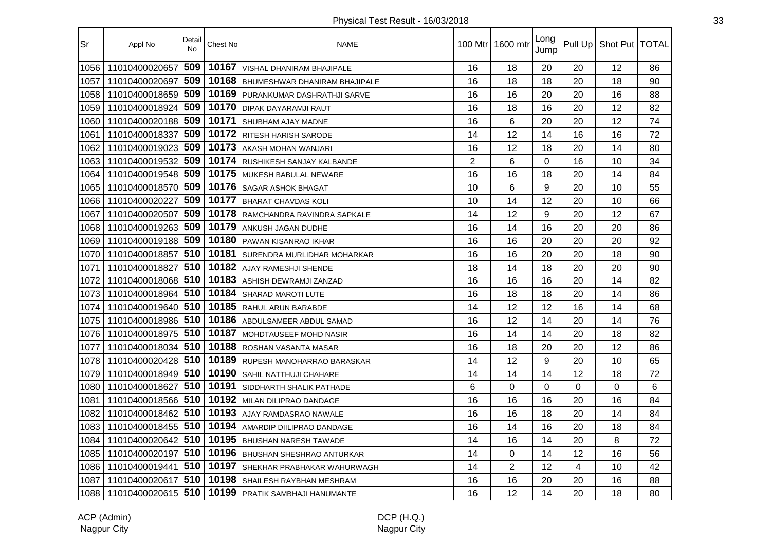| Sr   | Appl No            | Detail<br>No | Chest No | <b>NAME</b>                        | 100 Mtr I      | 1600 mtr       | Long<br>Jump |             | Pull Up   Shot Put   TOTAL |                |
|------|--------------------|--------------|----------|------------------------------------|----------------|----------------|--------------|-------------|----------------------------|----------------|
| 1056 | 11010400020657     | 509          | 10167    | VISHAL DHANIRAM BHAJIPALE          | 16             | 18             | 20           | 20          | 12                         | 86             |
| 1057 | 11010400020697     | 509          | 10168    | BHUMESHWAR DHANIRAM BHAJIPALE      | 16             | 18             | 18           | 20          | 18                         | 90             |
| 1058 | 11010400018659     | 509          | 10169    | <b>PURANKUMAR DASHRATHJI SARVE</b> | 16             | 16             | 20           | 20          | 16                         | 88             |
| 1059 | 11010400018924     | 509          | 10170    | <b>DIPAK DAYARAMJI RAUT</b>        | 16             | 18             | 16           | 20          | 12                         | 82             |
| 1060 | 11010400020188 509 |              | 10171    | <b>SHUBHAM AJAY MADNE</b>          | 16             | 6              | 20           | 20          | 12                         | 74             |
| 1061 | 11010400018337     | 509          | 10172    | <b>RITESH HARISH SARODE</b>        | 14             | 12             | 14           | 16          | 16                         | 72             |
| 1062 | 11010400019023     | 509          | 10173    | AKASH MOHAN WANJARI                | 16             | 12             | 18           | 20          | 14                         | 80             |
| 1063 | 11010400019532     | 509          | 10174    | <b>RUSHIKESH SANJAY KALBANDE</b>   | $\overline{2}$ | 6              | $\mathbf 0$  | 16          | 10                         | 34             |
| 1064 | 11010400019548 509 |              | 10175    | <b>MUKESH BABULAL NEWARE</b>       | 16             | 16             | 18           | 20          | 14                         | 84             |
| 1065 | 11010400018570     | 509          | 10176    | <b>SAGAR ASHOK BHAGAT</b>          | 10             | 6              | 9            | 20          | 10                         | 55             |
| 1066 | 11010400020227     | 509          | 10177    | <b>BHARAT CHAVDAS KOLI</b>         | 10             | 14             | 12           | 20          | 10                         | 66             |
| 1067 | 11010400020507     | 509          | 10178    | RAMCHANDRA RAVINDRA SAPKALE        | 14             | 12             | 9            | 20          | 12                         | 67             |
| 1068 | 11010400019263     | 509          | 10179    | <b>ANKUSH JAGAN DUDHE</b>          | 16             | 14             | 16           | 20          | 20                         | 86             |
| 1069 | 11010400019188     | 509          | 10180    | PAWAN KISANRAO IKHAR               | 16             | 16             | 20           | 20          | 20                         | 92             |
| 1070 | 11010400018857     | 510          | 10181    | SURENDRA MURLIDHAR MOHARKAR        | 16             | 16             | 20           | 20          | 18                         | 90             |
| 1071 | 11010400018827     | 510          | 10182    | AJAY RAMESHJI SHENDE               | 18             | 14             | 18           | 20          | 20                         | 90             |
| 1072 | 11010400018068     | 510          | 10183    | ASHISH DEWRAMJI ZANZAD             | 16             | 16             | 16           | 20          | 14                         | 82             |
| 1073 | 11010400018964     | 510          | 10184    | <b>SHARAD MAROTI LUTE</b>          | 16             | 18             | 18           | 20          | 14                         | 86             |
| 1074 | 11010400019640 510 |              | 10185    | <b>RAHUL ARUN BARABDE</b>          | 14             | 12             | 12           | 16          | 14                         | 68             |
| 1075 | 11010400018986 510 |              | 10186    | <b>ABDULSAMEER ABDUL SAMAD</b>     | 16             | 12             | 14           | 20          | 14                         | 76             |
| 1076 | 11010400018975     | 510          | 10187    | MOHDTAUSEEF MOHD NASIR             | 16             | 14             | 14           | 20          | 18                         | 82             |
| 1077 | 11010400018034 510 |              | 10188    | <b>ROSHAN VASANTA MASAR</b>        | 16             | 18             | 20           | 20          | 12                         | 86             |
| 1078 | 11010400020428 510 |              | 10189    | <b>RUPESH MANOHARRAO BARASKAR</b>  | 14             | 12             | 9            | 20          | 10                         | 65             |
| 1079 | 11010400018949 510 |              | 10190    | <b>SAHIL NATTHUJI CHAHARE</b>      | 14             | 14             | 14           | 12          | 18                         | 72             |
| 1080 | 11010400018627     | 510          | 10191    | <b>SIDDHARTH SHALIK PATHADE</b>    | 6              | $\overline{0}$ | 0            | $\mathbf 0$ | $\mathbf 0$                | $6\phantom{1}$ |
| 1081 | 11010400018566 510 |              | 10192    | MILAN DILIPRAO DANDAGE             | 16             | 16             | 16           | 20          | 16                         | 84             |
| 1082 | 11010400018462 510 |              | 10193    | <b>AJAY RAMDASRAO NAWALE</b>       | 16             | 16             | 18           | 20          | 14                         | 84             |
| 1083 | 11010400018455     | 510          | 10194    | AMARDIP DIILIPRAO DANDAGE          | 16             | 14             | 16           | 20          | 18                         | 84             |
| 1084 | 11010400020642     | 510          | 10195    | <b>BHUSHAN NARESH TAWADE</b>       | 14             | 16             | 14           | 20          | 8                          | 72             |
| 1085 | 11010400020197     | 510          | 10196    | <b>BHUSHAN SHESHRAO ANTURKAR</b>   | 14             | 0              | 14           | 12          | 16                         | 56             |
| 1086 | 11010400019441 510 |              | 10197    | <b>SHEKHAR PRABHAKAR WAHURWAGH</b> | 14             | $\overline{2}$ | 12           | 4           | 10                         | 42             |
| 1087 | 11010400020617     | 510          | 10198    | <b>SHAILESH RAYBHAN MESHRAM</b>    | 16             | 16             | 20           | 20          | 16                         | 88             |
| 1088 | 11010400020615 510 |              |          | 10199 PRATIK SAMBHAJI HANUMANTE    | 16             | 12             | 14           | 20          | 18                         | 80             |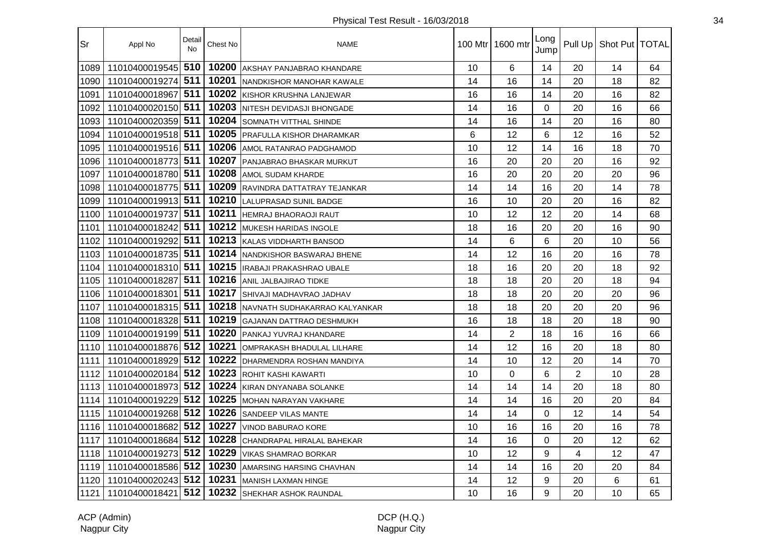| Sr   | Appl No            | Detail<br>No | Chest No | <b>NAME</b>                       |    | 100 Mtr 1600 mtr | Long<br>Jump | Pull Up        | Shot Put   TOTAL |    |
|------|--------------------|--------------|----------|-----------------------------------|----|------------------|--------------|----------------|------------------|----|
| 1089 | 11010400019545     | 510          | 10200    | AKSHAY PANJABRAO KHANDARE         | 10 | 6                | 14           | 20             | 14               | 64 |
| 1090 | 11010400019274     | 511          | 10201    | NANDKISHOR MANOHAR KAWALE         | 14 | 16               | 14           | 20             | 18               | 82 |
| 1091 | 11010400018967     | 511          | 10202    | KISHOR KRUSHNA LANJEWAR           | 16 | 16               | 14           | 20             | 16               | 82 |
| 1092 | 11010400020150 511 |              | 10203    | <b>INITESH DEVIDASJI BHONGADE</b> | 14 | 16               | 0            | 20             | 16               | 66 |
| 1093 | 11010400020359 511 |              | 10204    | <b>SOMNATH VITTHAL SHINDE</b>     | 14 | 16               | 14           | 20             | 16               | 80 |
| 1094 | 11010400019518 511 |              | 10205    | <b>PRAFULLA KISHOR DHARAMKAR</b>  | 6  | 12               | 6            | 12             | 16               | 52 |
| 1095 | 11010400019516 511 |              | 10206    | <b>AMOL RATANRAO PADGHAMOD</b>    | 10 | 12               | 14           | 16             | 18               | 70 |
| 1096 | 11010400018773 511 |              | 10207    | <b>PANJABRAO BHASKAR MURKUT</b>   | 16 | 20               | 20           | 20             | 16               | 92 |
| 1097 | 11010400018780 511 |              | 10208    | <b>AMOL SUDAM KHARDE</b>          | 16 | 20               | 20           | 20             | 20               | 96 |
| 1098 | 11010400018775     | 511          | 10209    | RAVINDRA DATTATRAY TEJANKAR       | 14 | 14               | 16           | 20             | 14               | 78 |
| 1099 | 11010400019913 511 |              | 10210    | <b>LALUPRASAD SUNIL BADGE</b>     | 16 | 10               | 20           | 20             | 16               | 82 |
| 1100 | 11010400019737     | 511          | 10211    | <b>HEMRAJ BHAORAOJI RAUT</b>      | 10 | 12               | 12           | 20             | 14               | 68 |
| 1101 | 11010400018242 511 |              | 10212    | <b>MUKESH HARIDAS INGOLE</b>      | 18 | 16               | 20           | 20             | 16               | 90 |
| 1102 | 11010400019292 511 |              | 10213    | KALAS VIDDHARTH BANSOD            | 14 | 6                | 6            | 20             | 10               | 56 |
| 1103 | 11010400018735 511 |              | 10214    | NANDKISHOR BASWARAJ BHENE         | 14 | 12               | 16           | 20             | 16               | 78 |
| 1104 | 11010400018310 511 |              | 10215    | IRABAJI PRAKASHRAO UBALE          | 18 | 16               | 20           | 20             | 18               | 92 |
| 1105 | 11010400018287     | 511          | 10216    | <b>ANIL JALBAJIRAO TIDKE</b>      | 18 | 18               | 20           | 20             | 18               | 94 |
| 1106 | 11010400018301     | 511          | 10217    | <b>SHIVAJI MADHAVRAO JADHAV</b>   | 18 | 18               | 20           | 20             | 20               | 96 |
| 1107 | 11010400018315 511 |              | 10218    | NAVNATH SUDHAKARRAO KALYANKAR     | 18 | 18               | 20           | 20             | 20               | 96 |
| 1108 | 11010400018328 511 |              | 10219    | GAJANAN DATTRAO DESHMUKH          | 16 | 18               | 18           | 20             | 18               | 90 |
| 1109 | 11010400019199 511 |              | 10220    | PANKAJ YUVRAJ KHANDARE            | 14 | $\overline{2}$   | 18           | 16             | 16               | 66 |
| 1110 | 11010400018876 512 |              | 10221    | OMPRAKASH BHADULAL LILHARE        | 14 | 12               | 16           | 20             | 18               | 80 |
| 1111 | 11010400018929 512 |              | 10222    | DHARMENDRA ROSHAN MANDIYA         | 14 | 10               | 12           | 20             | 14               | 70 |
| 1112 | 11010400020184 512 |              | 10223    | ROHIT KASHI KAWARTI               | 10 | 0                | 6            | $\overline{2}$ | 10               | 28 |
| 1113 | 11010400018973 512 |              | 10224    | KIRAN DNYANABA SOLANKE            | 14 | 14               | 14           | 20             | 18               | 80 |
| 1114 | 11010400019229 512 |              | 10225    | MOHAN NARAYAN VAKHARE             | 14 | 14               | 16           | 20             | 20               | 84 |
| 1115 | 11010400019268 512 |              | 10226    | <b>SANDEEP VILAS MANTE</b>        | 14 | 14               | 0            | 12             | 14               | 54 |
| 1116 | 11010400018682     | 512          | 10227    | VINOD BABURAO KORE                | 10 | 16               | 16           | 20             | 16               | 78 |
| 1117 | 11010400018684 512 |              | 10228    | CHANDRAPAL HIRALAL BAHEKAR        | 14 | 16               | 0            | 20             | 12               | 62 |
| 1118 | 11010400019273 512 |              | 10229    | <b>VIKAS SHAMRAO BORKAR</b>       | 10 | 12               | 9            | 4              | 12               | 47 |
| 1119 | 11010400018586 512 |              | 10230    | <b>AMARSING HARSING CHAVHAN</b>   | 14 | 14               | 16           | 20             | 20               | 84 |
| 1120 | 11010400020243 512 |              | 10231    | MANISH LAXMAN HINGE               | 14 | 12               | 9            | 20             | 6                | 61 |
| 1121 | 11010400018421     | 512          | 10232    | <b>SHEKHAR ASHOK RAUNDAL</b>      | 10 | 16               | 9            | 20             | 10               | 65 |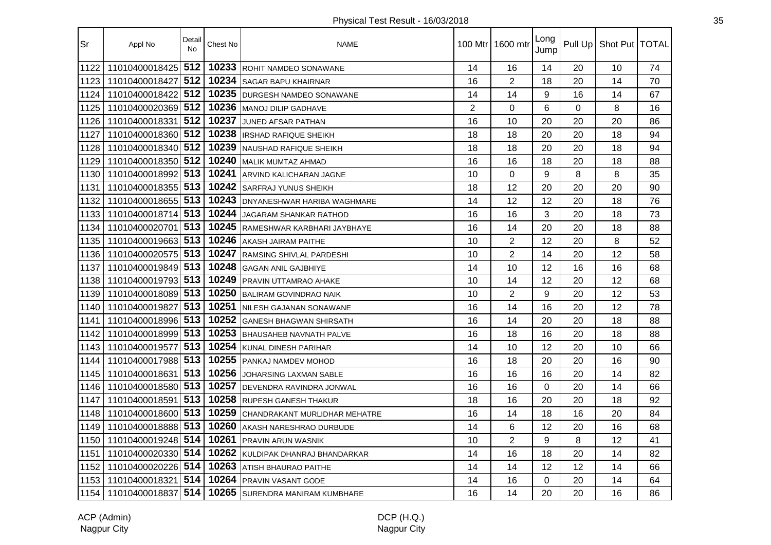| Sr   | Appl No            | Detail<br><b>No</b> | Chest No | <b>NAME</b>                     |    | 100 Mtr 1600 mtr | Long<br>Jump | Pull Up  | Shot Put   TOTAL |    |
|------|--------------------|---------------------|----------|---------------------------------|----|------------------|--------------|----------|------------------|----|
| 1122 | 11010400018425     | 512                 | 10233    | ROHIT NAMDEO SONAWANE           | 14 | 16               | 14           | 20       | 10               | 74 |
| 1123 | 11010400018427     | 512                 | 10234    | <b>SAGAR BAPU KHAIRNAR</b>      | 16 | $\overline{2}$   | 18           | 20       | 14               | 70 |
| 1124 | 11010400018422     | 512                 | 10235    | <b>DURGESH NAMDEO SONAWANE</b>  | 14 | 14               | 9            | 16       | 14               | 67 |
| 1125 | 11010400020369 512 |                     | 10236    | <b>IMANOJ DILIP GADHAVE</b>     | 2  | $\mathbf 0$      | 6            | $\Omega$ | 8                | 16 |
| 1126 | 11010400018331     | 512                 | 10237    | <b>JUNED AFSAR PATHAN</b>       | 16 | 10               | 20           | 20       | 20               | 86 |
| 1127 | 11010400018360 512 |                     | 10238    | IRSHAD RAFIQUE SHEIKH           | 18 | 18               | 20           | 20       | 18               | 94 |
| 1128 | 11010400018340 512 |                     | 10239    | NAUSHAD RAFIQUE SHEIKH          | 18 | 18               | 20           | 20       | 18               | 94 |
| 1129 | 11010400018350 512 |                     | 10240    | MALIK MUMTAZ AHMAD              | 16 | 16               | 18           | 20       | 18               | 88 |
| 1130 | 11010400018992 513 |                     | 10241    | ARVIND KALICHARAN JAGNE         | 10 | $\Omega$         | 9            | 8        | 8                | 35 |
| 1131 | 11010400018355 513 |                     | 10242    | <b>SARFRAJ YUNUS SHEIKH</b>     | 18 | 12               | 20           | 20       | 20               | 90 |
| 1132 | 11010400018655 513 |                     | 10243    | DNYANESHWAR HARIBA WAGHMARE     | 14 | 12               | 12           | 20       | 18               | 76 |
| 1133 | 11010400018714 513 |                     | 10244    | JAGARAM SHANKAR RATHOD          | 16 | 16               | 3            | 20       | 18               | 73 |
| 1134 | 11010400020701 513 |                     | 10245    | RAMESHWAR KARBHARI JAYBHAYE     | 16 | 14               | 20           | 20       | 18               | 88 |
| 1135 | 11010400019663 513 |                     | 10246    | AKASH JAIRAM PAITHE             | 10 | $\overline{2}$   | 12           | 20       | 8                | 52 |
| 1136 | 11010400020575 513 |                     | 10247    | <b>RAMSING SHIVLAL PARDESHI</b> | 10 | $\overline{2}$   | 14           | 20       | 12               | 58 |
| 1137 | 11010400019849 513 |                     | 10248    | <b>GAGAN ANIL GAJBHIYE</b>      | 14 | 10               | 12           | 16       | 16               | 68 |
| 1138 | 11010400019793 513 |                     | 10249    | <b>PRAVIN UTTAMRAO AHAKE</b>    | 10 | 14               | 12           | 20       | 12               | 68 |
| 1139 | 11010400018089 513 |                     | 10250    | <b>BALIRAM GOVINDRAO NAIK</b>   | 10 | $\overline{2}$   | 9            | 20       | 12               | 53 |
| 1140 | 11010400019827     | 513                 | 10251    | <b>INILESH GAJANAN SONAWANE</b> | 16 | 14               | 16           | 20       | 12               | 78 |
| 1141 | 11010400018996 513 |                     | 10252    | <b>IGANESH BHAGWAN SHIRSATH</b> | 16 | 14               | 20           | 20       | 18               | 88 |
| 1142 | 11010400018999 513 |                     | 10253    | <b>BHAUSAHEB NAVNATH PALVE</b>  | 16 | 18               | 16           | 20       | 18               | 88 |
| 1143 | 11010400019577     | 513                 | 10254    | KUNAL DINESH PARIHAR            | 14 | 10               | 12           | 20       | 10               | 66 |
| 1144 | 11010400017988 513 |                     | 10255    | <b>PANKAJ NAMDEV MOHOD</b>      | 16 | 18               | 20           | 20       | 16               | 90 |
| 1145 | 11010400018631     | 513                 | 10256    | JOHARSING LAXMAN SABLE          | 16 | 16               | 16           | 20       | 14               | 82 |
| 1146 | 11010400018580 513 |                     | 10257    | DEVENDRA RAVINDRA JONWAL        | 16 | 16               | $\mathbf 0$  | 20       | 14               | 66 |
| 1147 | 11010400018591     | 513                 | 10258    | <b>RUPESH GANESH THAKUR</b>     | 18 | 16               | 20           | 20       | 18               | 92 |
| 1148 | 11010400018600 513 |                     | 10259    | ICHANDRAKANT MURLIDHAR MEHATRE  | 16 | 14               | 18           | 16       | 20               | 84 |
| 1149 | 11010400018888 513 |                     | 10260    | AKASH NARESHRAO DURBUDE         | 14 | 6                | 12           | 20       | 16               | 68 |
| 1150 | 11010400019248 514 |                     | 10261    | <b>PRAVIN ARUN WASNIK</b>       | 10 | $\overline{2}$   | 9            | 8        | 12               | 41 |
| 1151 | 11010400020330 514 |                     | 10262    | KULDIPAK DHANRAJ BHANDARKAR     | 14 | 16               | 18           | 20       | 14               | 82 |
| 1152 | 11010400020226 514 |                     | 10263    | <b>ATISH BHAURAO PAITHE</b>     | 14 | 14               | 12           | 12       | 14               | 66 |
| 1153 | 11010400018321     | 514                 | 10264    | PRAVIN VASANT GODE              | 14 | 16               | $\Omega$     | 20       | 14               | 64 |
| 1154 | 11010400018837 514 |                     | 10265    | SURENDRA MANIRAM KUMBHARE       | 16 | 14               | 20           | 20       | 16               | 86 |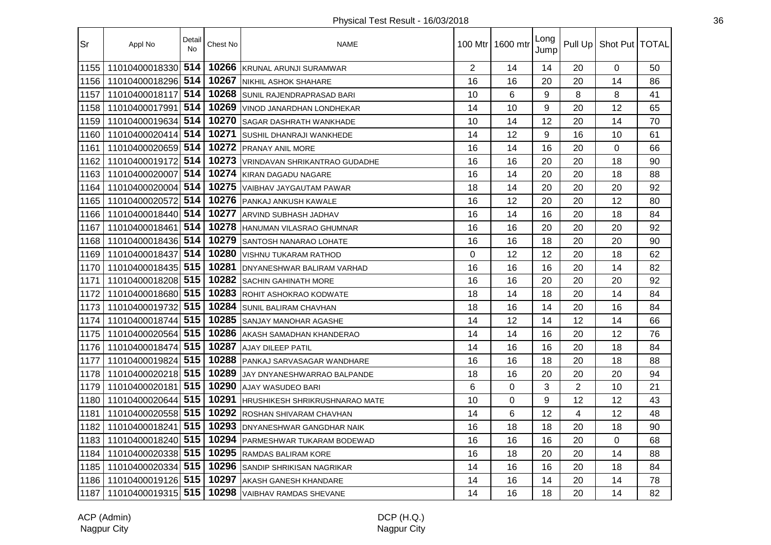| Sr   | Appl No            | Detail<br><b>No</b> | Chest No | <b>NAME</b>                           |                | 100 Mtr   1600 mtr | Long<br>Jump |                | Pull Up   Shot Put   TOTAL |    |
|------|--------------------|---------------------|----------|---------------------------------------|----------------|--------------------|--------------|----------------|----------------------------|----|
| 1155 | 11010400018330     | 514                 | 10266    | <b>KRUNAL ARUNJI SURAMWAR</b>         | $\overline{2}$ | 14                 | 14           | 20             | $\Omega$                   | 50 |
| 1156 | 11010400018296     | 514                 | 10267    | <b>INIKHIL ASHOK SHAHARE</b>          | 16             | 16                 | 20           | 20             | 14                         | 86 |
| 1157 | 11010400018117     | 514                 | 10268    | SUNIL RAJENDRAPRASAD BARI             | 10             | 6                  | 9            | 8              | 8                          | 41 |
| 1158 | 11010400017991     | 514                 | 10269    | VINOD JANARDHAN LONDHEKAR             | 14             | 10                 | 9            | 20             | 12                         | 65 |
| 1159 | 11010400019634     | 514                 | 10270    | <b>ISAGAR DASHRATH WANKHADE</b>       | 10             | 14                 | 12           | 20             | 14                         | 70 |
| 1160 | 11010400020414     | 514                 | 10271    | <b>SUSHIL DHANRAJI WANKHEDE</b>       | 14             | 12                 | 9            | 16             | 10                         | 61 |
| 1161 | 11010400020659 514 |                     | 10272    | <b>PRANAY ANIL MORE</b>               | 16             | 14                 | 16           | 20             | $\overline{0}$             | 66 |
| 1162 | 11010400019172     | 514                 | 10273    | VRINDAVAN SHRIKANTRAO GUDADHE         | 16             | 16                 | 20           | 20             | 18                         | 90 |
| 1163 | 11010400020007     | 514                 | 10274    | KIRAN DAGADU NAGARE                   | 16             | 14                 | 20           | 20             | 18                         | 88 |
| 1164 | 11010400020004     | 514                 | 10275    | VAIBHAV JAYGAUTAM PAWAR               | 18             | 14                 | 20           | 20             | 20                         | 92 |
| 1165 | 11010400020572     | 514                 | 10276    | <b>PANKAJ ANKUSH KAWALE</b>           | 16             | 12                 | 20           | 20             | 12                         | 80 |
| 1166 | 11010400018440 514 |                     | 10277    | ARVIND SUBHASH JADHAV                 | 16             | 14                 | 16           | 20             | 18                         | 84 |
| 1167 | 11010400018461     | 514                 | 10278    | HANUMAN VILASRAO GHUMNAR              | 16             | 16                 | 20           | 20             | 20                         | 92 |
| 1168 | 11010400018436 514 |                     | 10279    | SANTOSH NANARAO LOHATE                | 16             | 16                 | 18           | 20             | 20                         | 90 |
| 1169 | 11010400018437     | 514                 | 10280    | <b>VISHNU TUKARAM RATHOD</b>          | $\Omega$       | 12                 | 12           | 20             | 18                         | 62 |
| 1170 | 11010400018435 515 |                     | 10281    | DNYANESHWAR BALIRAM VARHAD            | 16             | 16                 | 16           | 20             | 14                         | 82 |
| 1171 | 11010400018208 515 |                     | 10282    | <b>SACHIN GAHINATH MORE</b>           | 16             | 16                 | 20           | 20             | 20                         | 92 |
| 1172 | 11010400018680     | 515                 | 10283    | ROHIT ASHOKRAO KODWATE                | 18             | 14                 | 18           | 20             | 14                         | 84 |
| 1173 | 11010400019732     | 515                 | 10284    | <b>SUNIL BALIRAM CHAVHAN</b>          | 18             | 16                 | 14           | 20             | 16                         | 84 |
| 1174 | 11010400018744     | 515                 | 10285    | <b>SANJAY MANOHAR AGASHE</b>          | 14             | 12                 | 14           | 12             | 14                         | 66 |
| 1175 | 11010400020564     | 515                 | 10286    | <b>AKASH SAMADHAN KHANDERAO</b>       | 14             | 14                 | 16           | 20             | 12                         | 76 |
| 1176 | 11010400018474     | 515                 | 10287    | <b>AJAY DILEEP PATIL</b>              | 14             | 16                 | 16           | 20             | 18                         | 84 |
| 1177 | 11010400019824 515 |                     | 10288    | PANKAJ SARVASAGAR WANDHARE            | 16             | 16                 | 18           | 20             | 18                         | 88 |
| 1178 | 11010400020218 515 |                     | 10289    | JAY DNYANESHWARRAO BALPANDE           | 18             | 16                 | 20           | 20             | 20                         | 94 |
| 1179 | 11010400020181 515 |                     | 10290    | <b>AJAY WASUDEO BARI</b>              | 6              | $\mathbf 0$        | 3            | $\overline{2}$ | 10                         | 21 |
| 1180 | 11010400020644     | 515                 | 10291    | <b>HRUSHIKESH SHRIKRUSHNARAO MATE</b> | 10             | $\mathbf 0$        | 9            | 12             | 12                         | 43 |
| 1181 | 11010400020558 515 |                     | 10292    | ROSHAN SHIVARAM CHAVHAN               | 14             | 6                  | 12           | 4              | 12                         | 48 |
| 1182 | 11010400018241     | 515                 | 10293    | <b>DNYANESHWAR GANGDHAR NAIK</b>      | 16             | 18                 | 18           | 20             | 18                         | 90 |
| 1183 | 11010400018240 515 |                     | 10294    | PARMESHWAR TUKARAM BODEWAD            | 16             | 16                 | 16           | 20             | $\Omega$                   | 68 |
| 1184 | 11010400020338 515 |                     | 10295    | <b>RAMDAS BALIRAM KORE</b>            | 16             | 18                 | 20           | 20             | 14                         | 88 |
| 1185 | 11010400020334 515 |                     | 10296    | SANDIP SHRIKISAN NAGRIKAR             | 14             | 16                 | 16           | 20             | 18                         | 84 |
| 1186 | 11010400019126 515 |                     | 10297    | <b>AKASH GANESH KHANDARE</b>          | 14             | 16                 | 14           | 20             | 14                         | 78 |
| 1187 | 11010400019315 515 |                     | 10298    | <b>VAIBHAV RAMDAS SHEVANE</b>         | 14             | 16                 | 18           | 20             | 14                         | 82 |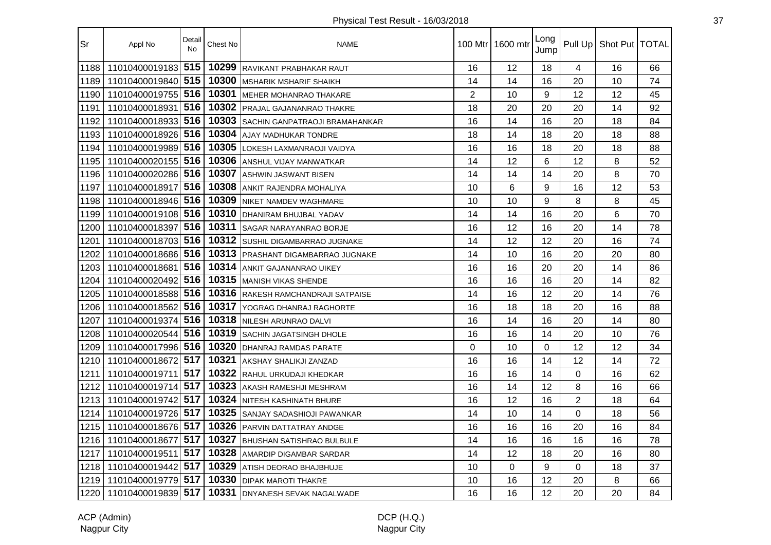| Sr   | Appl No            | Detail<br>No | Chest No | <b>NAME</b>                           | 100 Mtr I      | 1600 mtr | Long<br>Jump |                | Pull Up   Shot Put   TOTAL |    |
|------|--------------------|--------------|----------|---------------------------------------|----------------|----------|--------------|----------------|----------------------------|----|
| 1188 | 11010400019183     | 515          | 10299    | RAVIKANT PRABHAKAR RAUT               | 16             | 12       | 18           | 4              | 16                         | 66 |
| 1189 | 11010400019840 515 |              | 10300    | <b>MSHARIK MSHARIF SHAIKH</b>         | 14             | 14       | 16           | 20             | 10                         | 74 |
| 1190 | 11010400019755 516 |              | 10301    | MEHER MOHANRAO THAKARE                | $\overline{2}$ | 10       | 9            | 12             | 12                         | 45 |
| 1191 | 11010400018931 516 |              | 10302    | <b>IPRAJAL GAJANANRAO THAKRE</b>      | 18             | 20       | 20           | 20             | 14                         | 92 |
| 1192 | 11010400018933 516 |              | 10303    | <b>SACHIN GANPATRAOJI BRAMAHANKAR</b> | 16             | 14       | 16           | 20             | 18                         | 84 |
| 1193 | 11010400018926 516 |              | 10304    | AJAY MADHUKAR TONDRE                  | 18             | 14       | 18           | 20             | 18                         | 88 |
| 1194 | 11010400019989 516 |              | 10305    | LOKESH LAXMANRAOJI VAIDYA             | 16             | 16       | 18           | 20             | 18                         | 88 |
| 1195 | 11010400020155 516 |              | 10306    | ANSHUL VIJAY MANWATKAR                | 14             | 12       | 6            | 12             | 8                          | 52 |
| 1196 | 11010400020286 516 |              | 10307    | <b>ASHWIN JASWANT BISEN</b>           | 14             | 14       | 14           | 20             | 8                          | 70 |
| 1197 | 11010400018917     | 516          | 10308    | ANKIT RAJENDRA MOHALIYA               | 10             | 6        | 9            | 16             | 12                         | 53 |
| 1198 | 11010400018946 516 |              | 10309    | NIKET NAMDEV WAGHMARE                 | 10             | 10       | 9            | 8              | 8                          | 45 |
| 1199 | 11010400019108 516 |              | 10310    | DHANIRAM BHUJBAL YADAV                | 14             | 14       | 16           | 20             | 6                          | 70 |
| 1200 | 11010400018397 516 |              | 10311    | <b>SAGAR NARAYANRAO BORJE</b>         | 16             | 12       | 16           | 20             | 14                         | 78 |
| 1201 | 11010400018703 516 |              | 10312    | SUSHIL DIGAMBARRAO JUGNAKE            | 14             | 12       | 12           | 20             | 16                         | 74 |
| 1202 | 11010400018686 516 |              | 10313    | <b>PRASHANT DIGAMBARRAO JUGNAKE</b>   | 14             | 10       | 16           | 20             | 20                         | 80 |
| 1203 | 11010400018681     | 516          | 10314    | <b>ANKIT GAJANANRAO UIKEY</b>         | 16             | 16       | 20           | 20             | 14                         | 86 |
| 1204 | 11010400020492     | 516          | 10315    | MANISH VIKAS SHENDE                   | 16             | 16       | 16           | 20             | 14                         | 82 |
| 1205 | 11010400018588 516 |              | 10316    | RAKESH RAMCHANDRAJI SATPAISE          | 14             | 16       | 12           | 20             | 14                         | 76 |
| 1206 | 11010400018562     | 516          | 10317    | YOGRAG DHANRAJ RAGHORTE               | 16             | 18       | 18           | 20             | 16                         | 88 |
| 1207 | 11010400019374 516 |              | 10318    | NILESH ARUNRAO DALVI                  | 16             | 14       | 16           | 20             | 14                         | 80 |
| 1208 | 11010400020544 516 |              | 10319    | <b>SACHIN JAGATSINGH DHOLE</b>        | 16             | 16       | 14           | 20             | 10                         | 76 |
| 1209 | 11010400017996 516 |              | 10320    | DHANRAJ RAMDAS PARATE                 | $\mathbf 0$    | 10       | $\Omega$     | 12             | 12                         | 34 |
| 1210 | 11010400018672 517 |              | 10321    | AKSHAY SHALIKJI ZANZAD                | 16             | 16       | 14           | 12             | 14                         | 72 |
| 1211 | 11010400019711     | 517          | 10322    | RAHUL URKUDAJI KHEDKAR                | 16             | 16       | 14           | 0              | 16                         | 62 |
| 1212 | 11010400019714 517 |              | 10323    | AKASH RAMESHJI MESHRAM                | 16             | 14       | 12           | 8              | 16                         | 66 |
| 1213 | 11010400019742 517 |              | 10324    | <b>NITESH KASHINATH BHURE</b>         | 16             | 12       | 16           | $\overline{2}$ | 18                         | 64 |
| 1214 | 11010400019726 517 |              | 10325    | <b>SANJAY SADASHIOJI PAWANKAR</b>     | 14             | 10       | 14           | $\Omega$       | 18                         | 56 |
| 1215 | 11010400018676 517 |              | 10326    | PARVIN DATTATRAY ANDGE                | 16             | 16       | 16           | 20             | 16                         | 84 |
| 1216 | 11010400018677     | 517          | 10327    | <b>BHUSHAN SATISHRAO BULBULE</b>      | 14             | 16       | 16           | 16             | 16                         | 78 |
| 1217 | 11010400019511     | 517          | 10328    | AMARDIP DIGAMBAR SARDAR               | 14             | 12       | 18           | 20             | 16                         | 80 |
| 1218 | 11010400019442 517 |              | 10329    | ATISH DEORAO BHAJBHUJE                | 10             | $\Omega$ | 9            | $\Omega$       | 18                         | 37 |
| 1219 | 11010400019779 517 |              | 10330    | DIPAK MAROTI THAKRE                   | 10             | 16       | 12           | 20             | 8                          | 66 |
| 1220 | 11010400019839 517 |              | 10331    | <b>DNYANESH SEVAK NAGALWADE</b>       | 16             | 16       | 12           | 20             | 20                         | 84 |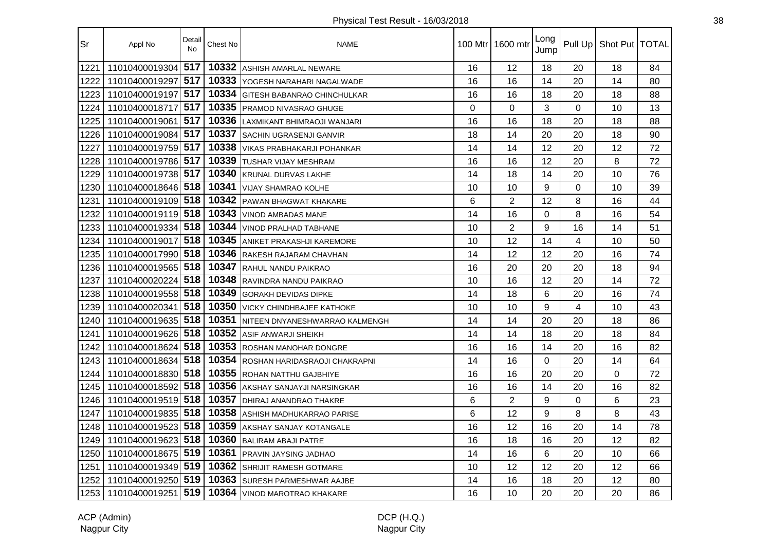| Sr   | Appl No            | Detail<br><b>No</b> | Chest No | <b>NAME</b>                        | 100 Mtr I   | 1600 mtr       | Long<br>Jump | Pull Up     | Shot Put   TOTAL |    |
|------|--------------------|---------------------|----------|------------------------------------|-------------|----------------|--------------|-------------|------------------|----|
| 1221 | 11010400019304     | 517                 | 10332    | ASHISH AMARLAL NEWARE              | 16          | 12             | 18           | 20          | 18               | 84 |
| 1222 | 11010400019297     | 517                 | 10333    | IYOGESH NARAHARI NAGALWADE         | 16          | 16             | 14           | 20          | 14               | 80 |
| 1223 | 11010400019197     | 517                 | 10334    | <b>GITESH BABANRAO CHINCHULKAR</b> | 16          | 16             | 18           | 20          | 18               | 88 |
| 1224 | 11010400018717     | 517                 | 10335    | <b>PRAMOD NIVASRAO GHUGE</b>       | $\mathbf 0$ | 0              | 3            | $\mathbf 0$ | 10               | 13 |
| 1225 | 11010400019061     | 517                 | 10336    | LAXMIKANT BHIMRAOJI WANJARI        | 16          | 16             | 18           | 20          | 18               | 88 |
| 1226 | 11010400019084     | 517                 | 10337    | <b>SACHIN UGRASENJI GANVIR</b>     | 18          | 14             | 20           | 20          | 18               | 90 |
| 1227 | 11010400019759 517 |                     | 10338    | VIKAS PRABHAKARJI POHANKAR         | 14          | 14             | 12           | 20          | 12               | 72 |
| 1228 | 11010400019786 517 |                     | 10339    | <b>TUSHAR VIJAY MESHRAM</b>        | 16          | 16             | 12           | 20          | 8                | 72 |
| 1229 | 11010400019738 517 |                     | 10340    | <b>KRUNAL DURVAS LAKHE</b>         | 14          | 18             | 14           | 20          | 10               | 76 |
| 1230 | 11010400018646 518 |                     | 10341    | <b>VIJAY SHAMRAO KOLHE</b>         | 10          | 10             | 9            | $\mathbf 0$ | 10               | 39 |
| 1231 | 11010400019109 518 |                     | 10342    | <b>PAWAN BHAGWAT KHAKARE</b>       | 6           | $\overline{2}$ | 12           | 8           | 16               | 44 |
| 1232 | 11010400019119 518 |                     | 10343    | <b>VINOD AMBADAS MANE</b>          | 14          | 16             | 0            | 8           | 16               | 54 |
| 1233 | 11010400019334 518 |                     | 10344    | <b>VINOD PRALHAD TABHANE</b>       | 10          | $\overline{2}$ | 9            | 16          | 14               | 51 |
| 1234 | 11010400019017 518 |                     | 10345    | <b>ANIKET PRAKASHJI KAREMORE</b>   | 10          | 12             | 14           | 4           | 10               | 50 |
| 1235 | 11010400017990 518 |                     | 10346    | RAKESH RAJARAM CHAVHAN             | 14          | 12             | 12           | 20          | 16               | 74 |
| 1236 | 11010400019565 518 |                     | 10347    | RAHUL NANDU PAIKRAO                | 16          | 20             | 20           | 20          | 18               | 94 |
| 1237 | 11010400020224 518 |                     | 10348    | RAVINDRA NANDU PAIKRAO             | 10          | 16             | 12           | 20          | 14               | 72 |
| 1238 | 11010400019558 518 |                     | 10349    | <b>GORAKH DEVIDAS DIPKE</b>        | 14          | 18             | 6            | 20          | 16               | 74 |
| 1239 | 11010400020341     | 518                 | 10350    | <b>VICKY CHINDHBAJEE KATHOKE</b>   | 10          | 10             | 9            | 4           | 10               | 43 |
| 1240 | 11010400019635 518 |                     | 10351    | NITEEN DNYANESHWARRAO KALMENGH     | 14          | 14             | 20           | 20          | 18               | 86 |
| 1241 | 11010400019626 518 |                     | 10352    | <b>ASIF ANWARJI SHEIKH</b>         | 14          | 14             | 18           | 20          | 18               | 84 |
| 1242 | 11010400018624 518 |                     | 10353    | <b>ROSHAN MANOHAR DONGRE</b>       | 16          | 16             | 14           | 20          | 16               | 82 |
| 1243 | 11010400018634 518 |                     | 10354    | ROSHAN HARIDASRAOJI CHAKRAPNI      | 14          | 16             | $\Omega$     | 20          | 14               | 64 |
| 1244 | 11010400018830 518 |                     | 10355    | <b>ROHAN NATTHU GAJBHIYE</b>       | 16          | 16             | 20           | 20          | 0                | 72 |
| 1245 | 11010400018592 518 |                     | 10356    | AKSHAY SANJAYJI NARSINGKAR         | 16          | 16             | 14           | 20          | 16               | 82 |
| 1246 | 11010400019519 518 |                     | 10357    | DHIRAJ ANANDRAO THAKRE             | 6           | $\overline{2}$ | 9            | $\mathbf 0$ | 6                | 23 |
| 1247 | 11010400019835 518 |                     | 10358    | <b>ASHISH MADHUKARRAO PARISE</b>   | 6           | 12             | 9            | 8           | 8                | 43 |
| 1248 | 11010400019523 518 |                     | 10359    | AKSHAY SANJAY KOTANGALE            | 16          | 12             | 16           | 20          | 14               | 78 |
| 1249 | 11010400019623 518 |                     | 10360    | <b>BALIRAM ABAJI PATRE</b>         | 16          | 18             | 16           | 20          | 12               | 82 |
| 1250 | 11010400018675 519 |                     | 10361    | PRAVIN JAYSING JADHAO              | 14          | 16             | 6            | 20          | 10               | 66 |
| 1251 | 11010400019349 519 |                     | 10362    | SHRIJIT RAMESH GOTMARE             | 10          | 12             | 12           | 20          | 12               | 66 |
| 1252 | 11010400019250 519 |                     | 10363    | <b>SURESH PARMESHWAR AAJBE</b>     | 14          | 16             | 18           | 20          | 12               | 80 |
| 1253 | 11010400019251     | 519                 | 10364    | VINOD MAROTRAO KHAKARE             | 16          | 10             | 20           | 20          | 20               | 86 |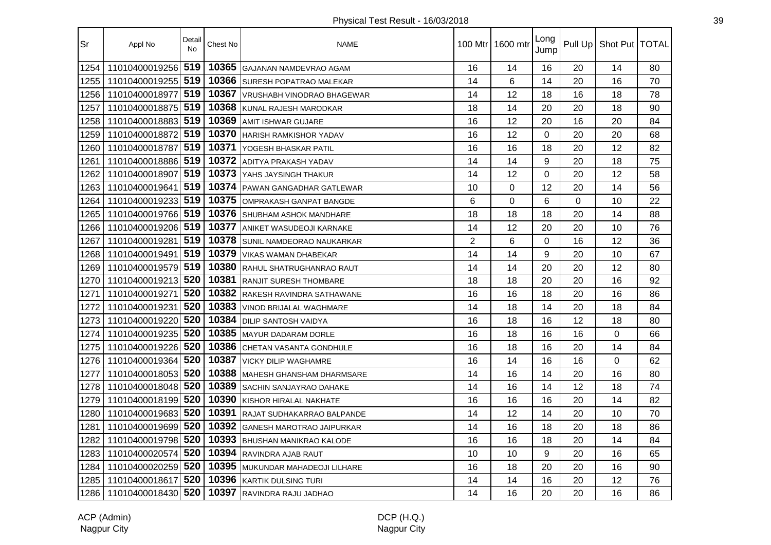| Sr   | Appl No            | Detail<br>No | Chest No | <b>NAME</b>                      |                | 100 Mtr 1600 mtr | Long<br>Jump   |    | Pull Up   Shot Put   TOTAL |    |
|------|--------------------|--------------|----------|----------------------------------|----------------|------------------|----------------|----|----------------------------|----|
| 1254 | 11010400019256     | 519          | 10365    | <b>I</b> GAJANAN NAMDEVRAO AGAM  | 16             | 14               | 16             | 20 | 14                         | 80 |
| 1255 | 11010400019255     | 519          | 10366    | <b>ISURESH POPATRAO MALEKAR</b>  | 14             | 6                | 14             | 20 | 16                         | 70 |
| 1256 | 11010400018977     | 519          | 10367    | VRUSHABH VINODRAO BHAGEWAR       | 14             | 12               | 18             | 16 | 18                         | 78 |
| 1257 | 11010400018875 519 |              | 10368    | <b>KUNAL RAJESH MARODKAR</b>     | 18             | 14               | 20             | 20 | 18                         | 90 |
| 1258 | 11010400018883 519 |              | 10369    | <b>AMIT ISHWAR GUJARE</b>        | 16             | 12               | 20             | 16 | 20                         | 84 |
| 1259 | 11010400018872     | 519          | 10370    | <b>HARISH RAMKISHOR YADAV</b>    | 16             | 12               | $\overline{0}$ | 20 | 20                         | 68 |
| 1260 | 11010400018787     | 519          | 10371    | YOGESH BHASKAR PATIL             | 16             | 16               | 18             | 20 | 12                         | 82 |
| 1261 | 11010400018886 519 |              | 10372    | <b>ADITYA PRAKASH YADAV</b>      | 14             | 14               | 9              | 20 | 18                         | 75 |
| 1262 | 11010400018907     | 519          | 10373    | YAHS JAYSINGH THAKUR             | 14             | 12               | 0              | 20 | 12                         | 58 |
| 1263 | 11010400019641     | 519          | 10374    | PAWAN GANGADHAR GATLEWAR         | 10             | $\mathbf 0$      | 12             | 20 | 14                         | 56 |
| 1264 | 11010400019233 519 |              | 10375    | OMPRAKASH GANPAT BANGDE          | 6              | $\mathbf 0$      | 6              | 0  | 10                         | 22 |
| 1265 | 11010400019766 519 |              | 10376    | <b>SHUBHAM ASHOK MANDHARE</b>    | 18             | 18               | 18             | 20 | 14                         | 88 |
| 1266 | 11010400019206 519 |              | 10377    | <b>ANIKET WASUDEOJI KARNAKE</b>  | 14             | 12               | 20             | 20 | 10                         | 76 |
| 1267 | 11010400019281     | 519          | 10378    | <b>SUNIL NAMDEORAO NAUKARKAR</b> | $\overline{2}$ | 6                | 0              | 16 | 12                         | 36 |
| 1268 | 11010400019491     | 519          | 10379    | <b>VIKAS WAMAN DHABEKAR</b>      | 14             | 14               | 9              | 20 | 10                         | 67 |
| 1269 | 11010400019579 519 |              | 10380    | <b>RAHUL SHATRUGHANRAO RAUT</b>  | 14             | 14               | 20             | 20 | 12                         | 80 |
| 1270 | 11010400019213     | 520          | 10381    | <b>RANJIT SURESH THOMBARE</b>    | 18             | 18               | 20             | 20 | 16                         | 92 |
| 1271 | 11010400019271     | 520          | 10382    | RAKESH RAVINDRA SATHAWANE        | 16             | 16               | 18             | 20 | 16                         | 86 |
| 1272 | 11010400019231     | 520          | 10383    | <b>VINOD BRIJALAL WAGHMARE</b>   | 14             | 18               | 14             | 20 | 18                         | 84 |
| 1273 | 11010400019220     | 520          | 10384    | <b>DILIP SANTOSH VAIDYA</b>      | 16             | 18               | 16             | 12 | 18                         | 80 |
| 1274 | 11010400019235     | 520          | 10385    | MAYUR DADARAM DORLE              | 16             | 18               | 16             | 16 | 0                          | 66 |
| 1275 | 11010400019226     | 520          | 10386    | <b>CHETAN VASANTA GONDHULE</b>   | 16             | 18               | 16             | 20 | 14                         | 84 |
| 1276 | 11010400019364     | 520          | 10387    | <b>VICKY DILIP WAGHAMRE</b>      | 16             | 14               | 16             | 16 | $\Omega$                   | 62 |
| 1277 | 11010400018053 520 |              | 10388    | MAHESH GHANSHAM DHARMSARE        | 14             | 16               | 14             | 20 | 16                         | 80 |
| 1278 | 11010400018048 520 |              | 10389    | <b>SACHIN SANJAYRAO DAHAKE</b>   | 14             | 16               | 14             | 12 | 18                         | 74 |
| 1279 | 11010400018199 520 |              | 10390    | KISHOR HIRALAL NAKHATE           | 16             | 16               | 16             | 20 | 14                         | 82 |
| 1280 | 11010400019683 520 |              | 10391    | RAJAT SUDHAKARRAO BALPANDE       | 14             | 12               | 14             | 20 | 10                         | 70 |
| 1281 | 11010400019699     | 520          | 10392    | <b>GANESH MAROTRAO JAIPURKAR</b> | 14             | 16               | 18             | 20 | 18                         | 86 |
| 1282 | 11010400019798     | 520          | 10393    | <b>BHUSHAN MANIKRAO KALODE</b>   | 16             | 16               | 18             | 20 | 14                         | 84 |
| 1283 | 11010400020574     | 520          | 10394    | <b>RAVINDRA AJAB RAUT</b>        | 10             | 10               | 9              | 20 | 16                         | 65 |
| 1284 | 11010400020259     | 520          | 10395    | MUKUNDAR MAHADEOJI LILHARE       | 16             | 18               | 20             | 20 | 16                         | 90 |
| 1285 | 11010400018617     | 520          | 10396    | KARTIK DULSING TURI              | 14             | 14               | 16             | 20 | 12                         | 76 |
| 1286 | 11010400018430 520 |              | 10397    | RAVINDRA RAJU JADHAO             | 14             | 16               | 20             | 20 | 16                         | 86 |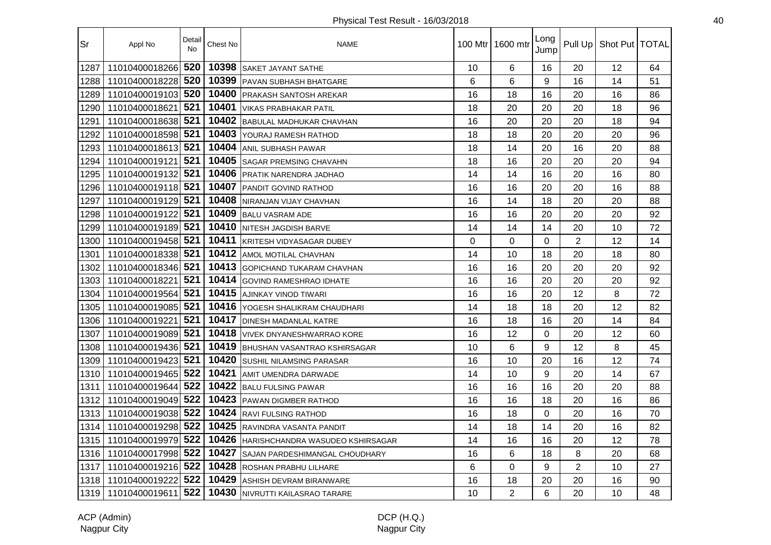| Sr   | Appl No            | Detail<br><b>No</b> | Chest No | <b>NAME</b>                         | 100 Mtr I | 1600 mtr       | Long<br>Jump | Pull Up        | Shot Put   TOTAL |    |
|------|--------------------|---------------------|----------|-------------------------------------|-----------|----------------|--------------|----------------|------------------|----|
| 1287 | 11010400018266     | 520                 | 10398    | <b>SAKET JAYANT SATHE</b>           | 10        | 6              | 16           | 20             | 12               | 64 |
| 1288 | 11010400018228     | 520                 | 10399    | <b>PAVAN SUBHASH BHATGARE</b>       | 6         | 6              | 9            | 16             | 14               | 51 |
| 1289 | 11010400019103 520 |                     | 10400    | <b>PRAKASH SANTOSH AREKAR</b>       | 16        | 18             | 16           | 20             | 16               | 86 |
| 1290 | 11010400018621     | 521                 | 10401    | <b>VIKAS PRABHAKAR PATIL</b>        | 18        | 20             | 20           | 20             | 18               | 96 |
| 1291 | 11010400018638 521 |                     | 10402    | <b>BABULAL MADHUKAR CHAVHAN</b>     | 16        | 20             | 20           | 20             | 18               | 94 |
| 1292 | 11010400018598 521 |                     | 10403    | YOURAJ RAMESH RATHOD                | 18        | 18             | 20           | 20             | 20               | 96 |
| 1293 | 11010400018613 521 |                     | 10404    | <b>ANIL SUBHASH PAWAR</b>           | 18        | 14             | 20           | 16             | 20               | 88 |
| 1294 | 11010400019121     | 521                 | 10405    | <b>SAGAR PREMSING CHAVAHN</b>       | 18        | 16             | 20           | 20             | 20               | 94 |
| 1295 | 11010400019132 521 |                     | 10406    | PRATIK NARENDRA JADHAO              | 14        | 14             | 16           | 20             | 16               | 80 |
| 1296 | 11010400019118 521 |                     | 10407    | PANDIT GOVIND RATHOD                | 16        | 16             | 20           | 20             | 16               | 88 |
| 1297 | 11010400019129     | 521                 | 10408    | NIRANJAN VIJAY CHAVHAN              | 16        | 14             | 18           | 20             | 20               | 88 |
| 1298 | 11010400019122 521 |                     | 10409    | <b>BALU VASRAM ADE</b>              | 16        | 16             | 20           | 20             | 20               | 92 |
| 1299 | 11010400019189 521 |                     | 10410    | <b>NITESH JAGDISH BARVE</b>         | 14        | 14             | 14           | 20             | 10               | 72 |
| 1300 | 11010400019458 521 |                     | 10411    | KRITESH VIDYASAGAR DUBEY            | $\Omega$  | 0              | $\Omega$     | $\overline{2}$ | 12               | 14 |
| 1301 | 11010400018338     | 521                 | 10412    | AMOL MOTILAL CHAVHAN                | 14        | 10             | 18           | 20             | 18               | 80 |
| 1302 | 11010400018346 521 |                     | 10413    | <b>GOPICHAND TUKARAM CHAVHAN</b>    | 16        | 16             | 20           | 20             | 20               | 92 |
| 1303 | 11010400018221     | 521                 | 10414    | <b>GOVIND RAMESHRAO IDHATE</b>      | 16        | 16             | 20           | 20             | 20               | 92 |
| 1304 | 11010400019564     | 521                 | 10415    | AJINKAY VINOD TIWARI                | 16        | 16             | 20           | 12             | 8                | 72 |
| 1305 | 11010400019085     | 521                 | 10416    | YOGESH SHALIKRAM CHAUDHARI          | 14        | 18             | 18           | 20             | 12               | 82 |
| 1306 | 11010400019221     | 521                 | 10417    | <b>DINESH MADANLAL KATRE</b>        | 16        | 18             | 16           | 20             | 14               | 84 |
| 1307 | 11010400019089 521 |                     | 10418    | <b>VIVEK DNYANESHWARRAO KORE</b>    | 16        | 12             | 0            | 20             | 12               | 60 |
| 1308 | 11010400019436 521 |                     | 10419    | <b>BHUSHAN VASANTRAO KSHIRSAGAR</b> | 10        | 6              | 9            | 12             | 8                | 45 |
| 1309 | 11010400019423 521 |                     | 10420    | <b>SUSHIL NILAMSING PARASAR</b>     | 16        | 10             | 20           | 16             | 12               | 74 |
| 1310 | 11010400019465 522 |                     | 10421    | AMIT UMENDRA DARWADE                | 14        | 10             | 9            | 20             | 14               | 67 |
| 1311 | 11010400019644     | 522                 | 10422    | <b>BALU FULSING PAWAR</b>           | 16        | 16             | 16           | 20             | 20               | 88 |
| 1312 | 11010400019049 522 |                     | 10423    | PAWAN DIGMBER RATHOD                | 16        | 16             | 18           | 20             | 16               | 86 |
| 1313 | 11010400019038 522 |                     | 10424    | <b>RAVI FULSING RATHOD</b>          | 16        | 18             | $\Omega$     | 20             | 16               | 70 |
| 1314 | 11010400019298 522 |                     | 10425    | RAVINDRA VASANTA PANDIT             | 14        | 18             | 14           | 20             | 16               | 82 |
| 1315 | 11010400019979     | 522                 | 10426    | HARISHCHANDRA WASUDEO KSHIRSAGAR    | 14        | 16             | 16           | 20             | 12               | 78 |
| 1316 | 11010400017998 522 |                     | 10427    | SAJAN PARDESHIMANGAL CHOUDHARY      | 16        | 6              | 18           | 8              | 20               | 68 |
| 1317 | 11010400019216 522 |                     | 10428    | ROSHAN PRABHU LILHARE               | 6         | $\Omega$       | 9            | $\overline{2}$ | 10               | 27 |
| 1318 | 11010400019222     | 522                 | 10429    | <b>ASHISH DEVRAM BIRANWARE</b>      | 16        | 18             | 20           | 20             | 16               | 90 |
| 1319 | 11010400019611     | 522                 | 10430    | <b>INIVRUTTI KAILASRAO TARARE</b>   | 10        | $\overline{2}$ | 6            | 20             | 10               | 48 |